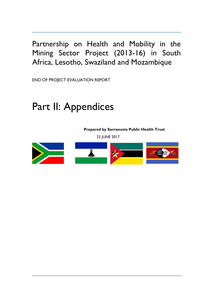Partnership on Health and Mobility in the Mining Sector Project (2013-16) in South Africa, Lesotho, Swaziland and Mozambique

END OF PROJECT EVALUATION REPORT

# Part II: Appendices

**Prepared by Sarraounia Public Health Trust**

23 JUNE 2017

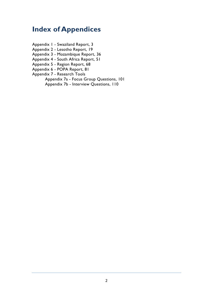# **Index of Appendices**

- Appendix 1 Swaziland Report, 3 Appendix 2 - Lesotho Report, 19
- Appendix 3 Mozambique Report, 36
- Appendix 4 South Africa Report, 51
- Appendix 5 Region Report, 68
- Appendix 6 POPA Report, 81
- Appendix 7 Research Tools
	- Appendix 7a Focus Group Questions, 101 Appendix 7b - Interview Questions, 110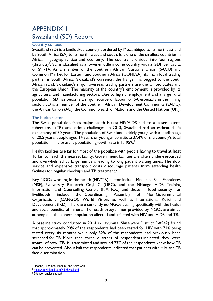# APPENDIX 1 Swaziland (SD) Report

#### Country context

Swaziland (SD) is a landlocked country bordered by Mozambique to its northeast and by South Africa (SA) to its north, west and south. It is one of the smallest countries in Africa in geographic size and economy. The country is divided into four regions  $(distributions)^{1}$ . SD is classified as a lower-middle income country with a GDP per capita of \$9,714. As a member of the Southern African Customs Union (SACU) and Common Market for Eastern and Southern Africa (COMESA), its main local trading partner is South Africa. Swaziland's currency, the lilangeni, is pegged to the South African rand. Swaziland's major overseas trading partners are the United States and the European Union. The majority of the country's employment is provided by its agricultural and manufacturing sectors. Due to high unemployment and a large rural population, SD has become a major source of labour for SA especially in the mining sector. SD is a member of the Southern African Development Community (SADC), the African Union (AU), the Commonwealth of Nations and the United Nations (UN).

#### The health sector

The Swazi population faces major health issues; HIV/AIDS and, to a lesser extent, tuberculosis (TB) are serious challenges. In 2013, Swaziland had an estimated life expectancy of 50 years. The population of Swaziland is fairly young with a median age of 20.5 years; people aged 14 years or younger constitute 37.4% of the country's total population. The present population growth rate is  $1.195\%$ <sup>2</sup>

Health facilities are far for most of the populace with people having to travel at least 10 km to reach the nearest facility. Government facilities are often under-resourced and overwhelmed by large numbers leading to long patient waiting times. The slow service and expensive transport costs discourage patients from attending health facilities for regular checkups and TB treatment.<sup>3</sup>

Key NGOs working in the health (HIV/TB) sector include Medecins Sans Frontieres (MSF), University Research Co.,LLC (URC), and the Nhlango AIDS Training Information and Counselling Centre (NATICC) and those in food security or livelihoods include the Coordinating Assembly of Non-Governmental Organisations (CANGO), World Vision, as well as International Relief and Development (IRD). There are currently no NGOs dealing specifically with the health and social benefits of miners. The health programmes provided by NGOs are aimed at people in the general population affected and infected with HIV and AIDS and TB.

A baseline study conducted in 2014 in Lavumisa, Shiselweni District (n=942) found that approximately 90% of the respondents had been tested for HIV with 71% being tested every six months while only 32% of the respondents had previously been screened for TB. More than three quarters of respondents indicated they were aware of how TB is transmitted and around 73% of the respondents knew how TB can be prevented. About half the respondents indicated that patients with HIV and TB face discrimination.

 $\overline{\phantom{a}}$ 

<sup>&</sup>lt;sup>1</sup> Hhohho, Lubombo, Manzini, and Shiselweni

<sup>2</sup> <https://en.wikipedia.org/wiki/Swaziland>

<sup>3</sup> Situation analysis report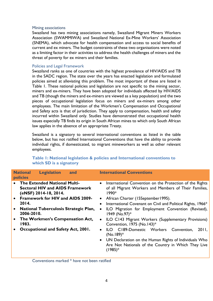#### Mining associations

Swaziland has two mining associations namely, Swaziland Migrant Miners Workers Association (SWAMMIWA) and Swaziland National Ex-Mine Workers' Association (SNEMA), which advocate for health compensation and access to social benefits of current and ex miners. The budget constraints of these two organisations were noted as a limiting factor in their activities to address the health challenges of miners and the threat of poverty for ex miners and their families.

#### Policies and Legal Framework

Swaziland ranks as one of countries with the highest prevalence of HIV/AIDS and TB in the SADC region. The state over the years has enacted legislation and formulated policies aimed at alleviating this problem. The most important of these are listed in Table 1. These national policies and legislation are not specific to the mining sector, miners and ex-miners. They have been adopted for individuals affected by HIV/AIDS and TB (though the miners and ex-miners are viewed as a key population) and the two pieces of occupational legislation focus on miners and ex-miners among other employees. The main limitation of the Workmen's Compensation and Occupational and Safety acts is that of jurisdiction. They apply to compensation, health and safety incurred within Swaziland only. Studies have demonstrated that occupational health issues especially TB finds its origin in South African mines to which only South African law applies in the absence of an appropriate Treaty.

Swaziland is a signatory to several international conventions as listed in the table below, but has not ratified International Conventions that have the ability to provide individual rights, if domesticated, to migrant mineworkers as well as other relevant employees.

| <b>National</b><br><b>Legislation</b><br>and<br><b>policies</b>                                                                              | <b>International Conventions</b>                                                                                                                                                            |
|----------------------------------------------------------------------------------------------------------------------------------------------|---------------------------------------------------------------------------------------------------------------------------------------------------------------------------------------------|
| <b>The Extended National Multi-</b><br><b>Sectoral HIV and AIDS Framework</b><br>(eNSF) 2014-18, 2014.<br>• Framework for HIV and AIDS 2009- | International Convention on the Protection of the Rights<br>$\bullet$<br>of all Migrant Workers and Members of Their Families,<br>1990*<br>African Charter (15September 1995).<br>$\bullet$ |
| 2014.                                                                                                                                        | International Covenant on Civil and Political Rights, 1966*<br>$\bullet$                                                                                                                    |
| <b>National Tuberculosis Strategic Plan,</b><br>2006-2010.                                                                                   | ILO Migration for Employment Convention (Revised),<br>$\bullet$<br>1949 (No.97)*                                                                                                            |
| The Workmen's Compensation Act,<br>1983.                                                                                                     | ILO C143 Migrant Workers (Supplementary Provisions)<br>$\bullet$<br>Convention, 1975 (No.143)*                                                                                              |
| Occupational and Safety Act, 2001.                                                                                                           | ILO C189-Domestic Workers Convention,<br>2011,<br>$\bullet$<br>$(No.189)^*$                                                                                                                 |
|                                                                                                                                              | • UN Declaration on the Human Rights of Individuals Who<br>Are Not Nationals of the Country in Which They Live<br>$(1985)*$                                                                 |

# **Table 1: National legislation & policies and International conventions to which SD is a signatory**

Conventions marked \* have not been ratified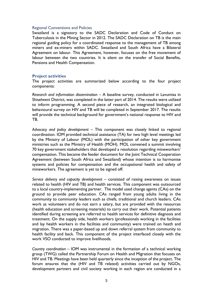#### Regional Conventions and Policies

Swaziland is a signatory to the SADC Declaration and Code of Conduct on Tuberculosis in the Mining Sector in 2012. The SADC Declaration on TB is the main regional guiding policy for a coordinated response to the management of TB among miners and ex-miners within SADC. Swaziland and South Africa have a Bilateral Agreement on labour. This Agreement, however, focuses on the free movement of labour between the two countries. It is silent on the transfer of Social Benefits, Pensions and Health Compensation.

#### **Project activities**

The project activities are summarized below according to the four project components:

*Research and information dissemination –* A baseline survey, conducted in Lavumisa in Shiselweni District, was completed in the latter part of 2014. The results were utilized to inform programming. A second piece of research, an integrated biological and behavioural survey on HIV and TB will be completed in September 2017. The results will provide the technical background for government's national response to HIV and TB.

*Advocacy and policy development –* This component was closely linked to regional coordination. IOM provided technical assistance (TA) for two high level meetings led by the Ministry of Labour (MOL) with the participation of other key government ministries such as the Ministry of Health (MOH). MOL convened a summit involving 70 key government stakeholders that developed a resolution regarding mineworkers' compensation. This became the feeder document for the Joint Technical Cooperation Agreement (between South Africa and Swaziland) whose intention is to harmonise systems and policies for compensation and the occupational health and safety of mineworkers. The agreement is yet to be signed off.

*Service delivery and capacity development –* consisted of raising awareness on issues related to health (HIV and TB) and health services. This component was outsourced to a local country-implementing partner. The model used change agents (CAs) on the ground to provide peer education. CAs ranged from young adults living in the community to community leaders such as chiefs, traditional and church leaders. CAs work as volunteers and do not earn a salary, but are provided with the resources (health education and screening materials) to carry out their work. Potential patients identified during screening are referred to health services for definitive diagnosis and treatment. On the supply side, health workers (professionals working in the facilities and lay health workers in the facilities and community) were trained on heath and migration. There was a paper-based up and down referral system from community to health facility and back. This component of the project interfaced closely with the work VSO conducted to improve livelihoods.

*Country coordination –* IOM was instrumental in the formation of a technical working group (TWG) called the Partnership Forum on Health and Migration that focuses on HIV and TB. Meetings have been held quarterly since the inception of the project. The forum ensures that the (HIV and TB related) activities carried out by NGOs, development partners and civil society working in each region are conducted in a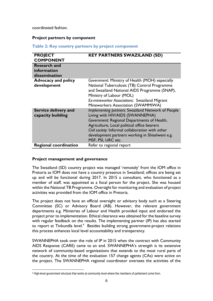coordinated fashion.

### **Project partners by component**

|  |  |  |  |  | Table 2: Key country partners by project component |
|--|--|--|--|--|----------------------------------------------------|
|--|--|--|--|--|----------------------------------------------------|

| <b>PROJECT</b><br><b>COMPONENT</b>        | <b>KEY PARTNERS SWAZILAND (SD)</b>                                                                                                                                                                                                                                                                                |
|-------------------------------------------|-------------------------------------------------------------------------------------------------------------------------------------------------------------------------------------------------------------------------------------------------------------------------------------------------------------------|
| <b>Research and</b>                       |                                                                                                                                                                                                                                                                                                                   |
| information                               |                                                                                                                                                                                                                                                                                                                   |
| dissemination                             |                                                                                                                                                                                                                                                                                                                   |
| <b>Advocacy and policy</b><br>development | Government: Ministry of Health (MOH) especially<br>National Tuberculosis (TB) Control Programme<br>and Swaziland National AIDS Programme (SNAP),<br>Ministry of Labour (MOL)<br>Ex-mineworker Associations: Swaziland Migrant<br>Mineworkers Association (SWAMMIWA)                                               |
| Service delivery and<br>capacity building | Implementing partners: Swaziland Network of People<br>Living with HIV/AIDS (SWANNEPHA)<br>Government: Regional Departments of Health,<br>Agriculture, Local political office bearers<br>Civil society: Informal collaboration with other<br>development partners working in Shiselweni e.g.<br>MSF, PSI, URC etc. |
| <b>Regional coordination</b>              | Refer to regional report                                                                                                                                                                                                                                                                                          |

#### **Project management and governance**

 $\overline{\phantom{a}}$ 

The Swaziland (SD) country project was managed 'remotely' from the IOM office in Pretoria as IOM does not have a country presence in Swaziland; offices are being set up and will be functional during 2017. In 2015 a consultant, who functioned as a member of staff, was appointed as a focal person for the project. She was housed within the National TB Programme. Oversight for monitoring and evaluation of project activities was provided from the IOM office in Pretoria.

The project does not have an official oversight or advisory body such as a Steering Committee (SC) or Advisory Board (AB). However, the relevant government departments e.g. Ministries of Labour and Health provided input and endorsed the project prior to implementation. Ethical clearance was obtained for the baseline survey with regular feedback on the results. The implementing partner (IP) has also started to report at Tinkundla level.<sup>4</sup> Besides building strong government-project relations this process enhances local level accountability and transparency.

SWANNEPHA took over the role of IP in 2015 when the contract with Community AIDS Response (CARE) came to an end. SWANNEPHA's strength is its extensive network of community-based organizations that extends to the most rural parts of the country. At the time of the evaluation 157 change agents (CAs) were active on the project. The SWANNEPHA regional coordinator oversees the activities of the

<sup>4</sup> High-level government structure that works at community level where the members of parliament come from.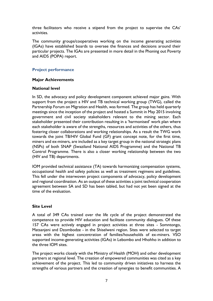three facilitators who receive a stipend from the project to supervise the CAs' activities.

The community groups/cooperatives working on the income generating activities (IGAs) have established boards to oversee the finances and decisions around their particular projects. The IGAs are presented in more detail in the Phoning out Poverty and AIDS (POPA) report.

# **Project performance**

# **Major Achievements**

### **National level**

In SD, the advocacy and policy development component achieved major gains. With support from the project a HIV and TB technical working group (TWG), called the Partnership Forum on Migration and Health, was formed. The group has held quarterly meetings since the inception of the project and hosted a Summit in May 2015 involving government and civil society stakeholders relevant to the mining sector. Each stakeholder presented their contribution resulting in a 'harmonised' work plan where each stakeholder is aware of the strengths, resources and activities of the others, thus fostering closer collaborations and working relationships. As a result the TWG work towards the joint TB/HIV Global Fund (GF) grant concept note, for the first time, miners and ex-miners, are included as a key target group in the national strategic plans (NSPs) of both SNAP (Swaziland National AIDS Programme) and the National TB Control Programme. There is also a closer working relationship between the two (HIV and TB) departments.

IOM provided technical assistance (TA) towards harmonizing compensation systems, occupational health and safety policies as well as treatment regimens and guidelines. This fell under the interwoven project components of advocacy, policy development and regional coordination. As an output of these activities a joint technical cooperation agreement between SA and SD has been tabled, but had not yet been signed at the time of the evaluation.

# **Site Level**

A total of 349 CAs trained over the life cycle of the project demonstrated the competence to provide HIV education and facilitate community dialogues. Of these 157 CAs were actively engaged in project activities at three sites - Somntongo, Matsanjeni and Dzombodze - in the Shiselweni region. Sites were selected to target areas with the highest concentration of families/households of ex-miners. VSO supported income-generating activities (IGAs) in Lebombo and Hhohho in addition to the three IOM sites.

The project works closely with the Ministry of Health (MOH) and other development partners at regional level. The creation of empowered communities was cited as a key achievement of the project. This led to community driven initiatives to harness the strengths of various partners and the creation of synergies to benefit communities. A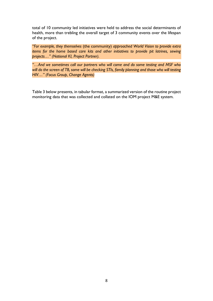total of 10 community led initiatives were held to address the social determinants of health, more than trebling the overall target of 3 community events over the lifespan of the project.

*"For example, they themselves* (the community) *approached World Vision to provide extra items for the home based care kits and other initiatives to provide pit latrines, sewing projects…" (National KI, Project Partner).*

*"…And we sometimes call our partners who will come and do some testing and MSF who*  will do the screen of TB, some will be checking STIs, family planning and those who will testing *HIV…" (Focus Group, Change Agents)*

Table 3 below presents, in tabular format, a summarized version of the routine project monitoring data that was collected and collated on the IOM project M&E system.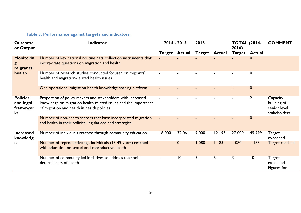# **Table 3: Performance against targets and indicators**

| <b>Outcome</b><br>or Output                    | <b>Indicator</b>                                                                                                                                                             |        | 2014 - 2015<br>2016  |                      |        | <b>TOTAL (2014-</b><br>2016) |                  | <b>COMMENT</b>                                          |
|------------------------------------------------|------------------------------------------------------------------------------------------------------------------------------------------------------------------------------|--------|----------------------|----------------------|--------|------------------------------|------------------|---------------------------------------------------------|
|                                                |                                                                                                                                                                              |        | <b>Target Actual</b> | <b>Target Actual</b> |        | <b>Target Actual</b>         |                  |                                                         |
| <b>Monitorin</b><br>g<br>migrants'             | Number of key national routine data collection instruments that<br>incorporate questions on migration and health                                                             |        |                      |                      |        |                              | $\mathbf 0$      |                                                         |
| health                                         | Number of research studies conducted focused on migrants'<br>health and migration-related health issues                                                                      |        |                      |                      |        |                              | 0                |                                                         |
|                                                | One operational migration health knowledge sharing platform                                                                                                                  |        |                      |                      |        |                              | $\boldsymbol{0}$ |                                                         |
| <b>Policies</b><br>and legal<br>framewor<br>ks | Proportion of policy makers and stakeholders with increased<br>knowledge on migration health related issues and the importance<br>of migration and health in health policies |        |                      |                      |        |                              | $\overline{2}$   | Capacity<br>building of<br>senior level<br>stakeholders |
|                                                | Number of non-health sectors that have incorporated migration<br>and health in their policies, legislations and strategies                                                   |        |                      |                      |        |                              | $\boldsymbol{0}$ |                                                         |
| <b>Increased</b><br>knowledg                   | Number of individuals reached through community education                                                                                                                    | 18 000 | 32 061               | 9 0 0 0              | 12 195 | 27 000                       | 45 999           | Target<br>exceeded                                      |
| e                                              | Number of reproductive age individuals (15-49 years) reached<br>with education on sexual and reproductive health                                                             |        | $\boldsymbol{0}$     | 1080                 | 1183   | 1080                         | 1183             | Target reached                                          |
|                                                | Number of community led initiatives to address the social<br>determinants of health                                                                                          |        | $\overline{10}$      | 3                    | 5      | 3                            | $\overline{10}$  | Target<br>exceeded.<br>Figures for                      |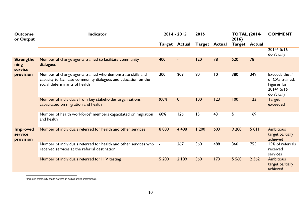| <b>Outcome</b><br>or Output             | <b>Indicator</b><br>$2014 - 2015$                                                                                                                              |                      |             | 2016                 |     | <b>TOTAL (2014-</b><br>2016) |         | <b>COMMENT</b>                                                                 |  |
|-----------------------------------------|----------------------------------------------------------------------------------------------------------------------------------------------------------------|----------------------|-------------|----------------------|-----|------------------------------|---------|--------------------------------------------------------------------------------|--|
|                                         |                                                                                                                                                                | <b>Target Actual</b> |             | <b>Target Actual</b> |     | <b>Target Actual</b>         |         |                                                                                |  |
|                                         |                                                                                                                                                                |                      |             |                      |     |                              |         | 2014/15/16<br>don't tally                                                      |  |
| <b>Strengthe</b><br>ning<br>service     | Number of change agents trained to facilitate community<br>dialogues                                                                                           | 400                  | ٠           | 120                  | 78  | 520                          | 78      |                                                                                |  |
| provision                               | Number of change agents trained who demonstrate skills and<br>capacity to facilitate community dialogues and education on the<br>social determinants of health | 300                  | 209         | 80                   | 10  | 380                          | 349     | Exceeds the $#$<br>of CAs trained.<br>Figures for<br>2014/15/16<br>don't tally |  |
|                                         | Number of individuals from key stakeholder organisations<br>capacitated on migration and health                                                                | !00%                 | $\mathbf 0$ | 100                  | 123 | 100                          | 123     | <b>Target</b><br>exceeded                                                      |  |
|                                         | Number of health workforce <sup>5</sup> members capacitated on migration<br>and health                                                                         | 60%                  | 126         | 15                   | 43  | ??                           | 169     |                                                                                |  |
| <b>Improved</b><br>service<br>provision | Number of individuals referred for health and other services                                                                                                   | 8 0 0 0              | 4 4 0 8     | 1200                 | 603 | 9 200                        | 5011    | <b>Ambitious</b><br>target partially<br>achieved                               |  |
|                                         | Number of individuals referred for health and other services who<br>received services at the referral destination                                              | $\sim$ $-$           | 267         | 360                  | 488 | 360                          | 755     | 15% of referrals<br>received<br>services                                       |  |
|                                         | Number of individuals referred for HIV testing                                                                                                                 | 5 200                | 2 189       | 360                  | 173 | 5 5 6 0                      | 2 3 6 2 | <b>Ambitious</b><br>target partially<br>achieved                               |  |

 5 Includes community health workers as well as health professionals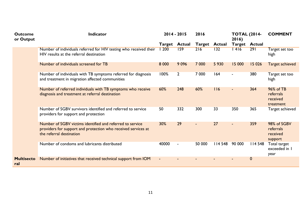| <b>Outcome</b><br>or Output | <b>Indicator</b>                                                                                                                                       |                | $2014 - 2015$  | 2016    |                      | <b>TOTAL (2014-</b><br>2016) |               | <b>COMMENT</b>                                  |
|-----------------------------|--------------------------------------------------------------------------------------------------------------------------------------------------------|----------------|----------------|---------|----------------------|------------------------------|---------------|-------------------------------------------------|
|                             |                                                                                                                                                        | <b>Target</b>  | <b>Actual</b>  |         | <b>Target Actual</b> | <b>Target</b>                | <b>Actual</b> |                                                 |
|                             | Number of individuals referred for HIV testing who received their<br>HIV results at the referral destination                                           | 1200           | 159            | 216     | 132                  | 1416                         | 291           | Target set too<br>high                          |
|                             | Number of individuals screened for TB                                                                                                                  | 8 0 0 0        | 9 0 9 6        | 7 0 0 0 | 5 9 3 0              | 15 000                       | 15 0 26       | <b>Target achieved</b>                          |
|                             | Number of individuals with TB symptoms referred for diagnosis<br>and treatment in migration affected communities                                       | 100%           | $\overline{2}$ | 7 0 0 0 | 164                  |                              | 380           | Target set too<br>high                          |
|                             | Number of referred individuals with TB symptoms who receive<br>diagnosis and treatment at referral destination                                         | 60%            | 248            | 60%     | 116                  |                              | 364           | 96% of TB<br>referrals<br>received<br>treatment |
|                             | Number of SGBV survivors identified and referred to service<br>providers for support and protection                                                    | 50             | 332            | 300     | 33                   | 350                          | 365           | Target achieved                                 |
|                             | Number of SGBV victims identified and referred to service<br>providers for support and protection who received services at<br>the referral destination | 30%            | 29             |         | 27                   |                              | 359           | 98% of SGBV<br>referrals<br>received<br>support |
|                             | Number of condoms and lubricants distributed                                                                                                           | 40000          | $\blacksquare$ | 50 000  | <b>II4 548</b>       | 90 000                       | 114 548       | Total target<br>exceeded in I<br>year           |
| <b>Multisecto</b><br>ral    | Number of initiatives that received technical support from IOM                                                                                         | $\blacksquare$ |                |         |                      |                              | $\mathbf 0$   |                                                 |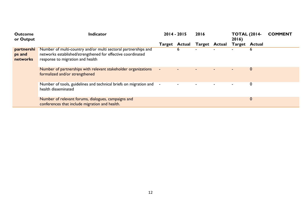| <b>Outcome</b><br>or Output      | Indicator                                                                                                                                                         |                | $2014 - 2015$ |                      | 2016 |                      | <b>TOTAL (2014-</b> | <b>COMMENT</b> |
|----------------------------------|-------------------------------------------------------------------------------------------------------------------------------------------------------------------|----------------|---------------|----------------------|------|----------------------|---------------------|----------------|
|                                  |                                                                                                                                                                   | Target         | Actual        | <b>Target Actual</b> |      | <b>Target Actual</b> |                     |                |
| partnershi<br>ps and<br>networks | Number of multi-country and/or multi sectoral partnerships and<br>networks established/strengthened for effective coordinated<br>response to migration and health |                | 6             |                      |      |                      | 6                   |                |
|                                  | Number of partnerships with relevant stakeholder organizations<br>formalized and/or strengthened                                                                  | $\blacksquare$ |               |                      |      | -                    | $\boldsymbol{0}$    |                |
|                                  | Number of tools, guidelines and technical briefs on migration and<br>health disseminated                                                                          | $\blacksquare$ |               |                      |      | ۰                    | 0                   |                |
|                                  | Number of relevant forums, dialogues, campaigns and<br>conferences that include migration and health.                                                             |                |               |                      |      |                      | $\boldsymbol{0}$    |                |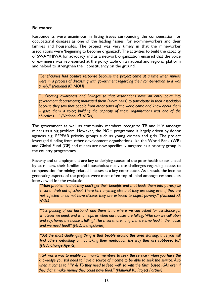### **Relevance**

Respondents were unanimous in listing issues surrounding the compensation for occupational diseases as one of the leading 'issues' for ex-mineworkers and their families and households. The project was very timely in that the mineworker associations were 'beginning to become organized'. The activities to build the capacity of SWAMMIWA for advocacy and as a network organization ensured that the voice of ex-miners was represented at the policy table on a national and regional platform and helped to strengthen their constituency on the ground.

*"Beneficiaries had positive response because the project came at a time when miners were in a process of discussing with government regarding their compensation so it was timely." (National KI, MOH)*

*"…Creating awareness and linkages so that associations have an entry point into government departments; motivated them* (ex-miners) *to participate in their association because they saw that people from other parts of the world came and know about them – gave them a voice; building the capacity of these organisations was one of the objectives…" (National KI, MOH)*

The government as well as community members recognize TB and HIV amongst miners as a big problem. However, the MOH programme is largely driven by donor agendas e.g. PEPFAR priority groups such as young women and girls. The project leveraged funding from other development organisations like the World Bank (WB) and Global Fund (GF) and miners are now specifically targeted as a priority group in the country programmes.

Poverty and unemployment are key underlying causes of the poor health experienced by ex-miners, their families and households; many cite challenges regarding access to compensation for mining-related illnesses as a key contributor. As a result, the income generating aspects of the project were most often top of mind amongst respondents interviewed for the evaluation.

*"Main problem is that they don't get their benefits and that leads them into poverty so children drop out of school. There isn't anything else that they are doing even if they are not infected or do not have silicosis they are exposed to abject poverty." (National KI, MOL)*

*"It is passing of our husband, and there is no where we can asked for assistance for whatever we need, and who helps us when our houses are falling. Who can we call upon and say, honey the house is falling? The children are hungry, there is no food in the house, and we need food!" (FGD, Beneficiaries)*

*"But the most challenging thing is that people around this area starving, thus you will find others defaulting or not taking their medication the way they are supposed to." (FGD, Change Agents)* 

*"IGA was a way to enable community members to seek the service - when you have the knowledge you still need to have a source of income to be able to seek the service. Also when it comes to HIV & TB they need to feed well, so with the farm based IGAs even if they didn't make money they could have food." (National KI, Project Partner)*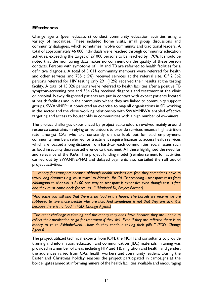### **Effectiveness**

Change agents (peer educators) conduct community education activities using a variety of modalities. These included home visits, small group discussions and community dialogues, which sometimes involve community and traditional leaders. A total of approximately 46 000 individuals were reached through community education activities, exceeding the target of 27 000 persons to be reached by 170%. It should be noted that the monitoring data makes no comment on the quality of these person contacts. Persons with symptoms of HIV and TB are referred to health facilities for a definitive diagnosis. A total of 5 011 community members were referred for health and other services and 755 (15%) received services at the referral site. Of 2 362 persons referred for HIV testing only 291 (12%) received their results at the testing facility. A total of 15 026 persons were referred to health facilities after a positive TB symptom-screening test and 364 (2%) received diagnosis and treatment at the clinic or hospital. Newly diagnosed patients are put in contact with expert patients located at health facilities and in the community where they are linked to community support groups. SWANNEPHA conducted an exercise to map all organisations in SD working in the sector and the close working relationship with SWAMMIWA enabled effective targeting and access to households in communities with a high number of ex-miners.

The project challenges experienced by project stakeholders revolved mainly around resource constraints – relying on volunteers to provide services meant a high attrition rate amongst CAs who are constantly on the look out for paid employment; community members referred for treatment require finances to access health services which are located a long distance from hard-to-reach communities; social issues such as food insecurity decrease adherence to treatment. All these highlighted the need for and relevance of the IGAs. The project funding model (reimbursement for activities carried out by SWANNEPHA) and delayed payments also curtailed the roll out of project activities.

*"…money for transport because although health services are free they sometimes have to travel long distances e.g. must travel to Manzini for CA Cx screening - transport costs from Nhlangano to Manzini is R100 one way so transport is expensive even though test is free and they must come back for results..." (National KI, Project Partner).* 

*"And some you will find that there is no food in the house. The parcels we receive we are supposed to give those people who are sick. And sometimes is not that they are sick, it is because there is no food." (FGD, Change Agents)*

*"The other challenge is clothing and the money they don't have because they are unable to collect their medication or go for treatment if they sick. Even if they are referred there is no money to go to Esithobelweni….how do they continue taking their pills.." (FGD, Change Agents)*

The project utilized technical experts from IOM, the MOH and consultants to provide training and information, education and communication (IEC) materials. Training was provided in a number of areas including HIV and TB, migration and health, and gender; the audiences varied from CAs, health workers and community leaders. During the Easter and Christmas holiday seasons the project participated in campaigns at the border gates aimed at informing miners of the health facilities available and encouraging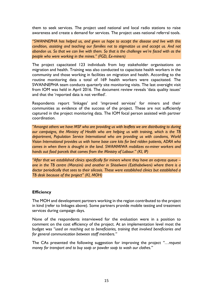them to seek services. The project used national and local radio stations to raise awareness and create a demand for services. The project uses national referral tools.

*"SWANNEPHA has helped us, and given us hope to accept the disease and live with this condition, assisting and teaching our families not to stigmatize us and accept us. And not abandon us. So that we can live with them. So that is the challenge we're faced with as the people who were working in the mines." (FGD, Ex-miners)*

The project capacitated 123 individuals from key stakeholder organisations on migration and health. Training was also conducted to capacitate health workers in the community and those working in facilities on migration and health. According to the routine monitoring data a total of 169 health workers were capacitated. The SWANNEPHA team conducts quarterly site monitoring visits. The last oversight visit from IOM was held in April 2016. The document review reveals 'data quality issues' and that the 'reported data is not verified'.

Respondents report 'linkages' and 'improved services' for miners and their communities as evidence of the success of the project. These are not sufficiently captured in the project monitoring data. The IOM focal person assisted with partner coordination.

*"Amongst others we have MSF who are providing us with leaflets we are distributing to during our campaigns, the Ministry of Health who are helping us with training, which is the TB department, Population Service International who are providing us with condoms, World Vision International provides us with home base care kits for bed ridden patients, ADRA who comes in when there is drought in the land. SWAMMIWA mobilizes ex-miner workers and hands out food parcels that comes from the Ministry of Labour." (KI, IP)*

*"After that we established clinics specifically for miners where they have an express queue – one in the TB centre (Manzini) and another in Shiselweni (Esithobelweni) where there is a doctor periodically that sees to their silicosis. These were established clinics but established a TB desk because of the project" (KI, MOH)*

#### **Efficiency**

The MOH and development partners working in the region contributed to the project in kind (refer to linkages above). Some partners provide mobile testing and treatment services during campaign days.

None of the respondents interviewed for the evaluation were in a position to comment on the cost efficiency of the project. At an implementation level most the budget was *"used on reaching out to beneficiaries, training that involved beneficiaries and for general communication between staff members."* 

The CAs presented the following suggestion for improving the project *"…request money for transport and to buy soap or powder soap to wash our clothes."*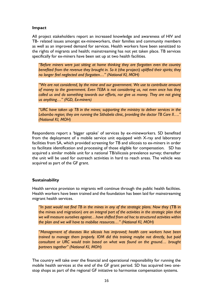### **Impact**

All project stakeholders report an increased knowledge and awareness of HIV and TB- related issues amongst ex-mineworkers, their families and community members as well as an improved demand for services. Health workers have been sensitized to the rights of migrants and health; mainstreaming has not yet taken place. TB services specifically for ex-miners have been set up at two health facilities.

*"Before miners were just sitting at home thinking they are forgotten even the country benefited from the revenue they brought in. So it* (the project) *uplifted their spirits; they no longer feel neglected and forgotten…" (National KI, MOH)*

*"We are not considered, by the mine and our government. We use to contribute amount of money to the government. Even TEBA is not considering us, not even once has they called us and do something towards our efforts, nor give us money. They are not giving us anything…" (FGD, Ex-miners)*

*"URC have taken up TB in the mines; supporting the ministry to deliver services in the Lebombo region; they are running the Sithobela clinic, providing the doctor TB Care II…." (National KI, MOH)*

Respondents report a 'bigger uptake' of services by ex-mineworkers. SD benefited from the deployment of a mobile service unit equipped with X-ray and laboratory facilities from SA, which provided screening for TB and silicosis to ex-miners in order to facilitate identification and processing of those eligible for compensation. SD has acquired a similar mobile unit for a national TB/silicosis prevalence survey; thereafter the unit will be used for outreach activities in hard to reach areas. The vehicle was acquired as part of the GF grant.

# **Sustainability**

Health service provision to migrants will continue through the public health facilities. Health workers have been trained and the foundation has been laid for mainstreaming migrant health services.

*"In past would not find TB in the mines in any of the strategic plans. Now they* (TB in the mines and migration) *are an integral part of the activities in the strategic plan that we will measure ourselves against…have shifted from ad hoc to structured activities within the plan and we will have to mobilise resources…" (National KI, MOH)* 

*"Management of diseases like silicosis has improved; health care workers have been trained to manage them properly. IOM did this training maybe not directly, but paid consultant or URC would train based on what was found on the ground… brought partners together" (National KI, MOH)*

The country will take over the financial and operational responsibility for running the mobile health services at the end of the GF grant period. SD has acquired two onestop shops as part of the regional GF initiative to harmonise compensation systems.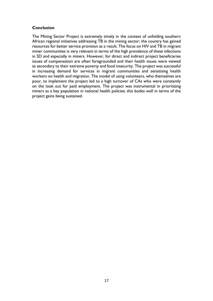# **Conclusion**

The Mining Sector Project is extremely timely in the context of unfolding southern African regional initiatives addressing TB in the mining sector; the country has gained resources for better service provision as a result. The focus on HIV and TB in migrant miner communities is very relevant in terms of the high prevalence of these infections in SD and especially in miners. However, for direct and indirect project beneficiaries issues of compensation are often foregrounded and their health issues were viewed as secondary to their extreme poverty and food insecurity. The project was successful in increasing demand for services in migrant communities and sensitising health workers on health and migration. The model of using volunteers, who themselves are poor, to implement the project led to a high turnover of CAs who were constantly on the look out for paid employment. The project was instrumental in prioritizing miners as a key population in national health policies; this bodes well in terms of the project gains being sustained.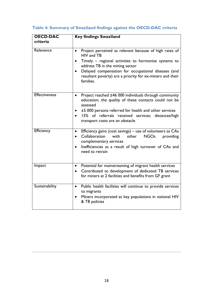| <b>OECD-DAC</b><br>criteria | <b>Key findings Swaziland</b>                                                                                                                                                                                                                                                                                                           |
|-----------------------------|-----------------------------------------------------------------------------------------------------------------------------------------------------------------------------------------------------------------------------------------------------------------------------------------------------------------------------------------|
| Relevance                   | Project perceived as relevant because of high rates of<br>$\bullet$<br>HIV and TB<br>Timely – regional activities to harmonise systems to<br>$\bullet$<br>address TB in the mining sector<br>Delayed compensation for occupational diseases (and<br>$\bullet$<br>resultant poverty) are a priority for ex-miners and their<br>families. |
| <b>Effectiveness</b>        | Project reached ±46 000 individuals through community<br>$\bullet$<br>education; the quality of these contacts could not be<br>assessed<br>±5 000 persons referred for health and other services<br>15% of referrals received services; distances/high<br>transport costs are an obstacle                                               |
| Efficiency                  | Efficiency gains (cost savings) - use of volunteers as CAs<br>$\bullet$<br>Collaboration<br>other<br><b>NGOs</b><br>with<br>providing<br>$\bullet$<br>complementary services<br>Inefficiencies as a result of high turnover of CAs and<br>need to retrain                                                                               |
| Impact                      | Potential for mainstreaming of migrant health services<br>٠<br>Contributed to development of dedicated TB services<br>$\bullet$<br>for miners at 2 facilities and benefits from GF grant                                                                                                                                                |
| Sustainability              | Public health facilities will continue to provide services<br>$\bullet$<br>to migrants<br>Miners incorporated as key populations in national HIV<br>& TB policies                                                                                                                                                                       |

# **Table 4: Summary of Swaziland findings against the OECD-DAC criteria**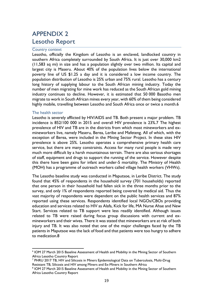# APPENDIX 2 Lesotho Report

#### Country context

Lesotho, officially the Kingdom of Lesotho is an enclaved, landlocked country in southern Africa completely surrounded by South Africa. It is just over 30,000 km2 (11,583 sq mi) in size and has a population slightly over two million. Its capital and largest city is Maseru. About 40% of the population lives below the international poverty line of US \$1.25 a day and it is considered a low income country. The population distribution of Lesotho is 25% urban and 75% rural. Lesotho has a century long history of supplying labour to the South African mining industry. Today the number of men migrating for mine work has reduced as the South African gold mining industry continues to decline. However, it is estimated that 50 000 Basotho men migrate to work in South African mines every year, with 60% of them being considered highly mobile, travelling between Lesotho and South Africa once or twice a month.6

#### The health sector

Lesotho is severely afflicted by HIV/AIDS and TB. Both present a major problem. TB incidence is 852/100 000 in 2015 and overall HIV prevalence is 23%.7 The highest prevalence of HIV and TB are in the districts from which most mineworkers and exmineworkers live, namely Maseru, Berea, Leribe and Mafeteng. All of which, with the exception of Berea, were included in the Mining Sector Project. In these sites HIV prevalence is above 25%. Lesotho operates a comprehensive primary health care service, but there are many constraints. Access for many rural people is made very much more difficult by a harsh mountainous terrain. There are also serious shortages of staff, equipment and drugs to support the running of the service. However despite this there have been gains for infant and under-5 mortality. The Ministry of Health (MOH) has a programme of outreach workers called village health workers (VHWs).

The Lesotho baseline study was conducted in Maputsoe, in Leribe District. The study found that 45% of respondents in the household survey (701 households) reported that one person in their household had fallen sick in the three months prior to the survey, and only 1% of respondents reported being covered by medical aid. Thus the vast majority of respondents were dependent on the public health services and 87% reported using these services. Respondents identified local NGOs/CBOs providing education and services related to HIV as Alafa, Kick for life, MA Nurse Ahae and New Start. Services related to TB support were less readily identified. Although issues related to TB were raised during focus group discussions with current and exmineworkers and their wives. There it was stated that mineworkers are at risk of both injury and TB. It was also noted that one of the major challenges faced by the TB patients in Maputsoe was the lack of food and that patients were too hungry to adhere to medication.8

 $\overline{a}$ 6 IOM 27 March 2015 Baseline Assessment of Health and Mobility in the Mining Sector of Southern Africa Lesotho Country Report

<sup>&</sup>lt;sup>7</sup> PHRU 2017 TB, HIV and Silicosis in Miners Epidemiological Data on Tuberculosis, Multi-Drug Resistant TB, Silicosis and HIV among Miners and Ex-Miners in Southern Africa

<sup>&</sup>lt;sup>8</sup> IOM 27 March 2015 Baseline Assessment of Health and Mobility in the Mining Sector of Southern Africa Lesotho Country Report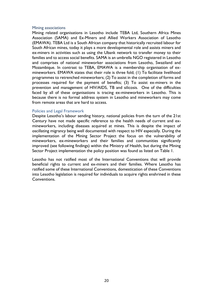#### Mining associations

Mining related organisations in Lesotho include TEBA Ltd, Southern Africa Mines Association (SAMA) and Ex-Miners and Allied Workers Association of Lesotho (EMAWA). TEBA Ltd is a South African company that historically recruited labour for South African mines, today it plays a more developmental role and assists miners and ex-miners in activities such as using the Ubank network to transfer money to their families and to access social benefits. SAMA is an umbrella NGO registered in Lesotho and comprises of national mineworker associations from Lesotho, Swaziland and Mozambique. In contrast to TEBA, EMAWA is a membership organisation of exmineworkers. EMAWA states that their role is three fold; (1) To facilitate livelihood programmes to retrenched mineworkers; (2) To assist in the completion of forms and processes required for the payment of benefits; (3) To assist ex-miners in the prevention and management of HIV/AIDS, TB and silicosis. One of the difficulties faced by all of these organisations is tracing ex-mineworkers in Lesotho. This is because there is no formal address system in Lesotho and mineworkers may come from remote areas that are hard to access.

#### Policies and Legal Framework

Despite Lesotho's labour sending history, national policies from the turn of the 21st Century have not made specific reference to the health needs of current and exmineworkers, including diseases acquired at mines. This is despite the impact of oscillating migrancy being well documented with respect to HIV especially. During the implementation of the Mining Sector Project the focus on the vulnerability of mineworkers, ex-mineworkers and their families and communities significantly improved (see following findings) within the Ministry of Health, but during the Mining Sector Project implementation the policy position was found as listed on Table 1.

Lesotho has not ratified most of the International Conventions that will provide beneficial rights to current and ex-miners and their families. Where Lesotho has ratified some of these International Conventions, domestication of these Conventions into Lesotho legislation is required for individuals to acquire rights enshrined in these Conventions.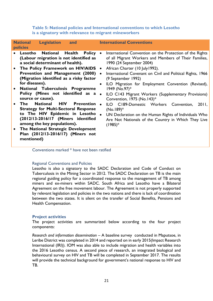| <b>National</b><br><b>Legislation</b><br>and<br><b>policies</b>                                                                                                                                                                                                                                                                                                                                                                                                                                                                                                                                                                                                                                   | <b>International Conventions</b>                                                                                                                                                                                                                                                                                                                                                                                                                                                                                                                                                                                                                          |
|---------------------------------------------------------------------------------------------------------------------------------------------------------------------------------------------------------------------------------------------------------------------------------------------------------------------------------------------------------------------------------------------------------------------------------------------------------------------------------------------------------------------------------------------------------------------------------------------------------------------------------------------------------------------------------------------------|-----------------------------------------------------------------------------------------------------------------------------------------------------------------------------------------------------------------------------------------------------------------------------------------------------------------------------------------------------------------------------------------------------------------------------------------------------------------------------------------------------------------------------------------------------------------------------------------------------------------------------------------------------------|
| <b>National</b><br>Health<br>• Lesotho<br>Policy •<br>(Labour migration is not identified as<br>a social determinant of health).<br>• The Policy Framework on HIV/AIDS .<br>Prevention and Management (2000)<br>(Migration identified as a risky factor<br>for diseases).<br>National Tuberculosis Programme<br>$\bullet$<br>Policy (Mines not identified as a .<br>source or cause).<br>National HIV<br><b>Prevention</b><br>The<br>$\bullet$<br><b>Strategy for Multi-Sectoral Response</b><br>to The HIV Epidemic in Lesotho<br>(2012/13-2016/17 (Miners identified<br>among the key populations).<br>• The National Strategic Development<br>Plan (2012/13-2016/17) (Miners not<br>mentioned) | International Convention on the Protection of the Rights<br>of all Migrant Workers and Members of Their Families,<br>1990 (24 September 2004)<br>African Charter (10 July 1992).<br>International Covenant on Civil and Political Rights, 1966<br>$\bullet$<br>(9 September 1992)<br>ILO Migration for Employment Convention (Revised),<br>$\bullet$<br>1949 (No.97)*<br>ILO C143 Migrant Workers (Supplementary Provisions)<br>Convention, 1975 (No.143)*<br>ILO C189-Domestic Workers Convention,<br>2011,<br>$(No.189)^*$<br>UN Declaration on the Human Rights of Individuals Who<br>Are Not Nationals of the Country in Which They Live<br>$(1985)*$ |

**Table 5: National policies and International conventions to which Lesotho is a signatory with relevance to migrant mineworkers**

Conventions marked \* have not been ratified

#### Regional Conventions and Policies

Lesotho is also a signatory to the SADC Declaration and Code of Conduct on Tuberculosis in the Mining Sector in 2012. The SADC Declaration on TB is the main regional guiding policy for a coordinated response to the management of TB among miners and ex-miners within SADC. South Africa and Lesotho have a Bilateral Agreement on the free movement labour. The Agreement is not properly supported by relevant legislation and policies in the two nations and there is lack of coordination between the two states. It is silent on the transfer of Social Benefits, Pensions and Health Compensation.

#### **Project activities**

The project activities are summarized below according to the four project components:

*Research and information dissemination –* A baseline survey conducted in Maputsoe, in Leribe District was completed in 2014 and reported on in early 2015(Impact Research International (IRI)). IOM was also able to include migration and health variables into the 2016 Lesotho census. A second piece of research, an integrated biological and behavioural survey on HIV and TB will be completed in September 2017. The results will provide the technical background for government's national response to HIV and TB.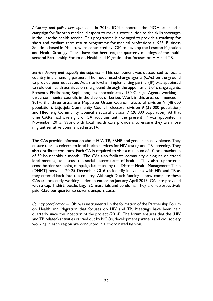*Advocacy and policy development –* In 2014, IOM supported the MOH launched a campaign for Basotho medical diaspora to make a contribution to the skills shortages in the Lesotho health service. This programme is envisaged to provide a roadmap for short and medium term return programme for medical professionals. KESI Business Solutions based in Maseru were contracted by IOM to develop the Lesotho Migration and Health Strategy. There have also been regular quarterly meetings of the multisectoral Partnership Forum on Health and Migration that focuses on HIV and TB.

*Service delivery and capacity development –* This component was outsourced to local a country-implementing partner. The model used change agents (CAs) on the ground to provide peer education. At a site level an implementing partner(IP) was appointed to role out health activities on the ground through the appointment of change agents. Presently Phelisanang Bophelong has approximately 150 Change Agents working in three community councils in the district of Leribe. Work in this area commenced in 2014, the three areas are Maputsoe Urban Council, electoral division 9 (48 000 population), Litjotjela Community Council, electoral division 9 (22 000 population) and Hleoheng Community Council electoral division 7 (28 000 population). At that time CARe had oversight of CA activities until the present IP was appointed in November 2015. Work with local health care providers to ensure they are more migrant sensitive commenced in 2014.

The CAs provide information about HIV, TB, SRHR and gender based violence. They ensure there is referral to local health services for HIV testing and TB screening. They also distribute condoms. Each CA is required to visit a minimum of 10 or a maximum of 50 households a month. The CAs also facilitate community dialogues or attend local meetings to discuss the social determinants of health. They also supported a cross-border screening campaign facilitated by the District Health Management Team (DHMT) between 20-25 December 2016 to identify individuals with HIV and TB as they entered back into the country. Although Dutch funding is now complete these CAs are presently working under an extension January-April 2017. CAs are provided with a cap, T-shirt, bottle, bag, IEC materials and condoms. They are retrospectively paid R350 per quarter to cover transport costs.

*Country coordination –* IOM was instrumental in the formation of the Partnership Forum on Health and Migration that focuses on HIV and TB. Meetings have been held quarterly since the inception of the project (2014). The forum ensures that the (HIV and TB related) activities carried out by NGOs, development partners and civil society working in each region are conducted in a coordinated fashion.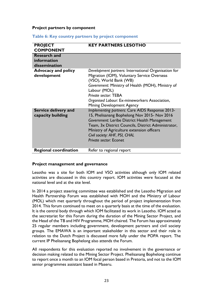#### **Project partners by component**

| <b>PROJECT</b><br><b>COMPONENT</b>                  | <b>KEY PARTNERS LESOTHO</b>                                                                                                                                                                                                                                                                                      |
|-----------------------------------------------------|------------------------------------------------------------------------------------------------------------------------------------------------------------------------------------------------------------------------------------------------------------------------------------------------------------------|
| <b>Research and</b><br>information<br>dissemination |                                                                                                                                                                                                                                                                                                                  |
| <b>Advocacy and policy</b><br>development           | Development partners: International Organisation for<br>Migration (IOM), Voluntary Service Overseas<br>(VSO), World Bank (WB)<br>Government: Ministry of Health (MOH), Ministry of<br>Labour (MOL)<br>Private sector: TEBA<br>Organised Labour: Ex-mineworkers Association,<br><b>Mining Development Agency</b>  |
| Service delivery and<br>capacity building           | Implementing partners: Care AIDS Response 2013-<br>15, Phelisanang Bophelong Nov 2015- Nov 2016<br>Government: Leribe District Health Management<br>Team, 3x District Councils, District Administrator,<br>Ministry of Agriculture extension officers<br>Civil society: AHF, PSI, CHAL<br>Private sector: Econet |
| <b>Regional coordination</b>                        | Refer to regional report                                                                                                                                                                                                                                                                                         |

#### **Table 6: Key country partners by project component**

#### **Project management and governance**

Lesotho was a site for both IOM and VSO activities although only IOM related activities are discussed in this country report. IOM activities were focused at the national level and at the site level.

In 2014 a project steering committee was established and the Lesotho Migration and Health Partnership Forum was established with MOH and the Ministry of Labour (MOL) which met quarterly throughout the period of project implementation from 2014. This forum continued to meet on a quarterly basis at the time of the evaluation. It is the central body through which IOM facilitated its work in Lesotho. IOM acted as the secretariat for this Forum during the duration of the Mining Sector Project, and the Head of the TB and HIV Programme, MOH chaired. The Forum has approximately 25 regular members including government, development partners and civil society groups. The EMAWA is an important stakeholder in this sector and their role in relation to the Dutch Project is discussed more fully under the POPA report. The current IP Phelisanang Bophelong also attends the Forum.

All respondents for this evaluation reported no involvement in the governance or decision making related to the Mining Sector Project. Phelisanang Bophelong continue to report once a month to an IOM focal person based in Pretoria, and not to the IOM senior programmes assistant based in Maseru.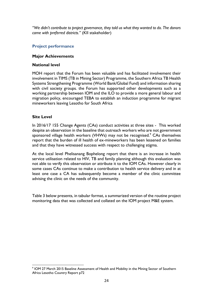*"We didn't contribute to project governance, they told us what they wanted to do. The donors came with preferred districts."* (KII stakeholder)

# **Project performance**

# **Major Achievements**

### **National level**

MOH report that the Forum has been valuable and has facilitated involvement their involvement in TIMS (TB in Mining Sector) Programme, the Southern Africa TB Health Systems Strengthening Programme (World Bank/Global Fund) and information sharing with civil society groups. the Forum has supported other developments such as a working partnership between IOM and the ILO to provide a more general labour and migration policy, encouraged TEBA to establish an induction programme for migrant mineworkers leaving Lesotho for South Africa

# **Site Level**

In 2016/17 155 Change Agents (CAs) conduct activities at three sites - This worked despite an observation in the baseline that outreach workers who are not government sponsored village health workers (VHWs) may not be recognised.<sup>9</sup> CAs themselves report that the burden of ill health of ex-mineworkers has been lessened on families and that they have witnessed success with respect to challenging stigma.

At the local level Phelisanang Bophelong report that there is an increase in health service utilisation related to HIV, TB and family planning although this evaluation was not able to verify this observation or attribute it to the IOM CAs. However clearly in some cases CAs continue to make a contribution to health service delivery and in at least one case a CA has subsequently become a member of the clinic committee advising the clinic on the needs of the community.

Table 3 below presents, in tabular format, a summarized version of the routine project monitoring data that was collected and collated on the IOM project M&E system.

 $\overline{a}$ 9 IOM 27 March 2015 Baseline Assessment of Health and Mobility in the Mining Sector of Southern Africa Lesotho Country Report p72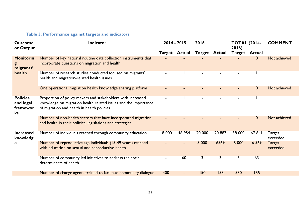# **Table 3: Performance against targets and indicators**

| <b>Outcome</b><br>or Output                    | Indicator                                                                                                                                                                    |                | $2014 - 2015$<br>2016 |         |                      | <b>TOTAL (2014-</b><br>2016) |              | <b>COMMENT</b>            |
|------------------------------------------------|------------------------------------------------------------------------------------------------------------------------------------------------------------------------------|----------------|-----------------------|---------|----------------------|------------------------------|--------------|---------------------------|
|                                                |                                                                                                                                                                              |                | <b>Target Actual</b>  |         | <b>Target Actual</b> | <b>Target Actual</b>         |              |                           |
| <b>Monitorin</b><br>migrants'                  | Number of key national routine data collection instruments that<br>incorporate questions on migration and health                                                             |                |                       |         |                      |                              | $\mathbf{0}$ | Not achieved              |
| health                                         | Number of research studies conducted focused on migrants'<br>health and migration-related health issues                                                                      |                |                       |         |                      |                              |              |                           |
|                                                | One operational migration health knowledge sharing platform                                                                                                                  |                |                       |         |                      |                              | $\mathbf{0}$ | Not achieved              |
| <b>Policies</b><br>and legal<br>framewor<br>ks | Proportion of policy makers and stakeholders with increased<br>knowledge on migration health related issues and the importance<br>of migration and health in health policies | $\blacksquare$ |                       |         |                      |                              |              |                           |
|                                                | Number of non-health sectors that have incorporated migration<br>and health in their policies, legislations and strategies                                                   |                |                       |         |                      |                              | $\mathbf{0}$ | Not achieved              |
| <b>Increased</b><br>knowledg                   | Number of individuals reached through community education                                                                                                                    | 18 000         | 46 954                | 20 000  | 20 887               | 38 000                       | 67 841       | Target<br>exceeded        |
| е                                              | Number of reproductive age individuals (15-49 years) reached<br>with education on sexual and reproductive health                                                             |                |                       | 5 0 0 0 | 6569                 | 5 0 0 0                      | 6 5 6 9      | <b>Target</b><br>exceeded |
|                                                | Number of community led initiatives to address the social<br>determinants of health                                                                                          | $\blacksquare$ | 60                    | 3       | 3                    | 3                            | 63           |                           |
|                                                | Number of change agents trained to facilitate community dialogue                                                                                                             | 400            |                       | 150     | 155                  | 550                          | 155          |                           |

Ī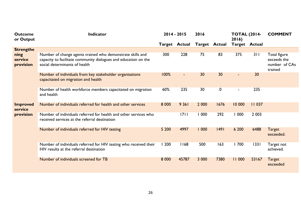| <b>Outcome</b><br>or Output  | Indicator                                                                                                                                                      |         | $2014 - 2015$  | 2016          |             | <b>TOTAL (2014-</b><br>2016) |         | <b>COMMENT</b>                                          |
|------------------------------|----------------------------------------------------------------------------------------------------------------------------------------------------------------|---------|----------------|---------------|-------------|------------------------------|---------|---------------------------------------------------------|
|                              |                                                                                                                                                                |         | Target Actual  | Target Actual |             | <b>Target Actual</b>         |         |                                                         |
| <b>Strengthe</b>             |                                                                                                                                                                |         |                |               |             |                              |         |                                                         |
| ning<br>service<br>provision | Number of change agents trained who demonstrate skills and<br>capacity to facilitate community dialogues and education on the<br>social determinants of health | 300     | 228            | 75            | 83          | 375                          | 311     | Total figure<br>exceeds the<br>number of CAs<br>trained |
|                              | Number of individuals from key stakeholder organisations<br>capacitated on migration and health                                                                | 100%    | $\blacksquare$ | 30            | 30          | $\blacksquare$               | 30      |                                                         |
|                              | Number of health workforce members capacitated on migration<br>and health                                                                                      | 60%     | 235            | 30            | $\mathbf 0$ | $\blacksquare$               | 235     |                                                         |
| <b>Improved</b><br>service   | Number of individuals referred for health and other services                                                                                                   | 8 0 0 0 | 9 3 6 1        | 2 0 0 0       | 1676        | 10 000                       | 11 037  |                                                         |
| provision                    | Number of individuals referred for health and other services who<br>received services at the referral destination                                              |         | 1711           | 1000          | 292         | 000                          | 2 0 0 3 |                                                         |
|                              | Number of individuals referred for HIV testing                                                                                                                 | 5 200   | 4997           | 1000          | 49          | 6 200                        | 6488    | <b>Target</b><br>exceeded.                              |
|                              | Number of individuals referred for HIV testing who received their<br>HIV results at the referral destination                                                   | 1200    | 168            | 500           | 163         | 1700                         | 1331    | Target not<br>achieved.                                 |
|                              | Number of individuals screened for TB                                                                                                                          | 8 0 0 0 | 45787          | 3 0 0 0       | 7380        | 11 000                       | 53167   | <b>Target</b><br>exceeded                               |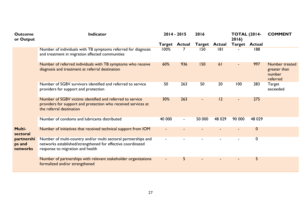| <b>Outcome</b><br>or Output                                   | Indicator                                                                                                                                                         | 2014 - 2015              |                      | 2016   |                      | <b>TOTAL (2014-</b><br>2016) |                      | <b>COMMENT</b>                                       |
|---------------------------------------------------------------|-------------------------------------------------------------------------------------------------------------------------------------------------------------------|--------------------------|----------------------|--------|----------------------|------------------------------|----------------------|------------------------------------------------------|
|                                                               |                                                                                                                                                                   |                          | <b>Target Actual</b> |        | <b>Target Actual</b> |                              | <b>Target Actual</b> |                                                      |
|                                                               | Number of individuals with TB symptoms referred for diagnosis<br>and treatment in migration affected communities                                                  | 100%                     |                      | 150    | 8                    |                              | 188                  |                                                      |
|                                                               | Number of referred individuals with TB symptoms who receive<br>diagnosis and treatment at referral destination                                                    | 60%                      | 936                  | 150    | 61                   |                              | 997                  | Number treated<br>greater than<br>number<br>referred |
|                                                               | Number of SGBV survivors identified and referred to service<br>providers for support and protection                                                               | 50                       | 263                  | 50     | 20                   | 100                          | 283                  | Target<br>exceeded                                   |
|                                                               | Number of SGBV victims identified and referred to service<br>providers for support and protection who received services at<br>the referral destination            | 30%                      | 263                  |        | 2                    | $\blacksquare$               | 275                  |                                                      |
|                                                               | Number of condoms and lubricants distributed                                                                                                                      | 40 000                   |                      | 50 000 | 48 0 29              | 90 000                       | 48 0 29              |                                                      |
| <b>Multi-</b><br>sectoral<br>partnershi<br>ps and<br>networks | Number of initiatives that received technical support from IOM                                                                                                    | $\overline{\phantom{0}}$ |                      |        |                      |                              | $\boldsymbol{0}$     |                                                      |
|                                                               | Number of multi-country and/or multi sectoral partnerships and<br>networks established/strengthened for effective coordinated<br>response to migration and health |                          |                      |        |                      |                              | 0                    |                                                      |
|                                                               | Number of partnerships with relevant stakeholder organizations<br>formalized and/or strengthened                                                                  | ٠                        | 5                    |        |                      |                              | 5                    |                                                      |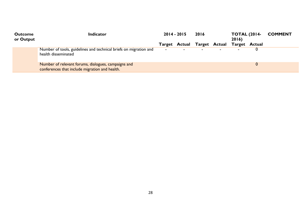| <b>Outcome</b><br>or Output | <b>Indicator</b>                                                                                      | $2014 - 2015$ |                | 2016                                      |  | <b>TOTAL (2014-</b><br>2016 |  | <b>COMMENT</b> |
|-----------------------------|-------------------------------------------------------------------------------------------------------|---------------|----------------|-------------------------------------------|--|-----------------------------|--|----------------|
|                             |                                                                                                       |               |                | Target Actual Target Actual Target Actual |  |                             |  |                |
|                             | Number of tools, guidelines and technical briefs on migration and<br>health disseminated              | $\sim$        | $\blacksquare$ | $\sim$                                    |  | $\overline{\phantom{0}}$    |  |                |
|                             | Number of relevant forums, dialogues, campaigns and<br>conferences that include migration and health. |               |                |                                           |  |                             |  |                |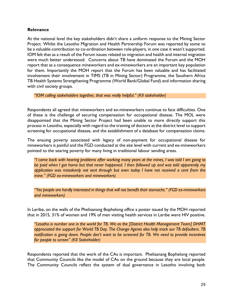# **Relevance**

At the national level the key stakeholders didn't share a uniform response to the Mining Sector Project. Whilst the Lesotho Migration and Health Partnership Forum was reported by some to be a valuable contribution to co-ordination between role-players, in one case it wasn't supported. IOM felt that as a result of the Forum issues related to migration and health and internal migration were much better understood. Concerns about TB have dominated the Forum and the MOH report that as a consequence mineworkers and ex-mineworkers are an important key population for them. Importantly the MOH report that the Forum has been valuable and has facilitated involvement their involvement in TIMS (TB in Mining Sector) Programme, the Southern Africa TB Health Systems Strengthening Programme (World Bank/Global Fund) and information sharing with civil society groups.

*"IOM calling stakeholders together, that was really helpful." (KII stakeholder)*

Respondents all agreed that mineworkers and ex-mineworkers continue to face difficulties. One of these is the challenge of securing compensation for occupational disease. The MOL were disappointed that the Mining Sector Project had been unable to more directly support this process in Lesotho, especially with regard to the training of doctors at the district level to support screening for occupational disease, and the establishment of a database for compensation claims.

The ensuing poverty associated with legacy of non-payment for occupational disease for mineworkers is painful and the FGD conducted at the site level with current and ex-mineworkers pointed to the searing poverty for many living in traditional labour sending areas.

*"I came back with hearing problems after working many years at the mines, I was told I am going to be paid when I got home but that never happened. I then followed up and was told apparently my application was mistakenly not sent through but even today I have not received a cent from the mine." (FGD ex-mineworkers and mineworkers)*

*"Yes people are hardly interested in things that will not benefit their stomachs." (FGD ex-mineworkers and mineworkers)*

In Leribe, on the walls of the Phelisanang Bophelong office a poster issued by the MOH reported that in 2015, 31% of women and 19% of men visiting health services in Leribe were HIV positive.

*"Lesotho is number one in the world for TB. We as the [District Health Management Team] DHMT appreciated the support for World TB Day. The Change Agents also help track our TB defaulters. TB notification is going down. People don't want to be screened for TB. We need to provide incentives for people to screen" (KII Stakeholder)*

Respondents reported that the work of the CAs is important. Phelisanang Bophelong reported that Community Councils like the model of CAs on the ground because they are local people. The Community Councils reflect the system of dual governance in Lesotho involving both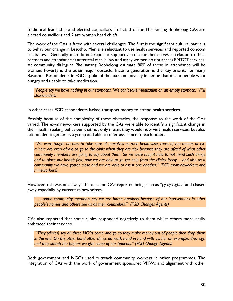traditional leadership and elected councillors. In fact, 3 of the Phelisanang Bophelong CAs are elected councillors and 2 are women head chiefs.

The work of the CAs is faced with several challenges. The first is the significant cultural barriers to behaviour change in Lesotho. Men are reluctant to use health services and reported condom use is low. Generally men do not report a supportive role for themselves in relation to their partners and attendance at antenatal care is low and many women do not access PMTCT services. At community dialogues Phelisanang Bophelong estimate 80% of those in attendance will be women. Poverty is the other major obstacle. Income generation is the key priority for many Basotho. Respondents in FGDs spoke of the extreme poverty in Leribe that meant people went hungry and unable to take medication.

*"People say we have nothing in our stomachs. We can't take medication on an empty stomach." (KII stakeholder).* 

In other cases FGD respondents lacked transport money to attend health services.

Possibly because of the complexity of these obstacles, the response to the work of the CAs varied. The ex-mineworkers supported by the CAs were able to identify a significant change in their health seeking behaviour that not only meant they would now visit health services, but also felt bonded together as a group and able to offer assistance to each other.

*"We were taught on how to take care of ourselves as men healthwise, most of the miners or exminers are even afraid to go to the clinic when they are sick because they are afraid of what other community members are going to say about them. So we were taught how to not mind such things and to place our health first, now we are able to go get help from the clinics freely….and also as a community we have gotten close and we are able to assist one another." (FGD ex-mineworkers and mineworkers)*

However, this was not always the case and CAs reported being seen as *"fly by nights"* and chased away especially by current mineworkers.

*"…, some community members say we are home breakers because of our interventions in other people's homes and others see us as their counselors." (FGD Changes Agents)*

CAs also reported that some clinics responded negatively to them whilst others more easily embraced their services.

*"They (clinics) say all these NGOs come and go so they make money out of people then drop them in the end. On the other hand other clinics do work hand in hand with us. For an example, they sign and they stamp the papers we give some of our patients." (FGD Change Agents)*

Both government and NGOs used outreach community workers in other programmes. The integration of CAs with the work of government sponsored VHWs and alignment with other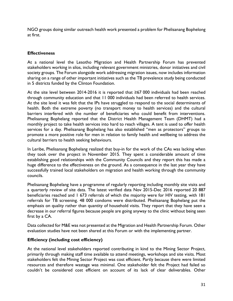NGO groups doing similar outreach health work presented a problem for Phelisanang Bophelong at first.

# **Effectiveness**

At a national level the Lesotho Migration and Health Partnership Forum has prevented stakeholders working in silos, including relevant government ministries, donor initiatives and civil society groups. The Forum alongside work addressing migration issues, now includes information sharing on a range of other important initiatives such as the TB prevalence study being conducted in 5 districts funded by the Clinton Foundation.

At the site level between 2014-2016 it is reported that ≥67 000 individuals had been reached through community education and that 11 000 individuals had been referred to health services. At the site level it was felt that the IPs have struggled to respond to the social determinants of health. Both the extreme poverty (no transport money to health services) and the cultural barriers interfered with the number of beneficiaries who could benefit from interventions. Phelisanang Bophelang reported that the District Health Management Team (DHMT) had a monthly project to take health services into hard to reach villages. A tent is used to offer health services for a day. Phelisanang Bophelang has also established "men as protectors" groups to promote a more positive role for men in relation to family health and wellbeing to address the cultural barriers to health seeking behaviours.

In Leribe, Phelisanang Bophelang realized that buy-in for the work of the CAs was lacking when they took over the project in November 2015. They spent a considerable amount of time establishing good relationships with the Community Councils and they report this has made a huge difference to the effectiveness on the ground. As a consequence in the last year they have successfully trained local stakeholders on migration and health working through the community councils.

Phelisanang Bophelang have a programme of regularly reporting including monthly site visits and a quarterly review of site data. The latest verified data Nov 2015-Dec 2016 reported 20 887 beneficiaries reached and 1 673 referrals of which the majority were for HIV testing, with 181 referrals for TB screening. 48 000 condoms were distributed. Phelisanang Bophelang put the emphasis on quality rather than quantity of household visits. They report that they have seen a decrease in our referral figures because people are going anyway to the clinic without being seen first by a CA.

Data collected for M&E was not presented at the Migration and Health Partnership Forum. Other evaluation studies have not been shared at this Forum or with the implementing partner.

# **Efficiency (including cost efficiency)**

At the national level stakeholders reported contributing in kind to the Mining Sector Project, primarily through making staff time available to attend meetings, workshops and site visits. Most stakeholders felt the Mining Sector Project was cost efficient. Partly because there were limited resources and therefore wastage was minimal. One stakeholder felt the Project had failed so couldn't be considered cost efficient on account of its lack of clear deliverables. Other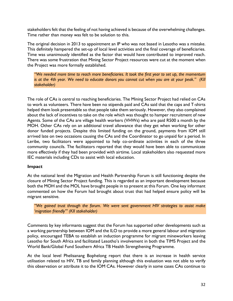stakeholders felt that the feeling of not having achieved is because of the overwhelming challenges. Time rather than money was felt to be solution to this.

The original decision in 2013 to appointment an IP who was not based in Lesotho was a mistake. This definitely hampered the set-up of local level activities and the final coverage of beneficiaries. Time was unanimously identified as the factor that would have contributed to improved reach. There was some frustration that Mining Sector Project resources were cut at the moment when the Project was more formally established.

*"We needed more time to reach more beneficiaries. It took the first year to set up, the momentum is at the 4th year. We need to educate donors you cannot cut when you are at your peak." (KII stakeholder)*

The role of CAs is central to reaching beneficiaries. The Mining Sector Project had relied on CAs to work as volunteers. There have been no stipends paid and CAs said that the caps and T-shirts helped them look presentable so that people take them seriously. However, they also complained about the lack of incentives to take on the role which was thought to hamper recruitment of new Agents. Some of the CAs are village health workers (VHWs) who are paid R500 a month by the MOH. Other CAs rely on an additional travel allowance that they get when working for other donor funded projects. Despite this limited funding on the ground, payments from IOM still arrived late on two occasions causing the CAs and the Coordinator to go unpaid for a period. In Leribe, two facilitators were appointed to help co-ordinate activities in each of the three community councils. The facilitators reported that they would have been able to communicate more effectively if they had been provided with airtime. Local stakeholders also requested more IEC materials including CDs to assist with local education.

# **Impact**

At the national level the Migration and Health Partnership Forum is still functioning despite the closure of Mining Sector Project funding. This is regarded as an important development because both the MOH and the MOL have brought people in to present at this Forum. One key informant commented on how the Forum had brought about trust that had helped ensure policy will be migrant sensitive.

*"We gained trust through the forum. We were sent government HIV strategies to assist make 'migration friendly'" (KII stakeholder)*

Comments by key informants suggest that the Forum has supported other developments such as a working partnership between IOM and the ILO to provide a more general labour and migration policy, encouraged TEBA to establish an induction programme for migrant mineworkers leaving Lesotho for South Africa and facilitated Lesotho's involvement in both the TIMS Project and the World Bank/Global Fund Southern Africa TB Health Strengthening Programme.

At the local level Phelisanang Bophelong report that there is an increase in health service utilisation related to HIV, TB and family planning although this evaluation was not able to verify this observation or attribute it to the IOM CAs. However clearly in some cases CAs continue to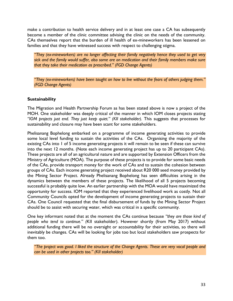make a contribution to health service delivery and in at least one case a CA has subsequently become a member of the clinic committee advising the clinic on the needs of the community. CAs themselves report that the burden of ill health of ex-mineworkers has been lessened on families and that they have witnessed success with respect to challenging stigma.

*"They (ex-mineworkers) are no longer affecting their family negatively hence they used to get very sick and the family would suffer, also some are on medication and their family members make sure that they take their medication as prescribed." (FGD Change Agents)*

*"They (ex-mineworkers) have been taught on how to live without the fears of others judging them." (FGD Change Agents)*

# **Sustainability**

The Migration and Health Partnership Forum as has been stated above is now a project of the MOH. One stakeholder was deeply critical of the manner in which IOM closes projects stating *"IOM projects just end. They just keep quiet." (KII stakeholder).* This suggests that processes for sustainability and closure may have been scant for some stakeholders.

Phelisanang Bophelong embarked on a programme of income generating activities to provide some local level funding to sustain the activities of the CAs. Organising the majority of the existing CAs into 1 of 5 income generating projects it will remain to be seen if these can survive into the next 12 months. (Note each income generating project has up to 20 participant CAs). These projects are all of an agricultural nature and are supported by Extension Officers from the Ministry of Agriculture (MOA). The purpose of these projects is to provide for some basic needs of the CAs, provide transport money for the work of CAs and to sustain the cohesion between groups of CAs. Each income generating project received about R20 000 seed money provided by the Mining Sector Project. Already Phelisanang Bophelong has seen difficulties arising in the dynamics between the members of these projects. The likelihood of all 5 projects becoming successful is probably quite low. An earlier partnership with the MOA would have maximized the opportunity for success. IOM reported that they experienced livelihood work as costly. Not all Community Councils opted for the development of income generating projects to sustain their CAs. One Council requested that the final disbursement of funds by the Mining Sector Project should be to assist with securing water, which was critical in a specific community.

One key informant noted that at the moment the CAs continue because *"they are those kind of people who tend to continue." (*KII stakeholder). However shortly (from May 2017) without additional funding there will be no oversight or accountability for their activities, so there will inevitably be changes. CAs will be looking for jobs too but local stakeholders saw prospects for them too.

*"The project was good. I liked the structure of the Change Agents. These are very vocal people and can be used in other projects too." (KII stakeholder)*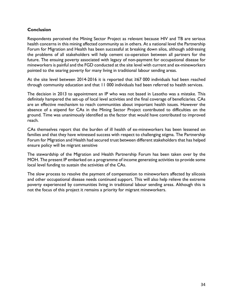# **Conclusion**

Respondents perceived the Mining Sector Project as relevant because HIV and TB are serious health concerns in this mining affected community as in others. At a national level the Partnership Forum for Migration and Health has been successful at breaking down silos, although addressing the problems of all stakeholders will help cement co-operation between all partners for the future. The ensuing poverty associated with legacy of non-payment for occupational disease for mineworkers is painful and the FGD conducted at the site level with current and ex-mineworkers pointed to the searing poverty for many living in traditional labour sending areas.

At the site level between 2014-2016 it is reported that ≥67 000 individuals had been reached through community education and that 11 000 individuals had been referred to health services.

The decision in 2013 to appointment an IP who was not based in Lesotho was a mistake. This definitely hampered the set-up of local level activities and the final coverage of beneficiaries. CAs are an effective mechanism to reach communities about important health issues. However the absence of a stipend for CAs in the Mining Sector Project contributed to difficulties on the ground. Time was unanimously identified as the factor that would have contributed to improved reach.

CAs themselves report that the burden of ill health of ex-mineworkers has been lessened on families and that they have witnessed success with respect to challenging stigma. The Partnership Forum for Migration and Health had secured trust between different stakeholders that has helped ensure policy will be migrant sensitive

The stewardship of the Migration and Health Partnership Forum has been taken over by the MOH. The present IP embarked on a programme of income generating activities to provide some local level funding to sustain the activities of the CAs.

The slow process to resolve the payment of compensation to mineworkers affected by silicosis and other occupational disease needs continued support. This will also help relieve the extreme poverty experienced by communities living in traditional labour sending areas. Although this is not the focus of this project it remains a priority for migrant mineworkers.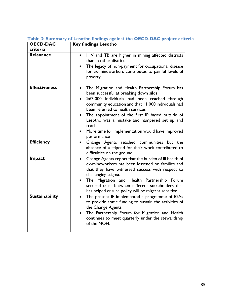| <b>OECD-DAC</b><br>criteria | <b>Key findings Lesotho</b>                                                                                                                                                                                                                                                                                                                                                                                                                    |
|-----------------------------|------------------------------------------------------------------------------------------------------------------------------------------------------------------------------------------------------------------------------------------------------------------------------------------------------------------------------------------------------------------------------------------------------------------------------------------------|
| Relevance                   | HIV and TB are higher in mining affected districts<br>$\bullet$<br>than in other districts<br>The legacy of non-payment for occupational disease<br>for ex-mineworkers contributes to painful levels of<br>poverty.                                                                                                                                                                                                                            |
| <b>Effectiveness</b>        | The Migration and Health Partnership Forum has<br>been successful at breaking down silos<br>≥67 000 individuals had been reached through<br>$\bullet$<br>community education and that 11 000 individuals had<br>been referred to health services<br>The appointment of the first IP based outside of<br>$\bullet$<br>Lesotho was a mistake and hampered set up and<br>reach<br>More time for implementation would have improved<br>performance |
| <b>Efficiency</b>           | Change Agents reached communities<br>but the<br>$\bullet$<br>absence of a stipend for their work contributed to<br>difficulties on the ground.                                                                                                                                                                                                                                                                                                 |
| Impact                      | Change Agents report that the burden of ill health of<br>$\bullet$<br>ex-mineworkers has been lessened on families and<br>that they have witnessed success with respect to<br>challenging stigma.<br>The Migration and Health Partnership Forum<br>$\bullet$<br>secured trust between different stakeholders that<br>has helped ensure policy will be migrant sensitive                                                                        |
| <b>Sustainability</b>       | The present IP implemented a programme of IGAs<br>$\bullet$<br>to provide some funding to sustain the activities of<br>the Change Agents.<br>The Partnership Forum for Migration and Health<br>$\bullet$<br>continues to meet quarterly under the stewardship<br>of the MOH.                                                                                                                                                                   |

**Table 3: Summary of Lesotho findings against the OECD-DAC project criteria**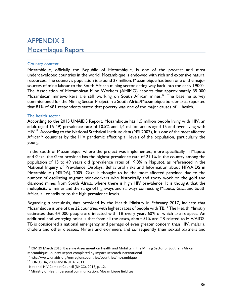# APPENDIX 3 Mozambique Report

### Country context

Mozambique, officially the Republic of Mozambique, is one of the poorest and most underdeveloped countries in the world. Mozambique is endowed with rich and extensive natural resources. The country's population is around 27 million. Mozambique has been one of the major sources of mine labour to the South African mining sector dating way back into the early 1900's. The Association of Mozambican Mine Workers (AMIMO) reports that approximately 35 000 Mozambican mineworkers are still working on South African mines.<sup>10</sup> The baseline survey commissioned for the Mining Sector Project in a South Africa/Mozambique border area reported that 81% of 681 respondents stated that poverty was one of the major causes of ill health.

#### The health sector

According to the 2015 UNAIDS Report, Mozambique has 1,5 million people living with HIV, an adult (aged 15-49) prevalence rate of 10.5% and 1,4 million adults aged 15 and over living with HIV.<sup>11</sup> According to the National Statistical Institute data (NSI 2007), it is one of the most affected African<sup>12</sup> countries by the HIV pandemic affecting all levels of the population, particularly the young.

In the south of Mozambique, where the project was implemented, more specifically in Maputo and Gaza, the Gaza province has the highest prevalence rate of 21.1% in the country among the population of 15 to 49 years old (prevalence rates of 19.8% in Maputo), as referenced in the National Inquiry of Prevalence Displays, Behavioral risks and Information about HIV/AIDS in Mozambique (INSIDA), 2009. Gaza is thought to be the most affected province due to the number of oscillating migrant mineworkers who historically and today work on the gold and diamond mines from South Africa, where there is high HIV prevalence. It is thought that the multiplicity of mines and the range of highways and railways connecting Maputo, Gaza and South Africa, all contribute to the high prevalence levels.

Regarding tuberculosis, data provided by the Health Ministry in February 2017, indicate that Mozambique is one of the 22 countries with highest rates of people with TB.<sup>13</sup> The Health Ministry estimates that 64 000 people are infected with TB every year, 60% of which are relapses. An additional and worrying point is that from all the cases, about 51% are TB related to HIV/AIDS. TB is considered a national emergency and perhaps of even greater concern than HIV, malaria, cholera and other diseases. Miners and ex-miners and consequently their sexual partners and

 $\overline{a}$ 

<sup>&</sup>lt;sup>10</sup> IOM 29 March 2015 Baseline Assessment on Health and Mobility in the Mining Sector of Southern Africa Mozambique Country Report completed by Impact Research International

<sup>11</sup> http://www.unaids.org/en/regionscountries/countries/mozambique

<sup>12</sup> ONUSIDA, 2009 and INSIDA, 2011.

National HIV Combat Council (NHCC), 2016, p. 12.

 $13$  Ministry of Health personal communication, Mozambique field team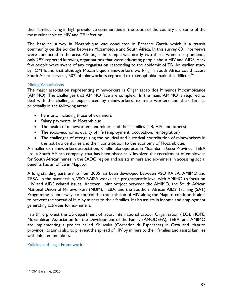their families living in high prevalence communities in the south of the country are some of the most vulnerable to HIV and TB infection.

The baseline survey in Mozambique was conducted in Ressano Garcia which is a transit community on the border between Mozambique and South Africa. In this survey 681 interviews were conducted in the area. Although the sample was nearly two thirds women respondents, only 29% reported knowing organisations that were educating people about HIV and AIDS. Very few people were aware of any organisation responding to the epidemic of TB. An earlier study by IOM found that although Mozambique mineworkers working in South Africa could access South Africa services, 50% of mineworkers reported that xenophobia made this difficult.<sup>14</sup>

# Mining Associations

The major association representing mineworkers is Organizacao dos Mineiros Mocambicanos (AMIMO). The challenges that AMIMO face are complex. In the main, AMIMO is required to deal with the challenges experienced by mineworkers, ex mine workers and their families principally in the following areas:

- Pensions, including those of ex-miners
- Salary payments in Mozambique
- The health of mineworkers, ex-miners and their families (TB, HIV, and others).
- The socio-economic quality of life (employment, occupation, reintegration)
- The challenges of recognizing the political and historical contribution of mineworkers in the last two centuries and their contribution to the economy of Mozambique.

A smaller ex-mineworkers association, Kindlimuka operates in Moamba in Gaza Province. TEBA Ltd, a South African company, that has been historically involved the recruitment of employees for South African mines in the SADC region and assists miners and ex-miners in accessing social benefits has an office in Maputo.

A long standing partnership from 2005 has been developed between VSO RAISA, AMIMO and TEBA. In the partnership, VSO RAISA works at a programmatic level with AMIMO to focus on HIV and AIDS related issues. Another joint project between the AMIMO, the South African National Union of Mineworkers (NUM), TEBA, and the Southern African AIDS Training (SAT) Programme is underway to control the transmission of HIV along the Maputo corridor. It aims to prevent the spread of HIV by miners to their families. It also assists in income and employment generating activities for ex-miners.

In a third project the US department of labor, International Labour Organisation (ILO), HOPE, Mozambican Association for the Development of the Family (AMODEFA), TEBA, and AMIMO are implementing a project called Khluvuka (Corredor da Esperanca) in Gaza and Maputo province. Its aim is also to prevent the spread of HIV by miners to their families and assists families with infected members.

Policies and Legal Framework

 $\overline{\phantom{a}}$ 

<sup>14</sup> IOM Baseline, 2015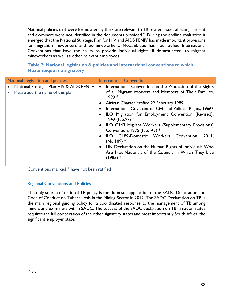National policies that were formulated by the state relevant to TB related issues affecting current and ex-miners were not identified in the documents provided.<sup>15</sup> During the endline evaluation it emerged that the National Strategic Plan for HIV and AIDS PENIV has made important provisions for migrant mineworkers and ex-mineworkers. Mozambique has not ratified International Conventions that have the ability to provide individual rights, if domesticated, to migrant mineworkers as well as other relevant employees.

| National Legislation and policies                                             | <b>International Conventions</b>                                                                                                                                                                                                                                                                                                                                                                                                                                                                                                                                                                                                                         |
|-------------------------------------------------------------------------------|----------------------------------------------------------------------------------------------------------------------------------------------------------------------------------------------------------------------------------------------------------------------------------------------------------------------------------------------------------------------------------------------------------------------------------------------------------------------------------------------------------------------------------------------------------------------------------------------------------------------------------------------------------|
| National Strategic Plan HIV & AIDS PEN IV<br>Please add the name of this plan | International Convention on the Protection of the Rights<br>$\bullet$<br>of all Migrant Workers and Members of Their Families,<br>$1990 *$<br>African Charter ratified 22 February 1989<br>International Covenant on Civil and Political Rights, 1966*<br>ILO Migration for Employment Convention (Revised),<br>٠<br>1949 (No.97) $*$<br>ILO C143 Migrant Workers (Supplementary Provisions)<br>$\bullet$<br>Convention, 1975 (No.143) $*$<br>ILO C189-Domestic Workers Convention,<br>2011,<br>$\bullet$<br>$(No.189)$ *<br>• UN Declaration on the Human Rights of Individuals Who<br>Are Not Nationals of the Country in Which They Live<br>$(1985)*$ |

# **Table 7: National legislation & policies and International conventions to which Mozambique is a signatory**

Conventions marked \* have not been ratified

# Regional Conventions and Policies

The only source of national TB policy is the domestic application of the SADC Declaration and Code of Conduct on Tuberculosis in the Mining Sector in 2012. The SADC Declaration on TB is the main regional guiding policy for a coordinated response to the management of TB among miners and ex-miners within SADC. The success of the SADC declaration on TB in nation states requires the full cooperation of the other signatory states and most importantly South Africa, the significant employer state.

 $\overline{\phantom{a}}$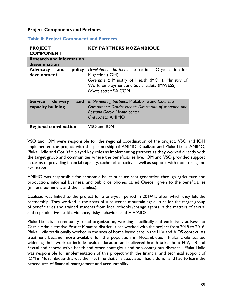#### **Project Components and Partners**

#### **Table 8: Project Component and Partners**

| <b>PROJECT</b><br><b>COMPONENT</b>                     | <b>KEY PARTNERS MOZAMBIQUE</b>                                                                                                                                                                       |
|--------------------------------------------------------|------------------------------------------------------------------------------------------------------------------------------------------------------------------------------------------------------|
| <b>Research and information</b><br>dissemination       |                                                                                                                                                                                                      |
| <b>Advocacy</b><br>policy<br>and<br>development        | Development partners: International Organization for<br>Migration (IOM)<br>Government: Ministry of Health (MOH), Ministry of<br>Work, Employment and Social Safety (MWESS)<br>Private sector: SAICOM |
| <b>Service</b><br>delivery<br>and<br>capacity building | Implementing partners: PfukaLixile and Coalizão<br>Government: District Health Directorate of Moamba and<br>Ressano Garcia Health center<br>Civil society: AMIMO                                     |
| <b>Regional coordination</b>                           | VSO and IOM                                                                                                                                                                                          |

VSO and IOM were responsible for the regional coordination of the project. VSO and IOM implemented the project with the partnership of AMIMO, Coalizão and Pfuka Lixile. AMIMO, Pfuka Lixile and Coalizão played key roles as implementing partners as they worked directly with the target group and communities where the beneficiaries live. IOM and VSO provided support in terms of providing financial capacity, technical capacity as well as support with monitoring and evaluation.

AMIMO was responsible for economic issues such as: rent generation through agriculture and production, informal business, and public cellphones called Onecell given to the beneficiaries (miners, ex-miners and their families).

Coalizão was linked to the project for a one-year period in 2014/15 after which they left the partnership. They worked in the areas of subsistence mountain agriculture for the target group of beneficiaries and trained students from local schools /change agents in the matters of sexual and reproductive health, violence, risky behaviors and HIV/AIDS.

Pfuka Lixile is a community based organization, working specifically and exclusively at Ressano Garcia Administrative Post at Moamba district. It has worked with the project from 2015 to 2016. Pfuka Lixile traditionally worked in the area of home based care in the HIV and AIDS context. As treatment became more available for the population in Mozambique, Pfuka Lixile started widening their work to include health education and delivered health talks about HIV, TB and Sexual and reproductive health and other contagious and non-contagious diseases. Pfuka Lixile was responsible for implementation of this project with the financial and technical support of IOM in Mozambique-this was the first time that this association had a donor and had to learn the procedures of financial management and accountability.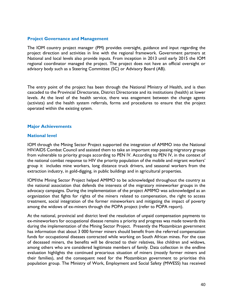## **Project Governance and Management**

The IOM country project manager (PM) provides oversight, guidance and input regarding the project direction and activities in line with the regional framework. Government partners at National and local levels also provide inputs. From inception in 2013 until early 2015 the IOM regional coordinator managed the project. The project does not have an official oversight or advisory body such as a Steering Committee (SC) or Advisory Board (AB).

The entry point of the project has been through the National Ministry of Health, and is then cascaded to the Provincial Directorate, District Directorate and its institutions (health) at lower levels. At the level of the health service, there was enagement between the change agents (activists) and the health system referrals, forms and procedures to ensure that the project operated within the existing sytem.

## **Major Achievements**

#### **National level**

IOM through the Mining Sector Project supported the integration of AMIMO into the National HIV/AIDS Combat Council and assisted them to take an important step passing migratory groups from vulnerable to priority groups according to PEN IV. According to PEN IV, in the context of the national combat response to HIV the priority population of the mobile and migrant workers' group it includes mine workers, long distance truck drivers, and seasonal workers from the extraction industry, in gold-digging, in public buildings and in agricultural properties.

IOM/the Mining Sector Project helped AMIMO to be acknowledged throughout the country as the national association that defends the interests of the migratory mineworker groups in the advocacy campaigns. During the implementation of the project AMIMO was acknowledged as an organization that fights for rights of the miners related to compensation, the right to access treatment, social integration of the former mineworkers and mitigating the impact of poverty among the widows of ex-miners through the POPA project (refer to POPA report).

At the national, provincial and district level the resolution of unpaid compensation payments to ex-mineworkers for occupational disease remains a priority and progress was made towards this during the implementation of the Mining Sector Project. Presently the Mozambican government has information that about 3 000 former miners should benefit from the referred compensation funds for occupational diseases contracted while working on South African mines. For the case of deceased miners, the benefits will be directed to their relatives, like children and widows, among others who are considered legitimate members of family. Data collection in the endline evaluation highlights the continued precarious situation of miners (mostly former miners and their families), and the consequent need for the Mozambican government to prioritise this population group. The Ministry of Work, Employment and Social Safety (MWESS) has received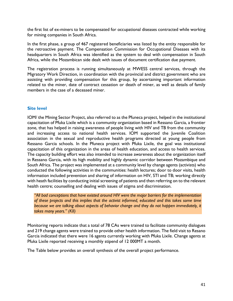the first list of ex-miners to be compensated for occupational diseases contracted while working for mining companies in South Africa.

In the first phase, a group of 467 registered beneficiaries was listed by the entity responsible for the retroactive payment. The Compensation Commission for Occupational Diseases with its headquarters in South Africa was identified as the system to deal with compensation in South Africa, while the Mozambican side dealt with issues of document certification due payment.

The registration process is running simultaneously at MWESS central services, through the Migratory Work Direction, in coordination with the provincial and district government who are assisting with providing compensation for this group, by ascertaining important information related to the miner, date of contract cessation or death of miner, as well as details of family members in the case of a deceased miner.

# **Site level**

IOM/ the Mining Sector Project, also referred to as the Pfuneca project, helped in the institutional capacitation of Pfuka Lixile which is a community organization based in Ressano Garcia, a frontier zone, that has helped in raising awareness of people living with HIV and TB from the community and increasing access to national health services. IOM supported the Juvenile Coalition association in the sexual and reproductive health programs directed at young people from Ressano Garcia schools. In the Pfuneca project with Pfuka Lixile, the goal was institutional capacitation of this organization in the areas of health education, and access to health services. The capacity building effort was also intended to increase awareness about the organization itself in Ressano Garcia, with its high mobility and highly dynamic corridor between Mozambique and South Africa. The project was implemented at a community level by change agents (activists) who conducted the following activities in the communities: health lectures; door to door visits, health information included prevention and sharing of information on HIV, STI and TB; working directly with heath facilities by conducting initial screening of patients and then referring on to the relevant health centre; counselling and dealing with issues of stigma and discrimination.

*"All bad conceptions that have existed around HIV were the major barriers for the implementation of these projects and this implies that the activist informed, educated and this takes some time because we are talking about aspects of behavior change and they do not happen immediately, it takes many years." (KII)*

Monitoring reports indicate that a total of 78 CAs were trained to facilitate community dialogues and 219 change agents were trained to provide other health information. The field visit to Resano Garcia indicated that there were 16 agents currently working with Pfuka Lixile. Change agents at Pfuka Lixile reported receiving a monthly stipend of 12 000MT a month.

The Table below provides an overall synthesis of the overall project performance.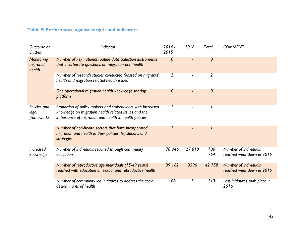# **Table 9: Performance against targets and indicators**

| Outcome or<br>Output                     | Indicator                                                                                                                                                                    | $2014 -$<br>2015 | 2016  | <b>Total</b> | <b>COMMENT</b>                                            |
|------------------------------------------|------------------------------------------------------------------------------------------------------------------------------------------------------------------------------|------------------|-------|--------------|-----------------------------------------------------------|
| <b>Monitoring</b><br>migrants'<br>health | Number of key national routine data collection instruments<br>that incorporate questions on migration and health                                                             | $\boldsymbol{0}$ |       | 0            |                                                           |
|                                          | Number of research studies conducted focused on migrants'<br>health and migration-related health issues                                                                      | $\overline{2}$   |       | 2            |                                                           |
|                                          | One operational migration health knowledge sharing<br>platform                                                                                                               | 0                |       | 0            |                                                           |
| Policies and<br>legal<br>frameworks      | Proportion of policy makers and stakeholders with increased<br>knowledge on migration health related issues and the<br>importance of migration and health in health policies |                  |       |              |                                                           |
|                                          | Number of non-health sectors that have incorporated<br>migration and health in their policies, legislations and<br>strategies                                                |                  |       |              |                                                           |
| <b>Increased</b><br>knowledge            | Number of individuals reached through community<br>education                                                                                                                 | 78 946           | 27818 | 106<br>764   | Number of individuals<br>reached went down in 2016        |
|                                          | Number of reproductive age individuals (15-49 years)<br>reached with education on sexual and reproductive health                                                             | 39 162           | 3596  | 42 758       | <b>Number of individuals</b><br>reached went down in 2016 |
|                                          | Number of community led initiatives to address the social<br>determinants of health                                                                                          | 108              | 5     | 113          | Less initiatives took place in<br>2016                    |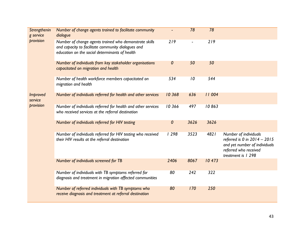| Strengthenin<br>g service | Number of change agents trained to facilitate community<br>dialogue                                                                                            |        | 78   | 78     |                                                                                                                                       |
|---------------------------|----------------------------------------------------------------------------------------------------------------------------------------------------------------|--------|------|--------|---------------------------------------------------------------------------------------------------------------------------------------|
| provision                 | Number of change agents trained who demonstrate skills<br>and capacity to facilitate community dialogues and<br>education on the social determinants of health | 219    |      | 219    |                                                                                                                                       |
|                           | Number of individuals from key stakeholder organisations<br>capacitated on migration and health                                                                | 0      | 50   | 50     |                                                                                                                                       |
|                           | Number of health workforce members capacitated on<br>migration and health                                                                                      | 534    | 10   | 544    |                                                                                                                                       |
| Improved<br>service       | Number of individuals referred for health and other services                                                                                                   | 10 368 | 636  | 11004  |                                                                                                                                       |
| provision                 | Number of individuals referred for health and other services<br>who received services at the referral destination                                              | 10366  | 497  | 10863  |                                                                                                                                       |
|                           | Number of individuals referred for HIV testing                                                                                                                 | 0      | 3626 | 3626   |                                                                                                                                       |
|                           | Number of individuals referred for HIV testing who received<br>their HIV results at the referral destination                                                   | 1298   | 3523 | 4821   | Number of individuals<br>referred is 0 in 2014 - 2015<br>and yet number of individuals<br>referred who received<br>treatment is 1 298 |
|                           | Number of individuals screened for TB                                                                                                                          | 2406   | 8067 | 10 473 |                                                                                                                                       |
|                           | Number of individuals with TB symptoms referred for<br>diagnosis and treatment in migration affected communities                                               | 80     | 242  | 322    |                                                                                                                                       |
|                           | Number of referred individuals with TB symptoms who<br>receive diagnosis and treatment at referral destination                                                 | 80     | 170  | 250    |                                                                                                                                       |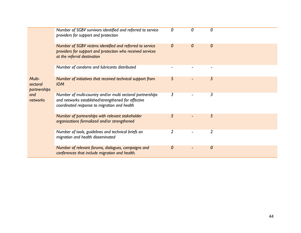|                                    | Number of SGBV survivors identified and referred to service                                                                                                       | 0 | 0 | 0 |
|------------------------------------|-------------------------------------------------------------------------------------------------------------------------------------------------------------------|---|---|---|
|                                    | providers for support and protection                                                                                                                              |   |   |   |
|                                    | Number of SGBV victims identified and referred to service<br>providers for support and protection who received services<br>at the referral destination            | 0 | 0 | 0 |
|                                    | Number of condoms and lubricants distributed                                                                                                                      |   |   |   |
| Multi-<br>sectoral<br>partnerships | Number of initiatives that received technical support from<br><b>IOM</b>                                                                                          | 5 |   | 5 |
| and<br>networks                    | Number of multi-country and/or multi sectoral partnerships<br>and networks established/strengthened for effective<br>coordinated response to migration and health | 3 |   | 3 |
|                                    | Number of partnerships with relevant stakeholder<br>organizations formalized and/or strengthened                                                                  | 5 |   | 5 |
|                                    | Number of tools, guidelines and technical briefs on<br>migration and health disseminated                                                                          |   |   | 2 |
|                                    | Number of relevant forums, dialogues, campaigns and<br>conferences that include migration and health.                                                             | 0 |   | 0 |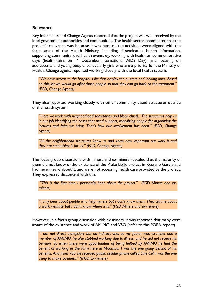# **Relevance**

Key Informants and Change Agents reported that the project was well received by the local government authorities and communities. The health sector commented that the project's relevance was because it was because the activities were aligned with the focus areas of the Health Ministry, including disseminating health information, supporting community level health events eg. working with health on commemorative days (health fairs on  $I^{st}$  December-International AIDS Day); and focusing on adolescents and young people, particularly girls who are a priority for the Ministry of Health. Change agents reported working closely with the local health system.

*"We have access to the hospital`s list that display the quitters and lacking ones. Based on this list we would go after those people so that they can go back to the treatment." (FGD, Change Agents)*

They also reported working closely with other community based structures outside of the health system.

*"Here we work with neighborhood secretaries and block chiefs. The structures help us in our job identifying the cases that need support, mobilizing people for organizing the lectures and fairs we bring. That's how our involvement has been." (FGD, Change Agents)*

*"All the neighborhood structures know us and know how important our work is and they are smoothing it for us." (FGD, Change Agents)*

The focus group discussions with miners and ex-miners revealed that the majority of them did not know of the existence of the Pfuke Lixile project in Ressano Garcia and had never heard about it, and were not accessing health care provided by the project. They expressed discontent with this.

*"This is the first time I personally hear about the project." (FGD Miners and exminers)* 

*"I only hear about people who help miners but I don't know them. They tell me about a work institute but I don't know where it is." (FGD Miners and ex-miners)* 

However, in a focus group discussion with ex miners, it was reported that many were aware of the existence and work of AMIMO and VSO (refer to the POPA report).

*"I am not direct beneficiary but an indirect one, as my father was ex-miner and a member of AMIMO, he also stopped working due to illness, and he did not receive his pension. So when there were opportunities of being helped by AMIMO he had the benefit of working in the farm here in Moamba. I was the one going behind of his benefits. And from VSO he received public cellular phone called One Cell I was the one using to make business." ((FGD Ex-miners)*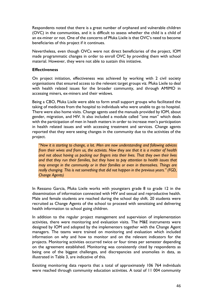Respondents noted that there is a great number of orphaned and vulnerable children (OVC) in the communities, and it is difficult to assess whether the child is a child of an ex-miner or not. One of the concerns of Pfuka Lixile is that OVC's need to become beneficiaries of this project if it continues.

Nevertheless, even though OVCs were not direct beneficiaries of the project, IOM made programmatic changes in order to enroll OVC by providing them with school material. However, they were not able to sustain this initiative.

# **Effectiveness**

On project initiation, effectiveness was achieved by working with 2 civil society organisations that ensured access to the relevant target groups viz. Pfuka Lixile to deal with health related issues for the broader community, and through AMIMO in accessing miners, ex-miners and their widows.

Being a CBO, Pfuka Lixile were able to form small support groups who facilitated the taking of medicines from the hospital to individuals who were unable to go to hospital. There were also home visits. Change agents used the manuals provided by IOM, about gender, migration, and HIV. It also included a module called ''one man'' which deals with the participation of men in heath matters in order to increase men's participation in health related issues and with accessing treatment and services. Change agents reported that they were seeing changes in the community due to the activities of the project.

*"Now it is starting to change, a lot. Men are now understanding and following advices from their wives and from us, the activists. Now they see that it is a matter of health and not about having us pocking our fingers into their lives. That they own their lives and that they run their families, but they have to pay attention to health issues that may emerge in the community or in their families or even in themselves. Things are really changing. This is not something that did not happen in the previous years." (FGD, Change Agents)*

In Ressano Garcia, Pfuka Lixile works with youngsters grade 8 to grade 12 in the dissemination of information connected with HIV and sexual and reproductive health. Male and female students are reached during the school day shift. 20 students were recruited as Change Agents of the school to proceed with sensitizing and delivering health information to school going children.

In addition to the regular project management and supervision of implementation activities, there were monitoring and evaluation visits. The M&E instruments were designed by IOM and adopted by the implementers together with the Change Agent managers. The teams were trained on monitoring and evaluation which included information on why and how to monitor and on the relevant indicators for the projects. Monitoring activities occurred twice or four times per semester depending on the agreement established. Monitoring was consistently cited by respondents as being one of the biggest challenges, and discrepancies and anomolies in data, as illustrated in Table 3, are indicative of this.

Exisiting monitoring data reports that a total of approximately 106 764 individuals were reached through community education activities. A total of 11 004 community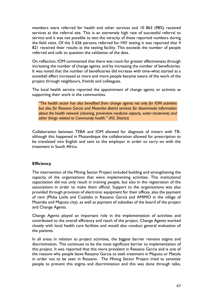members were referred for health and other services and 10 863 (98%) received services at the referral site. This is an extremely high rate of successful referral to service and it was not possible to test the veracity of these reported numbers during the field visits. Of the 3 626 persons referred for HIV testing it was reported that 4 821 received their results at the testing facility. This exceeds the number of people referred and calls to question the validation of the data.

On reflection, IOM commented that there was room for greater effectiveness through increasing the number of change agents, and by increasing the number of beneficiaries. It was noted that the number of beneficiaries did increase with time-what started as a snowball effect increased as more and more people became aware of the work of the project through neighbours, friends and colleagues.

The local health service reported the appointment of change agents or activists as supporting their work in the communities.

*"The health sector has also benefited from change agents not only for IOM activities but also for Ressano Garcia and Moamba district services for disseminate information about the health network (cleaning, preventive medicine aspects, water treatment) and other things related to Community health." (KII, District)*

Collaboration between TEBA and IOM allowed for diagnosis of miners with TBalthough this happened in Mozambique the collaboration allowed for prescription to be translated into English and sent to the employer in order to carry on with the treatment in South Africa.

# **Efficiency**

The intervention of the Mining Sector Project included building and strengthening the capacity of the organisations that were implementing activities. This institutional capacitation did not only result in training people, but also in the registration of the associations in order to make them official. Support to the organisations was also provided through provision of electronic equipment for their offices, also the payment of rent (Pfuka Lixile and Coalizão in Ressano Garcia and AMIMO in the village of Moamba and Maputo city), as well as payment of subsidies of the board of the project and Change Agents.

Change Agents played an important role in the implementation of activities and contributed to the overall efficiency and reach of the project. Change Agents worked closely with local health care facilities and would also conduct general evaluation of the patients.

In all areas in relation to project activities, the biggest barrier remains stigma and discrimination. This continues to be the most significant barrier to implementation of this project. It was reported that this more prevalent in Ressano Garcia and is one of the reasons why people leave Ressano Garcia to seek treatment in Maputo or Matola in order not to be seen in Ressano. The Mining Sector Project tried to sensitize people to prevent this stigma and discrimination and this was done through talks,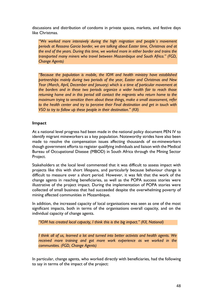discussions and distribution of condoms in private spaces, markets, and festive days like Christmas.

*"We worked more intensively during the high migration and people`s movement periods at Ressano Garcia border, we are talking about Easter time, Christmas and at the end of the years. During this time, we worked more in either border and trains the transported many miners who travel between Mozambique and South Africa." (FGD, Change Agents)*

*"Because the population is mobile, the IOM and health ministry have established partnerships mainly during two periods of the year, Easter and Christmas and New Year (March, April, December and January) which is a time of particular movement at the borders and in these two periods organize a wider health fair to reach those returning home and in this period still contact the migrants who return home to the maximum trying to sensitize them about these things, make a small assessment, refer to the health center and try to perceive their Final destination and get in touch with VSO to try to follow up these people in their destination." (KII)*

# **Impact**

At a national level progress had been made in the national policy document PEN IV to identify migrant mineworkers as a key population. Noteworthy strides have also been made to resolve the compensation issues affecting thousands of ex-mineworkers though government efforts to register qualifying individuals and liaison with the Medical Bureau of Occupational Disease (MBOD) in South Africa through the Mining Sector Project.

Stakeholders at the local level commented that it was difficult to assess impact with projects like this with short lifespans, and particularly because behaviour change is difficult to measure over a short period. However, it was felt that the work of the change agents in reaching beneficiaries, as well as the POPA success stories were illustrative of the project impact. During the implementation of POPA stories were collected of small business that had succeeded despite the overwhelming poverty of mining affected communities in Mozambique.

In addition, the increased capacity of local organisations was seen as one of the most significant impacts, both in terms of the organisations overall capacity, and on the individual capacity of change agents.

*"IOM has created local capacity, I think this is the big impact." (KII, National)*

*I think all of us, learned a lot and turned into better activists and health agents. We received more training and got more work experience as we worked in the communities. (FGD, Change Agents)*

In particular, change agents, who worked directly with beneficiaries, had the following to say in terms of the impact of the project: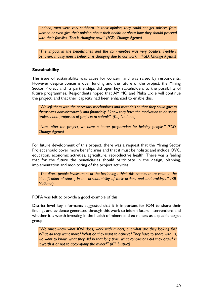*"Indeed, men were very stubborn. In their opinion, they could not get advices from women or even give their opinion about their health or about how they should proceed with their families. This is changing now." (FGD, Change Agents)*

*"The impact in the beneficiaries and the communities was very positive. People`s behavior, mainly men`s behavior is changing due to our work." (FGD, Change Agents)*

## **Sustainability**

The issue of sustainability was cause for concern and was raised by respondents. However despite concerns over funding and the future of the project, the Mining Sector Project and its partnerships did open key stakeholders to the possibility of future programmes. Respondents hoped that AMIMO and Pfuka Lixile will continue the project, and that their capacity had been enhanced to enable this.

*"We left them with the necessary mechanisms and materials so that they could govern themselves administratively and financially, I know they have the motivation to do some projects and proposals of projects to submit". (KII, National)*

*"Now, after the project, we have a better preparation for helping people." (FGD, Change Agents)*

For future development of this project, there was a request that the Mining Sector Project should cover more beneficiaries and that it must be holistic and include OVC, education, economic activities, agriculture, reproductive health. There was a feeling that for the future the beneficiaries should participate in the design, planning, implementation and monitoring of the project activities.

*"The direct people involvement at the beginning I think this creates more value in the identification of space, in the accountability of their actions and undertakings." (KII, National)*

POPA was felt to provide a good example of this.

District level key informants suggested that it is important for IOM to share their findings and evidence generated through this work to inform future interventions and whether it is worth investing in the health of miners and ex miners as a specific target group.

*"We must know what IOM does, work with miners, but what are they looking for? What do they want more? What do they want to achieve? They have to share with us, we want to know, what they did in that long time, what conclusions did they draw? Is it worth it or not to accompany the miner?" (KII, District)*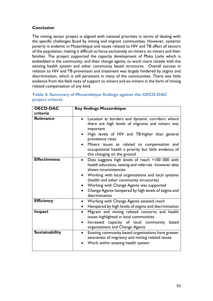# **Conclusion**

The mining sector project is aligned with national priorities in terms of dealing with the specific challenges faced by mining and migrant communities. However, systemic poverty is endemic in Mozambique and issues related to HIV and TB affect all sectors of the population, making it difficult to focus exclusively on miners, ex miners and their families. The project supported the capacity development of Pfuka Lixile which is embedded in the community, and their change agents, to work more closely with the existing health system and other community based structures. Overall success in relation to HIV and TB prevention and treatment was largely hindered by stigma and discrimination, which is still persistent in many of the communities. There was little evidence from the field visits of support to miners and ex-miners in the form of mining related compensation of any kind.

| <b>OECD-DAC</b><br>criteria | <b>Key findings Mozambique</b>                                                                                                                                                                                                                                                                                                                                                       |
|-----------------------------|--------------------------------------------------------------------------------------------------------------------------------------------------------------------------------------------------------------------------------------------------------------------------------------------------------------------------------------------------------------------------------------|
| <b>Relevance</b>            | Location at borders and dynamic corridors where<br>there are high levels of migrants and miners was<br>important<br>High levels of HIV and TB-higher than general<br>prevalence rates<br>Miners issues as related to compensation and<br>$\bullet$<br>occupational health a priority but little evidence of<br>this changing on the ground                                           |
| <b>Effectiveness</b>        | Data suggests high levels of reach >100 000 with<br>$\bullet$<br>health education, testing and referrals -however data<br>shows inconsistencies<br>Working with local organisations and local systems<br>(health and other community structures)<br>• Working with Change Agents was supported<br>Change Agents hampered by high levels of stigma and<br>$\bullet$<br>discrimination |
| <b>Efficiency</b>           | Working with Change Agents assisted reach<br>Hampered by high levels of stigma and discrimination<br>$\bullet$                                                                                                                                                                                                                                                                       |
| Impact                      | Migrant and mining related concerns and health<br>$\bullet$<br>issues highlighted in local communities<br>Increased capacity of local community<br>based<br>$\bullet$<br>organisations and Change Agents                                                                                                                                                                             |
| <b>Sustainability</b>       | Existing community based organisations have greater<br>$\bullet$<br>awareness of migrancy and mining related issues<br>Work within existing health system                                                                                                                                                                                                                            |

# **Table 4: Summary of Mozambique findings against the OECD-DAC project criteria**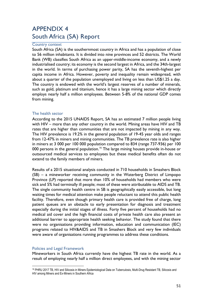# APPENDIX 4 South Africa (SA) Report

#### Country context

South Africa (SA) is the southernmost country in Africa and has a population of close to 56 million inhabitants. It is divided into nine provinces and 52 districts. The World Bank (WB) classifies South Africa as an upper-middle-income economy, and a newly industrialised country; its economy is the second largest in Africa, and the 34th-largest in the world. In terms of purchasing power parity, SA has the seventh-highest per capita income in Africa. However, poverty and inequality remain widespread, with about a quarter of the population unemployed and living on less than US\$1.25 a day. The country is endowed with the world's largest reserves of a number of minerals, such as gold, platinum and titanium, hence it has a large mining sector which directly employs nearly half a million employees. Between 5-8% of the national GDP comes from mining.

#### The health sector

According to the 2015 UNAIDS Report, SA has an estimated 7 million people living with HIV – more than any other country in the world. Mining areas have HIV and TB rates that are higher than communities that are not impacted by mining in any way. The HIV prevalence is 19.2% in the general population of 19-45 year olds and ranges from 12-47% in miners and mining communities. The TB prevalence rate is also higher in miners at 3 000 per 100 000 population compared to 834 (range 737-936) per 100 000 persons in the general population.<sup>16</sup> The large mining houses provide in-house or outsourced medical services to employees but these medical benefits often do not extend to the family members of miners.

Results of a 2015 situational analysis conducted in 710 households in Smashers Block (SB) – a mineworker receiving community in the Waterberg District of Limpopo Province (LP) reported that more than 10% of households had members who were sick and 5% had terminally ill people; most of these were attributable to AIDS and TB. The single community health centre in SB is geographically easily accessible, but long waiting times for medical attention make people reluctant to attend this public health facility. Therefore, even though primary health care is provided free of charge, long patient queues are an obstacle to early presentation for diagnosis and treatment especially during the initial stages of illness. Forty five percent of households had no medical aid cover and the high financial costs of private health care also present an additional barrier to appropriate health seeking behavior. The study found that there were no organisations providing information, education and communication (IEC) programs related to HIV&AIDS and TB in Smashers Block and very few individuals were aware of organisations running programmes to address these conditions.

#### Policies and Legal Framework

Mineworkers in South Africa currently have the highest TB rate in the world. As a result of employing nearly half a million direct employees, and with the mining sector

 $\overline{a}$ <sup>16</sup> PHRU 2017 TB, HIV and Silicosis in Miners Epidemiological Data on Tuberculosis, Multi-Drug Resistant TB, Silicosis and HIV among Miners and Ex-Miners in Southern Africa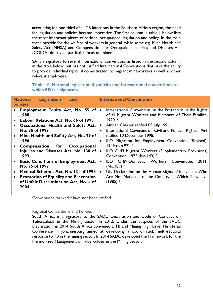accounting for one-third of all TB infections in the Southern African region, the need for legislation and policies became imperative. The first column in table 1 below lists the most important pieces of national occupational legislation and policy. In the main these provide for the welfare of workers in general, while some e.g. Mine Health and Safety Act (MHSA) and Compensation for Occupational Injuries and Diseases Act (COIDA) do have a particular focus on miners.

SA is a signatory to several international conventions as listed in the second column in the table below, but has not ratified International Conventions that have the ability to provide individual rights, if domesticated, to migrant mineworkers as well as other relevant employees.

# **Table 10: National legislation & policies and International conventions to which SD is a signatory**

| <b>policies</b><br>Employment Equity Act, No. 55 of .<br>International Convention on the Protection of the Rights<br>1988<br>of all Migrant Workers and Members of Their Families,<br>1990 *<br>Labour Relations Act, No. 66 of 1995<br>African Charter ratified 09 July 1996.<br>Occupational Health and Safety Act,<br>No. 85 of 1993<br>International Covenant on Civil and Political Rights, 1966<br>$\bullet$<br>ratified 10 December 1998.<br>Mine Health and Safety Act, No. 29 of<br>$\bullet$<br>1996<br>ILO Migration for Employment Convention (Revised),<br>$\bullet$<br>1949 (No.97) *<br><b>Compensation for</b><br>Occupational<br>Injuries and Diseases Act, No. 130 of •<br>ILO C143 Migrant Workers (Supplementary Provisions)<br>Convention, 1975 (No.143) *<br>1993<br><b>Basic Conditions of Employment Act,</b><br>ILO C189-Domestic Workers Convention,<br>2011,<br>$\bullet$<br>No. 75 of 1997<br>$(No.189)$ *<br>Medical Schemes Act, No. 131 of 1998<br>UN Declaration on the Human Rights of Individuals Who<br>$\bullet$<br>$\bullet$<br>Are Not Nationals of the Country in Which They Live<br><b>Promotion of Equality and Prevention</b><br>$\bullet$<br>$(1985)$ *<br>of Unfair Discrimination Act, No. 4 of<br>2004 |
|------------------------------------------------------------------------------------------------------------------------------------------------------------------------------------------------------------------------------------------------------------------------------------------------------------------------------------------------------------------------------------------------------------------------------------------------------------------------------------------------------------------------------------------------------------------------------------------------------------------------------------------------------------------------------------------------------------------------------------------------------------------------------------------------------------------------------------------------------------------------------------------------------------------------------------------------------------------------------------------------------------------------------------------------------------------------------------------------------------------------------------------------------------------------------------------------------------------------------------------------------|
|                                                                                                                                                                                                                                                                                                                                                                                                                                                                                                                                                                                                                                                                                                                                                                                                                                                                                                                                                                                                                                                                                                                                                                                                                                                      |

Conventions marked \* have not been ratified

#### Regional Conventions and Policies

South Africa is a signatory to the SADC Declaration and Code of Conduct on Tuberculosis in the Mining Sector in 2012. Under the auspices of the SADC Declaration, in 2014 South Africa convened a TB and Mining High Level Ministerial Conference in Johannesburg aimed at developing a coordinated, multi-sectoral response to TB in the mining sector. In 2014 SADC developed the Framework for the Harmonised Management of Tuberculosis in the Mining Sector.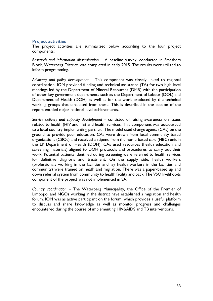## **Project activities**

The project activities are summarized below according to the four project components:

*Research and information dissemination –* A baseline survey, conducted in Smashers Block, Waterberg District, was completed in early 2015. The results were utilized to inform programming.

*Advocacy and policy development –* This component was closely linked to regional coordination. IOM provided funding and technical assistance (TA) for two high level meetings led by the Department of Mineral Resources (DMR) with the participation of other key government departments such as the Department of Labour (DOL) and Department of Health (DOH) as well as for the work produced by the technical working groups that emanated from these. This is described in the section of the report entitled major national level achievements.

*Service delivery and capacity development –* consisted of raising awareness on issues related to health (HIV and TB) and health services. This component was outsourced to a local country-implementing partner. The model used change agents (CAs) on the ground to provide peer education. CAs were drawn from local community based organizations (CBOs) and received a stipend from the home-based care (HBC) unit in the LP Department of Health (DOH). CAs used resources (health education and screening materials) aligned to DOH protocols and procedures to carry out their work. Potential patients identified during screening were referred to health services for definitive diagnosis and treatment. On the supply side, health workers (professionals working in the facilities and lay health workers in the facilities and community) were trained on heath and migration. There was a paper-based up and down referral system from community to health facility and back. The VSO livelihoods component of the project was not implemented in SA.

*Country coordination –* The Waterberg Municipality, the Office of the Premier of Limpopo, and NGOs working in the district have established a migration and health forum. IOM was as active participant on the forum, which provides a useful platform to discuss and share knowledge as well as monitor progress and challenges encountered during the course of implementing HIV&AIDS and TB interventions.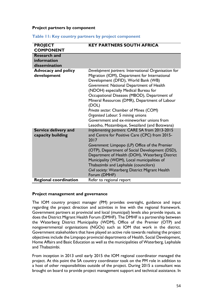#### **Project partners by component**

| <b>PROJECT</b>                            | <b>KEY PARTNERS SOUTH AFRICA</b>                                                                                                                                                                                                                                                                                                                                                                                                                                      |
|-------------------------------------------|-----------------------------------------------------------------------------------------------------------------------------------------------------------------------------------------------------------------------------------------------------------------------------------------------------------------------------------------------------------------------------------------------------------------------------------------------------------------------|
| <b>COMPONENT</b>                          |                                                                                                                                                                                                                                                                                                                                                                                                                                                                       |
| <b>Research and</b>                       |                                                                                                                                                                                                                                                                                                                                                                                                                                                                       |
| information                               |                                                                                                                                                                                                                                                                                                                                                                                                                                                                       |
| dissemination                             |                                                                                                                                                                                                                                                                                                                                                                                                                                                                       |
| <b>Advocacy and policy</b><br>development | Development partners: International Organisation for<br>Migration (IOM), Department for International<br>Development (DFID), World Bank (WB)<br>Government: National Department of Health<br>(NDOH) especially Medical Bureau for<br>Occupational Diseases (MBOD), Department of<br>Mineral Resources (DMR), Department of Labour<br>(DOL)<br>Private sector: Chamber of Mines (COM)<br>Organised Labour: 5 mining unions<br>Government and ex-mineworker unions from |
|                                           | Lesotho, Mozambique, Swaziland (and Botswana)                                                                                                                                                                                                                                                                                                                                                                                                                         |
| Service delivery and<br>capacity building | Implementing partners: CARE SA from 2013-2015<br>and Centre for Positive Care (CPC) from 2015-<br>2017<br>Government: Limpopo (LP) Office of the Premier                                                                                                                                                                                                                                                                                                              |
|                                           | (OTP), Department of Social Development (DSD),<br>Department of Health (DOH), Waterberg District<br>Municipality (WDM), Local municipalities of<br>Thabazimbi and Lephalale (councilors)<br>Civil society: Waterberg District Migrant Health<br>Forum (DMHF)                                                                                                                                                                                                          |
| <b>Regional coordination</b>              | Refer to regional report                                                                                                                                                                                                                                                                                                                                                                                                                                              |

#### **Table 11: Key country partners by project component**

# **Project management and governance**

The IOM country project manager (PM) provides oversight, guidance and input regarding the project direction and activities in line with the regional framework. Government partners at provincial and local (municipal) levels also provide inputs, as does the District Migrant Health Forum (DMHF). The DMHF is a partnership between the Waterberg District Municipality (WDM), Office of the Premier (OTP) and nongovernmental organisations (NGOs) such as IOM that work in the district. Government stakeholders that have played an active role towards realising the project objectives include the Limpopo provincial departments of Health, Social Development, Home Affairs and Basic Education as well as the municipalities of Waterberg, Lephalale and Thabazimbi.

From inception in 2013 until early 2015 the IOM regional coordinator managed the project. At this point the SA country coordinator took on the PM role in addition to a host of other responsibilities outside of the project. During 2015 a consultant was brought on board to provide project management support and technical assistance. In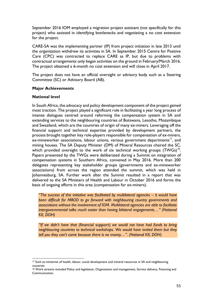September 2016 IOM employed a migration project assistant (not specifically for this project) who assisted in identifying bottlenecks and negotiating a no cost extension for the project.

CARE-SA was the implementing partner (IP) from project initiation in late 2013 until the organization withdrew its activities in SA. In September 2015 Centre for Positive Care (CPC) was contracted to replace CARE as IP, but due to problems with contractual arrangements only began activities on the ground in February/March 2016. The project obtained a 6-month no cost extension and will close in April 2017.

The project does not have an official oversight or advisory body such as a Steering Committee (SC) or Advisory Board (AB).

## **Major Achievements**

## **National level**

In South Africa, the advocacy and policy development component of the project gained most traction. The project played a significant role in facilitating a year long process of intense dialogues centred around reforming the compensation system in SA and extending services to the neighbouring countries of Botswana, Lesotho, Mozambique and Swaziland, which are the countries of origin of many ex-miners. Leveraging off the financial support and technical expertise provided by development partners, the process brought together key role-players responsible for compensation of ex-miners, ex-mineworker associations, labour unions, various government departments<sup>17</sup>, and mining houses. The SA Deputy Minister (DM) of Mineral Resources chaired the SC, which provided oversight to the work of six technical working groups  $(TWGs)^{18}$ . Papers presented by the TWGs were deliberated during a Summit on integration of compensation systems in Southern Africa, convened in May 2016. More than 200 delegates representing key stakeholder groups (governments and ex-mineworker associations) from across the region attended the summit, which was held in Johannesburg, SA. Further work after the Summit resulted in a report that was delivered to the SA Ministers of Health and Labour in October 2016 and forms the basis of ongoing efforts in this area (compensation for ex-miners).

*"The success of this initiative was facilitated by multilateral agencies – it would have been difficult for MBOD to go forward with neighbouring country governments and associations without the involvement of IOM. Multilateral agencies are able to facilitate intergovernmental talks much easier than having bilateral engagements…" (National KII, DOH)*

*"If we didn't have that* (financial support) *we would not have had funds to bring neighbouring countries to technical workshops. We would have invited them but they tell you they can't come because there is no money…". (National KII, DOH)*

 $\overline{a}$ <sup>17</sup> Such as ministries of health, labour, social development and mineral resources in SA and neighbouring countries

<sup>18</sup> Work streams included Policy and legislation, Organisation and management, Service delivery, Financing and Communication.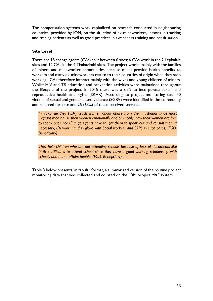The compensation systems work capitalized on research conducted in neighbouring countries, provided by IOM, on the situation of ex-mineworkers, lessons in tracking and tracing patients as well as good practices in awareness training and sensitisation.

# **Site Level**

There are 18 change agents (CAs) split between 6 sites; 6 CAs work in the 2 Lephalale sites and 12 CAs in the 4 Thabazimbi sites. The project works mainly with the families of miners and mineworker communities because mines provide health benefits to workers and many ex-mineworkers return to their countries of origin when they stop working. CAs therefore interact mainly with the wives and young children of miners. Whilst HIV and TB education and prevention activities were maintained throughout the lifecycle of the project, in 2015 there was a shift to incorporate sexual and reproductive health and rights (SRHR). According to project monitoring data 40 victims of sexual and gender based violence (SGBV) were identified in the community and referred for care and 25 (63%) of these received services.

*In Vakansie they* (CA) *teach women about abuse from their husbands since most migrant men abuse their women emotionally and physically, now their women are free*  to speak out since Change Agents have taught them to speak out and consult them if *necessary, CA work hand in glove with Social workers and SAPS in such cases. (FGD, Beneficiary)*

*They help children who are not attending schools because of lack of documents like birth certificates to attend school since they have a good working relationship with schools and home affairs people. (FGD, Beneficiary)*

Table 3 below presents, in tabular format, a summarized version of the routine project monitoring data that was collected and collated on the IOM project M&E system.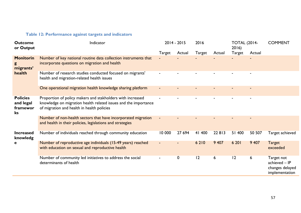# **Table 12: Performance against targets and indicators**

| <b>Outcome</b><br>or Output                    | Indicator                                                                                                                                                                   |        | $2014 - 2015$ | 2016    |         | <b>TOTAL (2014-</b><br>2016) |         | <b>COMMENT</b>                                                   |
|------------------------------------------------|-----------------------------------------------------------------------------------------------------------------------------------------------------------------------------|--------|---------------|---------|---------|------------------------------|---------|------------------------------------------------------------------|
|                                                |                                                                                                                                                                             | Target | Actual        | Target  | Actual  | <b>Target</b>                | Actual  |                                                                  |
| <b>Monitorin</b><br>migrants'                  | Number of key national routine data collection instruments that<br>incorporate questions on migration and health                                                            |        |               |         |         |                              |         |                                                                  |
| health                                         | Number of research studies conducted focused on migrants'<br>health and migration-related health issues                                                                     |        |               |         |         |                              |         |                                                                  |
|                                                | One operational migration health knowledge sharing platform                                                                                                                 |        |               |         |         |                              |         |                                                                  |
| <b>Policies</b><br>and legal<br>framewor<br>ks | Proportion of policy makers and stakholders with increased<br>knowledge on migration health related issues and the importance<br>of migration and health in health policies |        |               |         |         |                              |         |                                                                  |
|                                                | Number of non-health sectors that have incorporated migration<br>and health in their policies, legislations and strategies                                                  |        |               |         |         |                              |         |                                                                  |
| <b>Increased</b><br>knowledg                   | Number of individuals reached through community education                                                                                                                   | 10 000 | 27 694        | 41 400  | 22813   | 51 400                       | 50 507  | Target achieved                                                  |
| e                                              | Number of reproductive age individuals (15-49 years) reached<br>with education on sexual and reproductive health                                                            |        |               | 6 2 1 0 | 9 4 0 7 | 6 20 1                       | 9 4 0 7 | <b>Target</b><br>exceeded                                        |
|                                                | Number of community led initiatives to address the social<br>determinants of health                                                                                         |        | 0             | 2       | 6       | 12                           | 6       | Target not<br>achieved - IP<br>changes delayed<br>implementation |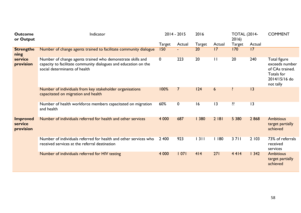| <b>Outcome</b><br>or Output             | Indicator                                                                                                                                                      |             | $2014 - 2015$  | 2016          |                  | <b>TOTAL (2014-</b><br>2016 |        | <b>COMMENT</b>                                                                                |
|-----------------------------------------|----------------------------------------------------------------------------------------------------------------------------------------------------------------|-------------|----------------|---------------|------------------|-----------------------------|--------|-----------------------------------------------------------------------------------------------|
|                                         |                                                                                                                                                                | Target      | Actual         | <b>Target</b> | Actual           | Target                      | Actual |                                                                                               |
| <b>Strengthe</b><br>ning                | Number of change agents trained to facilitate community dialogue                                                                                               | 150         |                | 20            | 7                | 170                         | 17     |                                                                                               |
| service<br>provision                    | Number of change agents trained who demonstrate skills and<br>capacity to facilitate community dialogues and education on the<br>social determinants of health | $\mathbf 0$ | 223            | 20            | $\mathbf{L}$     | 20                          | 240    | Total figure<br>exceeds number<br>of CAs trained.<br>Totals for<br>2014/15/16 do<br>not tally |
|                                         | Number of individuals from key stakeholder organisations<br>capacitated on migration and health                                                                | 100%        | $\overline{7}$ | 124           | $6 \overline{6}$ | ?                           | 3      |                                                                                               |
|                                         | Number of health workforce members capacitated on migration<br>and health                                                                                      | 60%         | $\mathbf 0$    | 16            | 3                | $\overline{?}$              | 3      |                                                                                               |
| <b>Improved</b><br>service<br>provision | Number of individuals referred for health and other services                                                                                                   | 4 0 0 0     | 687            | 1380          | 2 181            | 5 3 8 0                     | 2868   | <b>Ambitious</b><br>target partially<br>achieved                                              |
|                                         | Number of individuals referred for health and other services who<br>received services at the referral destination                                              | 2 400       | 923            | 1311          | 1180             | $3711$                      | 2103   | 73% of referrals<br>received<br>services                                                      |
|                                         | Number of individuals referred for HIV testing                                                                                                                 | 4 0 0 0     | 07             | 414           | 271              | 4414                        | 1342   | <b>Ambitious</b><br>target partially<br>achieved                                              |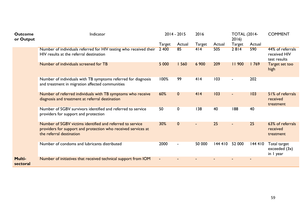| <b>Outcome</b><br>or Output | Indicator                                                                                                                                              |                | $2014 - 2015$ | 2016   |         | <b>TOTAL (2014-</b><br>2016) |        | <b>COMMENT</b>                                   |
|-----------------------------|--------------------------------------------------------------------------------------------------------------------------------------------------------|----------------|---------------|--------|---------|------------------------------|--------|--------------------------------------------------|
|                             |                                                                                                                                                        | <b>Target</b>  | Actual        | Target | Actual  | <b>Target</b>                | Actual |                                                  |
|                             | Number of individuals referred for HIV testing who received their<br>HIV results at the referral destination                                           | 2 400          | 85            | 414    | 505     | 2814                         | 590    | 44% of referrals<br>received HIV<br>test results |
|                             | Number of individuals screened for TB                                                                                                                  | 5 0 0 0        | 1560          | 6 900  | 209     | 11900                        | 1769   | Target set too<br>high                           |
|                             | Number of individuals with TB symptoms referred for diagnosis<br>and treatment in migration affected communities                                       | 100%           | 99            | 414    | 103     |                              | 202    |                                                  |
|                             | Number of referred individuals with TB symptoms who receive<br>diagnosis and treatment at referral destination                                         | 60%            | $\mathbf{0}$  | 414    | 103     | $\blacksquare$               | 103    | 51% of referrals<br>received<br>treatment        |
|                             | Number of SGBV survivors identified and referred to service<br>providers for support and protection                                                    | 50             | 0             | 138    | 40      | 188                          | 40     |                                                  |
|                             | Number of SGBV victims identified and referred to service<br>providers for support and protection who received services at<br>the referral destination | 30%            | $\mathbf{0}$  |        | 25      |                              | 25     | 63% of referrals<br>received<br>treatment        |
|                             | Number of condoms and lubricants distributed                                                                                                           | 2000           |               | 50 000 | 144 410 | 52 000                       | 144410 | Total target<br>exceeded (3x)<br>in I year       |
| <b>Multi-</b><br>sectoral   | Number of initiatives that received technical support from IOM                                                                                         | $\blacksquare$ |               |        |         |                              |        |                                                  |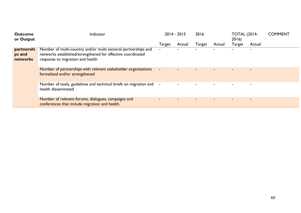| <b>Outcome</b><br>or Output      | Indicator                                                                                                                                                         |                | $2014 - 2015$  | 2016   |        | <b>TOTAL (2014-</b><br>2016 |                          | <b>COMMENT</b> |
|----------------------------------|-------------------------------------------------------------------------------------------------------------------------------------------------------------------|----------------|----------------|--------|--------|-----------------------------|--------------------------|----------------|
|                                  |                                                                                                                                                                   | Target         | Actual         | Target | Actual | Target                      | Actual                   |                |
| partnershi<br>ps and<br>networks | Number of multi-country and/or multi sectoral partnerships and<br>networks established/strengthened for effective coordinated<br>response to migration and health | $\blacksquare$ |                |        |        |                             |                          |                |
|                                  | Number of partnerships with relevant stakeholder organizations<br>formalized and/or strengthened                                                                  |                |                |        |        |                             | $\overline{\phantom{0}}$ |                |
|                                  | Number of tools, guidelines and technical briefs on migration and<br>health disseminated                                                                          |                | $\blacksquare$ |        |        |                             | ٠                        |                |
|                                  | Number of relevant forums, dialogues, campaigns and<br>conferences that include migration and health.                                                             |                |                |        |        |                             | $\overline{\phantom{0}}$ |                |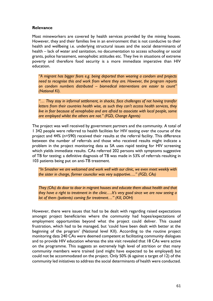# **Relevance**

Most mineworkers are covered by health services provided by the mining houses. However, they and their families live in an environment that is not conducive to their health and wellbeing i.e. underlying structural issues and the social determinants of health – lack of water and sanitation, no documentation to access schooling or social grants, police harassment, xenophobic attitudes etc. They live in situations of extreme poverty and therefore food security is a more immediate imperative than HIV education.

*"A migrant has bigger fears e.g. being deported than wearing a condom and projects need to recognise this and work from where they are. However, the program reports on condom numbers distributed – biomedical interventions are easier to count" (National KI).* 

*"… They stay in informal settlement, in shacks, face challenges of not having transfer letters from their countries health wise, as such they can't access health services, they live in fear because of xenophobia and are afraid to associate with local people, some are employed whilst the others are not." (FGD, Change Agents)*

The project was well received by government partners and the community. A total of 1 342 people were referred to health facilities for HIV testing over the course of the project and 44% (n=590) received their results at the referral facility. This difference between the number of referrals and those who received results might indicate a problem in the project monitoring data as SA uses rapid testing for HIV screening which yields immediate results. CAs referred 202 persons with symptoms suggestive of TB for testing; a definitive diagnosis of TB was made in 53% of referrals resulting in 103 patients being put on anti-TB treatment.

*"In Smasher we are welcomed and work well with our clinic, we even meet weekly with the sister in charge, former councilor was very supportive…." (FGD, CAs)*

*They (CAs) do door to door in migrant houses and educate them about health and that they have a right to treatment in the clinic….It's very good since we are now seeing a lot of them (patients) coming for treatment…" (KII, DOH)*

However, there were issues that had to be dealt with regarding raised expectations amongst project beneficiaries where the community had hopes/expectations of employment opportunities beyond what the project could deliver. This caused frustration, which had to be managed, but 'could have been dealt with better at the beginning of the program' (National level KII). According to the routine project monitoring data 240 CAs were deemed competent at facilitating community dialogues and to provide HIV education whereas the site visit revealed that 18 CAs were active on the programme. This suggests an extremely high level of attrition or that many community members were trained (and might have expected to be employed) but could not be accommodated on the project. Only 50% (6 against a target of 12) of the community led initiatives to address the social determinants of health were conducted.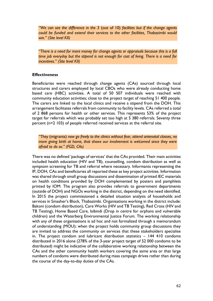*"We can see the difference in the 3* (out of 10) *facilities but if the change agents could be funded and extend their services to the other facilities, Thabazimbi would win." (Site level KII)*

*"There is a need for more money for change agents or appraisals because this is a full time job everyday but the stipend is not enough for cost of living. There is a need for incentives." (Site level KII)*

#### **Effectiveness**

Beneficiaries were reached through change agents (CAs) sourced through local structures and carers employed by local CBOs who were already conducting home based care (HBC) activities. A total of 50 507 individuals were reached with community education activities; close to the project target of reaching 51 400 people. The carers are linked to the local clinics and receive a stipend from the DOH. This arrangement facilitates referrals from community to facility levels. CAs referred a total of 2 868 persons for health or other services. This represents 53% of the project target for referrals which was probably set too high at 5 380 referrals. Seventy three percent (n=2 103) of people referred received services at the referral site.

*"They* (migrants) *now go freely to the clinics without fear, attend antenatal classes, no more giving birth at home, that shows our involvement is welcomed since they were afraid to do so." (FGD, CAs)*

There was no defined 'package of services' that the CAs provided. Their main activities included health education (HIV and TB), counselling, condom distribution as well as symptom screening for TB and referral where necessary. Informants representing the IP, DOH, CAs and beneficiaries all reported these as key project activities. Information was shared through small group discussions and dissemination of printed IEC materials on health conditions provided by DOH complemented by posters and pamphlets printed by IOM. The program also provides referrals to government departments (outside of DOH) and NGOs working in the district, depending on the need identified. In 2015 the project commissioned a detailed situation analysis of households and services in Smasher's Block, Thabazimbi. Organisations working in the district include: Bakoni (condom distribution), Care Works (HIV and TB Testing), Red Cross (HIV and TB Testing), Home Based Care, Isibindi (Drop in centre for orphans and vulnerable children) and the Waterberg Environmental Justice Forum. The working relationship with any of these organisations is ad hoc and not formalized through a memorandum of understanding (MOU); when the project holds community group discussions they are invited to address the community on services that these stakeholders specialise in. The project condom and lubricant distribution statistics – 144 410 condoms distributed in 2016 alone (278% of the 3-year project target of 52 000 condoms to be distributed) might be indicative of the collaborative working relationship between the CAs and the other community health workers covering the same area or that large numbers of condoms were distributed during mass campaign drives rather than during the course of the day-to-day duties of the CAs.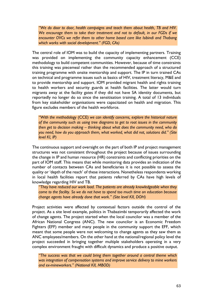*"We do door to door, health campaigns and teach them about health, TB and HIV. We encourage them to take their treatment and not to default, in our FGDs if we encounter OVCs we refer them to other home based care like Isibindi and Thabang which works with social development." (FGD, CAs)*

The central role of IOM was to build the capacity of implementing partners. Training was provided on implementing the community capacity enhancement (CCE) methodology to build competent communities. However, because of time constraints this training was piecemeal rather than the recommended approach of a structured training programme with onsite mentorship and support. The IP in turn trained CAs on technical and programme issues such as basics of HIV, treatment literacy, M&E and to provide mentorship and support. IOM provided migrant health and rights training to health workers and security guards at health facilities. The latter would turn migrants away at the facility gates if they did not have SA identity documents, but reportedly no longer do so since the sensitisation training. A total of 13 individuals from key stakeholder organisations were capacitated on health and migration. This figure excludes members of the health workforce.

*"With the methodology* (CCE) *we can identify concerns, explore the historical nature of the community such as using tree diagrams to get to root issues in the community then get to decision making – thinking about what does the community need, who do you need, how do you approach them, what worked, what did not, solutions did." (Site level KI, IP)*

The continuous support and oversight on the part of both IP and project management structures was not consistent throughout the project because of issues surrounding the change in IP and human resource (HR) constraints and conflicting priorities on the part of IOM staff. This means that while monitoring data provides an indication of the number of contacts between CAs and beneficiaries it is not possible to assess the quality or 'depth of the reach' of these interactions. Nonetheless respondents working in local health facilities report that patients referred by CAs have high levels of knowledge regarding HIV and TB.

*"They have reduced our work load. The patients are already knowledgeable when they come to the facility. So we do not have to spend too much time on education because change agents have already done that work." (Site level KII, DOH)*

Project activities were affected by contextual factors outside the control of the project. As a site level example, politics in Thabazimbi temporarily affected the work of change agents. The project started when the local councilor was a member of the African National Congress (ANC). The new councilor is an Economic Freedom Fighters (EFF) member and many people in the community support the EFF, which meant that some people were not welcoming to change agents as they saw them as ANC employees/members. On the other hand at the national/regional policy level the project succeeded in bringing together multiple stakeholders operating in a very complex environment fraught with difficult dynamics and produce a positive output.

*"The success was that we could bring them together around a central theme which was integration of compensation systems and improve service delivery to mine workers and ex-mineworkers." (National KII, MBOD)*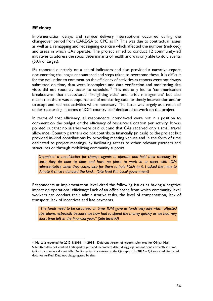# **Efficiency**

Implementation delays and service delivery interruptions occurred during the changeover period from CARE-SA to CPC as IP. This was due to contractual issues as well as a remapping and redesigning exercise which affected the number (reduced) and areas in which CAs operate. The project aimed to conduct 12 community-led initiatives to address the social determinants of health and was only able to do 6 events (50% of target).

IPs reported quarterly on a set of indicators and also provided a narrative report documenting challenges encountered and steps taken to overcome these. It is difficult for the evaluation to comment on the efficiency of activities as reports were not always submitted on time, data were incomplete and data verification and monitoring site visits did not routinely occur to schedule.<sup>19</sup> This not only led to 'communication breakdowns' that necessitated 'firefighting visits' and 'crisis management' but also meant that there was suboptimal use of monitoring data for timely intervention and/or to adapt and redirect activities where necessary. The latter was largely as a result of under-resourcing in terms of IOM country staff dedicated to work on the project.

In terms of cost efficiency, all respondents interviewed were not in a position to comment on the budget or the efficiency of resource allocation per activity. It was pointed out that no salaries were paid out and that CAs received only a small travel allowance. Country partners did not contribute financially (in cash) to the project but provided in-kind contributions by providing meeting venues and in the form of time dedicated to project meetings, by facilitating access to other relevant partners and structures or through mobilizing community support.

*Organized a zozo/shelter for change agents to operate and hold their meetings in, since they do door to door and have no place to work in or meet with IOM representative when they come, also for them to hold FGDs in it, I asked the mine to donate it since I donated the land... (Site level KII, Local government)*

Respondents at implementation level cited the following issues as having a negative impact on operational efficiency: Lack of an office space from which community level workers can conduct their administrative tasks, the level of compensation, lack of transport, lack of incentives and late payments.

*"The funds need to be disbursed on time. IOM gave us funds very late which affected operations, especially because we now had to spend the money quickly as we had very short time left in the financial year." (Site level KI)*

 $\overline{a}$ <sup>19</sup> No data reported for 2013 & 2014. **In 2015** - Different version of reports submitted for Q1(Jan-Mar). Submitted data not verified. Data quality gaps and incomplete data; disaggregation not done correctly in some indicators numbers do not tally. Duplicates in data entries on the Q2 report. **In 2016** – Q2 reported. Reported data not verified. Data not disaggregated by site.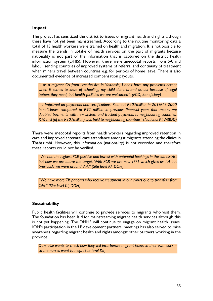# **Impact**

The project has sensitized the district to issues of migrant health and rights although these have not yet been mainstreamed. According to the routine monitoring data a total of 13 health workers were trained on health and migration. It is not possible to measure the trends in uptake of health services on the part of migrants because nationality is not part of the information that is captured on the district health information system (DHIS). However, there were anecdotal reports from SA and labour sending countries of improved systems of referral and continuity of treatment when miners travel between countries e.g. for periods of home leave. There is also documented evidence of increased compensation payouts.

*"I as a migrant CA from Lesotho live in Vakansie, I don't have any problems accept when it comes to issue of schooling, my child don't attend school because of legal papers they need, but health facilities we are welcomed". (FGD, Beneficiary)*

*"…Improved on payments and certifications. Paid out R207million in 2016/17 2000 beneficiaries compared to R92 million in previous financial year; that means we doubled payments with new system and tracked payments to neighbouring countries. R76 mill (of the R207million) was paid to neighbouring countries" (National KI, MBOD)*

There were anecdotal reports from health workers regarding improved retention in care and improved antenatal care attendance amongst migrants attending the clinics in Thabazimbi. However, this information (nationality) is not recorded and therefore these reports could not be verified.

*"We had the highest PCR positive and lowest with antenatal bookings in the sub district but now we are above the target. With PCR we are now 1/71 which gives us 1.4 but previously we were around 3.4." (Site level KI, DOH)*

*"We have more TB patients who receive treatment in our clinics due to transfers from CAs." (Site level KI, DOH)*

# **Sustainability**

Public health facilities will continue to provide services to migrants who visit them. The foundation has been laid for mainstreaming migrant health services although this is not yet happening. The DMHF will continue to engage on migrant health issues. IOM's participation in the LP development partners' meetings has also served to raise awareness regarding migrant health and rights amongst other partners working in the province.

*DoH also wants to check how they will incorporate migrant issues in their own work – so the nurses want to help. (Site level KII)*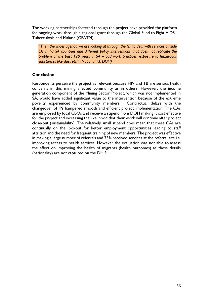The working partnerships fostered through the project have provided the platform for ongoing work through a regional grant through the Global Fund to Fight AIDS, Tuberculosis and Malaria (GFATM)

*"Then the wider agenda we are looking at through the GF to deal with services outside SA in 10 SA countries and different policy interventions that does not replicate the problem of the past 120 years in SA – bad work practices, exposure to hazardous substances like dust etc." (National KI, DOH)*

# **Conclusion**

Respondents perceive the project as relevant because HIV and TB are serious health concerns in this mining affected community as in others. However, the income generation component of the Mining Sector Project, which was not implemented in SA, would have added significant value to the intervention because of the extreme poverty experienced by community members. Contractual delays with the changeover of IPs hampered smooth and efficient project implementation. The CAs are employed by local CBOs and receive a stipend from DOH making it cost effective for the project and increasing the likelihood that their work will continue after project close-out (sustainability). The relatively small stipend does mean that these CAs are continually on the lookout for better employment opportunities leading to staff attrition and the need for frequent training of new members. The project was effective in making a large number of referrals and 73% received services at the referral site i.e. improving access to health services. However the evaluation was not able to assess the effect on improving the health of migrants (health outcomes) as these details (nationality) are not captured on the DHIS.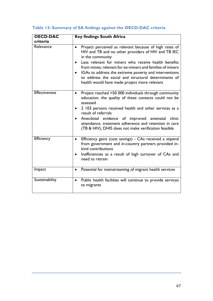| <b>OECD-DAC</b><br>criteria | <b>Key findings South Africa</b>                                                                                                                                                                                                                                                                                                                                                                                                                  |
|-----------------------------|---------------------------------------------------------------------------------------------------------------------------------------------------------------------------------------------------------------------------------------------------------------------------------------------------------------------------------------------------------------------------------------------------------------------------------------------------|
| Relevance                   | Project perceived as relevant because of high rates of<br>$\bullet$<br>HIV and TB and no other providers of HIV and TB IEC<br>in the community<br>Less relevant for miners who receive health benefits<br>from mines; relevant for ex-miners and families of miners<br>IGAs to address the extreme poverty and interventions<br>$\bullet$<br>to address the social and structural determinants of<br>health would have made project more relevant |
| <b>Effectiveness</b>        | Project reached >50 000 individuals through community<br>$\bullet$<br>education; the quality of these contacts could not be<br>assessed<br>2 103 persons received health and other services as a<br>$\bullet$<br>result of referrals<br>Anecdotal evidence of improved antenatal clinic<br>attendance, treatment adherence and retention in care<br>(TB & HIV); DHIS does not make verification feasible                                          |
| <b>Efficiency</b>           | Efficiency gains (cost savings) - CAs received a stipend<br>$\bullet$<br>from government and in-country partners provided in-<br>kind contributions<br>Inefficiencies as a result of high turnover of CAs and<br>$\bullet$<br>need to retrain                                                                                                                                                                                                     |
| Impact                      | Potential for mainstreaming of migrant health services<br>$\bullet$                                                                                                                                                                                                                                                                                                                                                                               |
| Sustainability              | Public health facilities will continue to provide services<br>$\bullet$<br>to migrants                                                                                                                                                                                                                                                                                                                                                            |

# **Table 13: Summary of SA findings against the OECD-DAC criteria**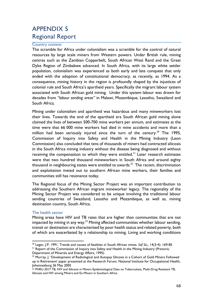# APPENDIX 5 Regional Report

#### Country context

The scramble for Africa under colonialism was a scramble for the control of natural resources by large scale miners from Western powers. Under British rule, mining centres such as the Zambian Copperbelt, South African West Rand and the Great Dyke Region of Zimbabwe advanced. In South Africa, with its large white settler population, colonialism was experienced as both early and late conquest that only ended with the adoption of constitutional democracy, as recently, as 1994. As a consequence, mining history in the region is profoundly shaped by the injustices of colonial rule and South Africa's apartheid years. Specifically the migrant labour system associated with South African gold mining. Under this system labour was drawn for decades from *"labour sending areas"* in Malawi, Mozambique, Lesotho, Swaziland and South Africa.

Mining under colonialism and apartheid was hazardous and many mineworkers lost their lives. Towards the end of the apartheid era South African gold mining alone claimed the lives of between 500-700 mine workers per annum, and estimates at the time were that 66 000 mine workers had died in mine accidents and more than a million had been seriously injured since the turn of the century.<sup>20</sup> The 1995, Commission of Inquiry into Safety and Health in the Mining Industry (Leon Commission) also concluded that tens of thousands of miners had contracted silicosis in the South Africa mining industry without the disease being diagnosed and without receiving the compensation to which they were entitled.<sup>21</sup> Later research estimates were that two hundred thousand mineworkers in South Africa and around eighty thousand in neighbouring states were entitled to awards. $^{22}$  The racism, discrimination and exploitation meted out to southern African mine workers, their families and communities still has resonance today.

The Regional focus of the Mining Sector Project was an important contribution to addressing the Southern African migrant mineworker legacy. The regionality of the Mining Sector Project was considered to be unique involving the traditional labour sending countries of Swaziland, Lesotho and Mozambique, as well as, mining destination country, South Africa.

#### The health sector

Mining areas have HIV and TB rates that are higher than communities that are not impacted by mining in any way.<sup>23</sup> Mining affected communities whether labour sending, transit or destination are characterised by poor health status and related poverty, both of which are exacerbated by a relationship to mining. Living and working conditions

 $\overline{a}$ <sup>20</sup> Leger, J.P. 1991. Trends and causes of fatalities in South African mines*. Saf Sci.,* 14(3-4): 169-85

<sup>&</sup>lt;sup>21</sup> Report of the Commission of Inquiry into Safety and Health in the Mining Industry (Pretoria: Department of Minerals and Energy Affairs, 1995)

<sup>&</sup>lt;sup>22</sup> Murray, J. 'Development of Radiological and Autopsy Silicosis in a Cohort of Gold Miners Followed up in Retirement' paper presented at the Research Forum, National Institute for Occupational Health, Johannesburg 26 May 2005

<sup>23</sup> PHRU 2017 TB, HIV and Silicosis in Miners Epidemiological Data on Tuberculosis, Multi-Drug Resistant TB, Silicosis and HIV among Miners and Ex-Miners in Southern Africa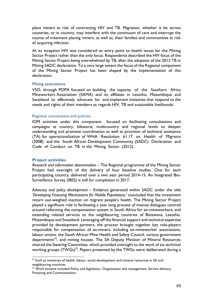place miners at risk of contracting HIV and TB. Migration, whether it be across countries, or in country, may interfere with the continuum of care and interrupt the course of treatment placing miners, as well as, their families and communities at risk of acquiring infection.

At its inception HIV was considered an entry point to health issues for the Mining Sector Project rather than the only focus. Respondents described the HIV focus of the Mining Sector Project being overwhelmed by TB, after the adoption of the 2012 TB in Mining SADC declaration. To a very large extent the focus of the Regional component of the Mining Sector Project has been shaped by the implementation of this declaration.

#### Mining associations

VSO, through POPA focused on building the capacity of the Southern Africa Mineworkers Association (SAMA) and its affiliates in Lesotho, Mozambique and Swaziland to effectively advocate for and implement initiatives that respond to the needs and rights of their members as regards HIV, TB and sustainable livelihoods.

#### Regional conventions and policies

IOM activities under this component focused on facilitating consultations and campaigns at country, biltateral, multicountry and regional levels to deepen understanding and promote coordination as well as provision of technical assistance (TA) for operationalisation of WHA Resolution 61.17 on Health of Migrants (2008) and the South African Development Community (SADC) Declaration and Code of Conduct on TB in the Mining Sector (2012).

#### **Project activities**

*Research and information dissemination –* The Regional programme of the Mining Sector Project had oversight of the delivery of four baseline studies. One for each participating country, delivered over a two year period 2014-15. An Integrated Bio-Surveillance Survey (IBSS) is still for completion in 2017.

*Advocacy and policy development –* Evidence generated within SADC under the title *'Developing Financing Mechanisms for Mobile Populations,'* concluded that the investment return out-weighed inaction on migrant people's health. The Mining Sector Project played a significant role in facilitating a year long process of intense dialogues centred around reforming the compensation system in South Africa for ex-mineworkers, and extending related services to the neighbouring countries of Botswana, Lesotho, Mozambique and Swaziland. Leveraging off the financial support and technical expertise provided by development partners, the process brought together key role-players responsible for compensation of ex-miners, including ex-mineworker associations, labour unions, the South African Mine Health and Safety Council, various government departments<sup>24</sup>, and mining houses. The SA Deputy Minister of Mineral Resources chaired the Steering Committee, which provided oversight to the work of six technical working groups  $(TWGs)^{25}$ . Papers presented by the TWGs were deliberated during a

 $\overline{\phantom{a}}$  $24$  Such as ministries of health, labour, social development and mineral resources in SA and neighbouring countries

<sup>&</sup>lt;sup>25</sup> Work streams included Policy and legislation, Organisation and management, Service delivery, Financing and Communication.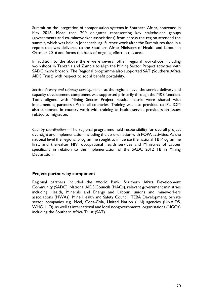Summit on the integration of compensation systems in Southern Africa, convened in May 2016. More than 200 delegates representing key stakeholder groups (governments and ex-mineworker associations) from across the region attended the summit, which was held in Johannesburg. Further work after the Summit resulted in a report that was delivered to the Southern Africa Ministers of Health and Labour in October 2016 and forms the basis of ongoing effort in this area.

In addition to the above there were several other regional workshops including workshops in Tanzania and Zambia to align the Mining Sector Project activities with SADC more broadly. The Regional programme also supported SAT (Southern Africa AIDS Trust) with respect to social benefit portability.

Service delivery and capacity development – at the regional level the service delivery and capacity development component was supported primarily through the M&E function. Tools aligned with Mining Sector Project results matrix were shared with implementing partners (IPs) in all countries. Training was also provided to IPs. IOM also supported in country work with training to health service providers on issues related to migration.

*Country coordination –* The regional programme held responsibility for overall project oversight and implementation including the co-ordination with POPA activities. At the national level the regional programme sought to influence the national TB Programme first, and thereafter HIV, occupational health services and Ministries of Labour specifically in relation to the implementation of the SADC 2012 TB in Mining Declaration.

# **Project partners by component**

Regional partners included the World Bank. Southern Africa Development Community (SADC), National AIDS Councils (NACs), relevant government ministries including Health, Minerals and Energy and Labour, unions and mineworkers associations (MWAs), Mine Health and Safety Council, TEBA Development, private sector companies e.g. Mcel, Coca-Cola, United Nation (UN) agencies (UNAIDS, WHO, ILO), as well as international and local nongovernmental organisations (NGOs) including the Southern Africa Trust (SAT).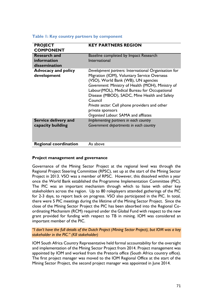| <b>PROJECT</b><br><b>COMPONENT</b>                  | <b>KEY PARTNERS REGION</b>                                                                                                                                                                                                                                                                                                                                                                                               |
|-----------------------------------------------------|--------------------------------------------------------------------------------------------------------------------------------------------------------------------------------------------------------------------------------------------------------------------------------------------------------------------------------------------------------------------------------------------------------------------------|
| <b>Research and</b><br>information<br>dissemination | Baseline completed by Impact Research<br>International                                                                                                                                                                                                                                                                                                                                                                   |
| <b>Advocacy and policy</b><br>development           | Development partners: International Organisation for<br>Migration (IOM), Voluntary Service Overseas<br>(VSO), World Bank (WB), UN agencies<br>Government: Ministry of Health (MOH), Ministry of<br>Labour(MOL), Medical Bureau for Occupational<br>Disease (MBOD), SADC, Mine Health and Safety<br>Council<br>Private sector: Cell phone providers and other<br>private sponsors<br>Organised Labour: SAMA and affliates |
| Service delivery and<br>capacity building           | Implementing partners in each country<br>Government departments in each country                                                                                                                                                                                                                                                                                                                                          |
| <b>Regional coordination</b>                        | As above                                                                                                                                                                                                                                                                                                                                                                                                                 |

## **Table 1: Key country partners by component**

#### **Project management and governance**

Governance of the Mining Sector Project at the regional level was through the Regional Project Steering Committee (RPSC), set up at the start of the Mining Sector Project in 2013. VSO was a member of RPSC. However, this dissolved within a year once the World Bank established the Programme Implementation Committee (PIC). The PIC was an important mechanism through which to liaise with other key stakeholders across the region. Up to 80 roleplayers attended gatherings of the PIC for 2-3 days, to report back on progress. VSO also participated in the PIC. In total, there were 5 PIC meetings during the lifetime of the Mining Sector Project. Since the close of the Mining Sector Project the PIC has been absorbed into the Regional Coordinating Mechanism (RCM) required under the Global Fund with respect to the new grant provided for funding with respect to TB in mining. IOM was considered an important member of the PIC.

*"I don't have the full details of the Dutch Project (Mining Sector Project), but IOM was a key stakeholder in the PIC." (KII stakeholder)*

IOM South Africa Country Representative held formal accountability for the oversight and implementation of the Mining Sector Project from 2014. Project management was appointed by IOM and worked from the Pretoria office (South Africa country office). The first project manager was moved to the IOM Regional Office at the start of the Mining Sector Project, the second project manager was appointed in June 2014.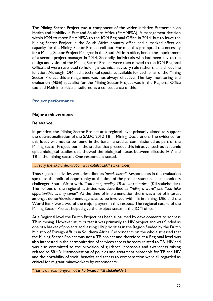The Mining Sector Project was a component of the wider initiative Partnership on Health and Mobility in East and Southern Africa (PHAMESA). A management decision within IOM to move PHAMESA to the IOM Regional Office in 2014, but to leave the Mining Sector Project in the South Africa country office had a marked effect on capacity for the Mining Sector Project roll out. For one, this prompted the necessity for a Mining Sector Project Manager in the South African office, hence the appointment of a second project manager in 2014. Secondly, individuals who had been key to the design and vision of the Mining Sector Project were then moved to the IOM Regional Office and were restricted to holding a technical advisory role rather than a direct line function. Although IOM had a technical specialist available for each pillar of the Mining Sector Project this arrangement was not always effective. The key monitoring and evaluation (M&E) specialist for the Mining Sector Project was in the Regional Office too and M&E in particular suffered as a consequence of this.

## **Project performance**

#### **Major achievements**-

#### **Relevance**

In practice, the Mining Sector Project at a regional level primarily aimed to support the operationalisation of the SADC 2012 TB in Mining Declaration. The evidence for this focus was not to be found in the baseline studies commissioned as part of the Mining Sector Project, but in the studies that preceded this initiative, such as academic epidemiological studies that showed the biological nexus between silicosis, HIV and TB in the mining sector. One respondent stated,

#### *….really the SADC declaration was catalytic.(KII stakeholder)*

Thus regional activities were described as *'needs based'.* Respondents in this evaluation spoke to the political opportunity at the time of the project start up, as stakeholders challenged South Africa with, *"You are spreading TB in our countries"* (KII stakeholder). The rollout of the regional activities was described as *"riding a wave" and "you take opportunities as they come".* At the time of implementation there was a lot of interest amongst donor/development agencies to be involved with TB in mining. Dfid and the World Bank were two of the major players in this respect. The regional nature of the Mining Sector Project helped give the project status in the IOM office

At a Regional level the Dutch Project has been subsumed by developments to address TB in mining. However at its outset it was primarily an HIV project and was funded as one of a basket of projects addressing HIV priorities in the Region funded by the Dutch Ministry of Foreign Affairs in Southern Africa. Respondents on the whole stressed that the Mining Sector Project was not a TB project and therefore at a Regional level was also interested in the harmonization of services across borders related to TB, HIV and was also committed to the provision of guidance, protocols and awareness raising related to SRHR. Harmonisation of policies and treatment protocols for TB and HIV and the portability of social benefits and access to compensation were all regarded as critical for migrant mineworkers by respondents.

*"This is a health project not a TB project"(KII stakeholder)*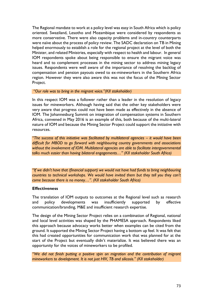The Regional mandate to work at a policy level was easy in South Africa which is policy oriented. Swaziland, Lesotho and Mozambique were considered by respondents as more conservative. There were also capacity problems and in-country counterparts were naïve about the process of policy review. The SADC declaration on TB in Mining helped enormously to establish a role for the regional project at the level of both the Minister, and related Ministries, especially with respect to health and labour. In general IOM respondents spoke about being responsible to ensure the migrant voice was heard and to complement processes in the mining sector to address mining legacy issues. Respondents were well aware of the importance of resolving the backlog of compensation and pension payouts owed to ex-mineworkers in the Southern Africa region. However they were also aware this was not the focus of the Mining Sector Project.

*"Our role was to bring in the migrant voice."(KII stakeholder)*

In this respect IOM was a follower rather than a leader in the resolution of legacy issues for mineworkers. Although having said that the other key stakeholders were very aware that progress could not have been made as effectively in the absence of IOM. The Johannesburg Summit on integration of compensation systems in Southern Africa, convened in May 2016 is an example of this, both because of the multi-lateral nature of IOM and because the Mining Sector Project could support the initiative with resources.

*"The success of this initiative was facilitated by multilateral agencies – it would have been difficult for MBOD to go forward with neighbouring country governments and associations without the involvement of IOM. Multilateral agencies are able to facilitate intergovernmental talks much easier than having bilateral engagements…" (KII stakeholder South Africa)*

*"If we didn't have that (financial support) we would not have had funds to bring neighbouring countries to technical workshops. We would have invited them but they tell you they can't come because there is no money…". (KII stakeholder South Africa)*

#### **Effectiveness**

The translation of IOM outputs to outcomes at the Regional level such as research and policy developments was insufficiently supported by effective communication/branding, M&E and insufficient research expertise.

The design of the Mining Sector Project relies on a combination of Regional, national and local level activities was shaped by the PHAMESA approach. Respondents liked this approach because advocacy works better when examples can be cited from the ground. It supported the Mining Sector Project having a bottom up feel. It was felt that this had created opportunities for communication work that was planned for at the start of the Project but eventually didn't materialize. It was believed there was an opportunity for the voices of mineworkers to be profiled.

*"We did not finish putting a positive spin on migration and the contribution of migrant mineworkers to development. It is not just HIV, TB and silicosis." (KII stakeholder)*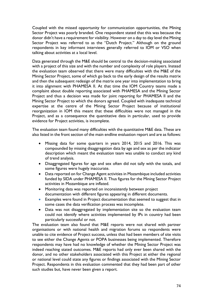Coupled with the missed opportunity for communication opportunities, the Mining Sector Project was poorly branded. One respondent stated that this was because the donor didn't have a requirement for visibility. However on a day to day level the Mining Sector Project was referred to as the "Dutch Project." Although on the ground respondents in key informant interviews generally referred to IOM or VSO when talking about activities at a local level.

Data generated through the M&E should be central to the decision-making associated with a project of this size and with the number and complexity of role players. Instead the evaluation team observed that there were many difficulties with the M&E of the Mining Sector Project, some of which go back to the early design of the results matrix and then the subsequent redesign of the matrix one year into implementation to bring it into alignment with PHAMESA II. At that time the IOM Country teams made a complaint about double reporting associated with PHAMESA and the Mining Sector Project and thus a decision was made for joint reporting for PHAMESA II and the Mining Sector Project to which the donors agreed. Coupled with inadequate technical expertise at the centre of the Mining Sector Project because of institutional reorganization in IOM this meant that these difficulties were not managed in the Project, and as a consequence the quantitative data in particular, used to provide evidence for Project activities, is incomplete.

The evaluation team found many difficulties with the quantitative M&E data. These are also listed in the front section of the main endline evaluation report and are as follows:

- Missing data for some quarters in years 2014, 2015 and 2016. This was compounded by missing disaggregation data by age and sex as per the indicator description which meant the evaluation team was unable to conduct any kind of trend analysis.
- Disaggregated figures for age and sex often did not tally with the totals, and some figures were hugely inaccurate.
- Data reported on for Change Agent activities in Mozambique included activities funded by SIDA under PHAMESA II. Thus figures for the Mining Sector Project activities in Mozambique are inflated.
- Monitoring data was reported on inconsistently between project documentation with different figures appearing in different documents.
- Examples were found in Project documentation that seemed to suggest that in some cases the data verification process was incomplete.
- Data was not disaggregated by implementation site so the evaluation team could not identify where activities implemented by IPs in country had been particularly successful or not.

The evaluation team also found that M&E reports were not shared with partner organisations or with national health and migration forums so respondents were unable to cite evidence of Project success, unless that had been members of site visits to see either the Change Agents or POPA businesses being implemented. Therefore respondents may have had no knowledge of whether the Mining Sector Project was indeed reaching stated outcomes. M&E reports had only ever been shared with the donor, and no other stakeholders associated with this Project at either the regional or national level could state any figures or findings associated with the Mining Sector Project. Respondents in this evaluation commented that they had been part of other such studies but, have never been given a report.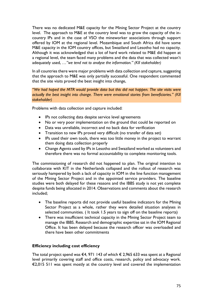There was no dedicated M&E capacity for the Mining Sector Project at the country level. The approach to M&E at the country level was to grow the capacity of the incountry IPs and in the case of VSO the mineworker associations through support offered by IOM at the regional level. Mozambique and South Africa did have some M&E capacity in the IOM country offices, but Swaziland and Lesotho had no capacity. Although it was acknowledged that a lot of hard work related to M&E did happen at a regional level, the team faced many problems and the data that was collected wasn't adequately used, *…"we tend not to analyse the information." (KII stakeholder)*

In all countries there were major problems with data collection and capture, suggesting that the approach to M&E was only partially successful. One respondent commented that the site visits proved the best insight into change,

*"We had hoped the MTR would provide data but this did not happen. The site visits were actually the best insight into change. There were emotional stories from beneficiaries." (KII stakeholder)*

Problems with data collection and capture included:

- IPs not collecting data despite service level agreements
- No or very poor implementation on the ground that could be reported on
- Data was unreliable, incorrect and no back data for verification
- Transition to new IPs proved very difficult (no transfer of data set)
- IPs used their own tools, there was too little money in the project to warrant them doing data collection properly
- Change Agents used by IPs in Lesotho and Swaziland worked as volunteers and therefore there was no formal accountability to complete monitoring tools.

The commissioning of research did not happened to plan. The original intention to collaborate with KIT in the Netherlands collapsed and the rollout of research was seriously hampered by both a lack of capacity in IOM in the line function management of the Mining Sector Project and in the appointed service providers. The baseline studies were both delayed for these reasons and the IBBS study is not yet complete despite funds being allocated in 2014. Observations and comments about the research included;

- The baseline reports did not provide useful baseline indicators for the Mining Sector Project as a whole, rather they were detailed situation analyses in selected communities. ( It took 1.5 years to sign off on the baseline reports)
- There was insufficient technical capacity in the Mining Sector Project team to manage the IBBS. Research and demographic expertise sat in the IOM Regional Office. It has been delayed because the research officer was overloaded and there have been other commitments

# **Efficiency including cost efficiency**

The total project spend was  $\epsilon$ 4, 971 143 of which  $\epsilon$  2,965 633 was spent at a Regional level primarily covering staff and office costs, research, policy and advocacy work. €2,015 511 was spent mostly at the country level and covered the implementation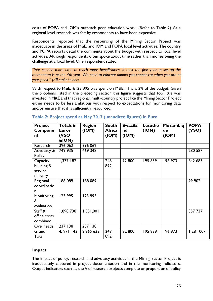costs of POPA and IOM's outreach peer education work. (Refer to Table 2) At a regional level research was felt by respondents to have been expensive.

Respondents reported that the resourcing of the Mining Sector Project was inadequate in the areas of M&E, and IOM and POPA local level activities. The country and POPA reports detail the comments about the budget with respect to local level activities. Although respondents often spoke about time rather than money being the challenge at a local level. One respondent stated,

*"We needed more time to reach more beneficiaries. It took the first year to set up the momentum is at the 4th year. We need to educate donors you cannot cut when you are at your peak." (KII stakeholder)*

With respect to M&E, €123 995 was spent on M&E. This is 2% of the budget. Given the problems listed in the preceding section this figure suggests that too little was invested in M&E and that regional, multi-country project like the Mining Sector Project either needs to be less ambitious with respect to expectations for monitoring data and/or ensure that it is sufficiently resourced.

| Project        | Totals in     | <b>Region</b> | <b>South</b>  | <b>Swazila</b> | Lesotho | Mozambiq | <b>POPA</b> |
|----------------|---------------|---------------|---------------|----------------|---------|----------|-------------|
| <b>Compone</b> | <b>Euros</b>  | (ION)         | <b>Africa</b> | nd             | (ION)   | ue       | (VSO)       |
| nt             | (VSO<br>&IOM) |               | (ION)         | (ION)          |         | (ION)    |             |
| Research       | 396 062       | 396 062       |               |                |         |          |             |
| Advocacy &     | 749 935       | 469 348       |               |                |         |          | 280 587     |
| Policy         |               |               |               |                |         |          |             |
| Capacity       | $1,377$ 187   |               | 248           | 92 800         | 195839  | 196 973  | 642 683     |
| building &     |               |               | 892           |                |         |          |             |
| service        |               |               |               |                |         |          |             |
| delivery       |               |               |               |                |         |          |             |
| Regional       | 188 089       | 188 089       |               |                |         |          | 99 902      |
| coordinatio    |               |               |               |                |         |          |             |
| n              |               |               |               |                |         |          |             |
| Monitoring     | 123 995       | 123 995       |               |                |         |          |             |
| &              |               |               |               |                |         |          |             |
| evaluation     |               |               |               |                |         |          |             |
| Staff &        | 1,898 738     | 1,551,001     |               |                |         |          | 357 737     |
| office costs   |               |               |               |                |         |          |             |
| combined       |               |               |               |                |         |          |             |
| Overheads      | 237 138       | 237 138       |               |                |         |          |             |
| Grand          | 4, 971 143    | 2,965 633     | 248           | 92 800         | 195 839 | 196 973  | 1,281 007   |
| Total          |               |               | 892           |                |         |          |             |

# **Table 2: Project spend as May 2017 (unaudited figures) in Euro**

# **Impact**

The impact of policy, research and advocacy activities in the Mining Sector Project is inadequately captured in project documentation and in the monitoring indicators. Output indicators such as, the # of research projects complete or proportion of policy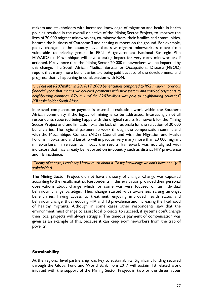makers and stakeholders with increased knowledge of migration and health in health policies resulted in the overall objective of the Mining Sector Project, to improve the lives of 20 000 migrant mineworkers, ex-mineworkers, their families and communities, became the business of Outcome 3 and chasing numbers on the ground. For example, policy changes at the country level that saw migrant mineworkers move from vulnerable to priority groups in PEN IV (government National Strategic Plan HIV/AIDS) in Mozambique will have a lasting impact for very many mineworkers if actioned. Many more than the Mining Sector 20 000 mineworkers will be impacted by this change. The South African Medical Bureau for Occupational Disease (MBOD) report that many more beneficiaries are being paid because of the developments and progress that is happening in collaboration with IOM,

*"… Paid out R207million in 2016/17 2000 beneficiaries compared to R92 million in previous financial year; that means we doubled payments with new system and tracked payments to neighbouring countries. R76 mill (of the R207million) was paid to neighbouring countries" (KII stakeholder South Africa)*

Improved compensation payouts is essential restitution work within the Southern African community if the legacy of mining is to be addressed. Interestingly not all respondents reported being happy with the original results framework for the Mining Sector Project and one limitation was the lack of rationale for the selection of 20 000 beneficiaries. The regional partnership work through the compensation summit and with the Mozambique Combat (AIDS) Council and with the Migration and Health Forums in Swaziland and Lesotho will impact on very many more than 20 000 migrant mineworkers. In relation to impact the results framework was not aligned with indicators that may already be reported on in-country such as district HIV prevalence and TB incidence.

*"Theory of change, I can't say I know much about it. To my knowledge we don't have one."(KII stakeholder)*

The Mining Sector Project did not have a theory of change. Change was captured according to the results matrix. Respondents in this evaluation provided their personal observations about change which for some was very focused on an individual behaviour change paradigm. Thus change started with awareness raising amongst beneficiaries, having access to treatment, enjoying improved health status and behaviour change, thus reducing HIV and TB prevalence and increasing the likelihood of healthy migrants. Although in some cases other respondents saw that the environment must change to assist local projects to succeed, if systems don't change then local projects will always struggle. The timeous payment of compensation was given as an example of this, because it can keep ex-mineworkers from the trap of poverty.

#### **Sustainability**

At the regional level partnership was key to sustainability. Significant funding secured through the Global Fund and World Bank from 2017 will sustain TB related work initiated with the support of the Mining Sector Project in two or the three labour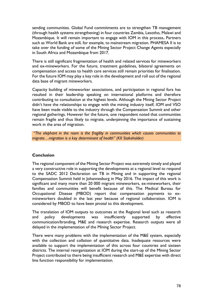sending communities. Global Fund commitments are to strengthen TB management (through health systems strengthening) in four countries Zambia, Lesotho, Malawi and Mozambique. It will remain important to engage with IOM in this process**.** Partners such as World Bank are still, for example, to mainstream migration. PHAMESA II is to take over the funding of some of the Mining Sector Project Change Agents especially in South Africa and Mozambique from 2017.

There is still significant fragmentation of health and related services for mineworkers and ex-mineworkers. For the future, treatment guidelines, bilateral agreements on compensation and access to health care services still remain priorities for finalisation. For the future IOM may play a key role in the development and roll out of the regional data base of migrant mineworkers.

Capacity building of mineworker associations, and participation in regional fora has resulted in their leadership speaking on international platforms and therefore contributing to consultation at the highest levels. Although the Mining Sector Project didn't have the relationships to engage with the mining industry itself, IOM and VSO have been made visible to the industry through the Compensation Summit and other regional gatherings. However for the future, one respondent noted that communities remain fragile and thus likely to migrate, underpinning the importance of sustaining work in the area of migration.

*"The elephant in the room is the fragility in communities which causes communities to migrate…migration is a key determinant of health" (KII Stakeholder)*

# **Conclusion**

The regional component of the Mining Sector Project was extremely timely and played a very constructive role in supporting the developments at a regional level to respond to the SADC 2012 Declaration on TB in Mining and in supporting the regional Compensation Summit held in Johannesburg in May 2016. The impact of this work is significant and many more than 20 000 migrant mineworkers, ex-mineworkers, their families and communities will benefit because of this. The Medical Bureau for Occupational Disease (MBOD) report that compensation payments to exmineworkers doubled in the last year because of regional collaboration. IOM is considered by MBOD to have been pivotal to this development.

The translation of IOM outputs to outcomes at the Regional level such as research and policy developments was insufficiently supported by effective communication/branding, M&E and research expertise. Research outputs were all delayed in the implementation of the Mining Sector Project.

There were many problems with the implementation of the M&E system, especially with the collection and collation of quantitative data. Inadequate resources were available to support the implementation of this across four countries and sixteen districts. The internal reorganization at IOM during the start-up of the Mining Sector Project contributed to there being insufficient research and M&E expertise with direct line function responsibility for implementation.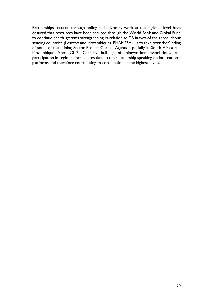Partnerships secured through policy and advocacy work at the regional level have ensured that resources have been secured through the World Bank and Global Fund to continue health systems strengthening in relation to TB in two of the three labour sending countries (Lesotho and Mozambique). PHAMESA II is to take over the funding of some of the Mining Sector Project Change Agents especially in South Africa and Mozambique from 2017. Capacity building of mineworker associations, and participation in regional fora has resulted in their leadership speaking on international platforms and therefore contributing to consultation at the highest levels.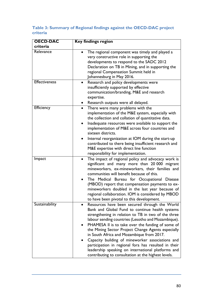# **Table 3: Summary of Regional findings against the OECD-DAC project criteria**

| <b>OECD-DAC</b><br>criteria | <b>Key findings region</b>                                                                                                                                                                                                                                                                                                                                                                                                                                                                                                                                                                                  |
|-----------------------------|-------------------------------------------------------------------------------------------------------------------------------------------------------------------------------------------------------------------------------------------------------------------------------------------------------------------------------------------------------------------------------------------------------------------------------------------------------------------------------------------------------------------------------------------------------------------------------------------------------------|
|                             |                                                                                                                                                                                                                                                                                                                                                                                                                                                                                                                                                                                                             |
| Relevance                   | The regional component was timely and played a<br>very constructive role in supporting the<br>developments to respond to the SADC 2012<br>Declaration on TB in Mining, and in supporting the<br>regional Compensation Summit held in<br>Johannesburg in May 2016.                                                                                                                                                                                                                                                                                                                                           |
| <b>Effectiveness</b>        | Research and policy developments were<br>$\bullet$<br>insufficiently supported by effective<br>communication/branding, M&E and research<br>expertise.<br>Research outputs were all delayed.                                                                                                                                                                                                                                                                                                                                                                                                                 |
| Efficiency                  | There were many problems with the<br>$\bullet$<br>implementation of the M&E system, especially with<br>the collection and collation of quantitative data.<br>Inadequate resources were available to support the<br>implementation of M&E across four countries and<br>sixteen districts.<br>Internal reorganization at IOM during the start-up<br>contributed to there being insufficient research and<br>M&E expertise with direct line function<br>responsibility for implementation.                                                                                                                     |
| Impact                      | The impact of regional policy and advocacy work is<br>$\bullet$<br>significant and many more than 20 000 migrant<br>mineworkers, ex-mineworkers, their families and<br>communities will benefit because of this.<br>The Medical Bureau for Occupational Disease<br>(MBOD) report that compensation payments to ex-<br>mineworkers doubled in the last year because of<br>regional collaboration. IOM is considered by MBOD<br>to have been pivotal to this development.                                                                                                                                     |
| Sustainability              | Resources have been secured through the World<br>$\bullet$<br>Bank and Global Fund to continue health systems<br>strengthening in relation to TB in two of the three<br>labour sending countries (Lesotho and Mozambique).<br>PHAMESA II is to take over the funding of some of<br>the Mining Sector Project Change Agents especially<br>in South Africa and Mozambique from 2017.<br>Capacity building of mineworker associations and<br>participation in regional fora has resulted in their<br>leadership speaking on international platforms and<br>contributing to consultation at the highest levels. |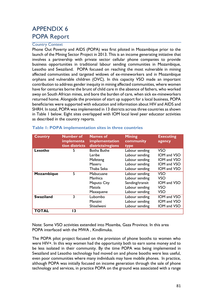# APPENDIX 6 POPA Report

# Country Context

Phone Out Poverty and AIDS (POPA) was first piloted in Mozambique prior to the launch of the Mining Sector Project in 2013. This is an income generating initiative that involves a partnership with private sector cellular phone companies to provide business opportunities in traditional labour sending communities in Mozambique, Lesotho and Swaziland. POPA focused on reaching the most vulnerable in mining affected communities and targeted widows of ex-mineworkers and in Mozambique orphans and vulnerable children (OVC). In this capacity VSO made an important contribution to address gender inequity in mining affected communities, where women have for centuries borne the brunt of child care in the absence of fathers, who worked away on South African mines, and bore the burden of care, when sick ex-mineworkers returned home. Alongside the provision of start up support for a local business, POPA beneficiaries were supported with education and information about HIV and AIDS and SHRH. In total, POPA was implemented in 13 districts across three countries as shown in Table 1 below. Eight sites overlapped with IOM local level peer educator activities as described in the country reports.

| <b>Country</b>   | <b>Number of</b><br>implementa<br>tion districts | <b>Names of</b><br>implementation<br>districts/regions | <b>Mining</b><br>community<br>type | <b>Executing</b><br>agency |
|------------------|--------------------------------------------------|--------------------------------------------------------|------------------------------------|----------------------------|
| Lesotho          | 5                                                | <b>Botha Buthe</b>                                     | Labour sending                     | VSO                        |
|                  |                                                  | Leribe                                                 | Labour sending                     | <b>IOM and VSO</b>         |
|                  |                                                  | Mafeteng                                               | Labour sending                     | <b>IOM and VSO</b>         |
|                  |                                                  | Maseru                                                 | Labour sending                     | <b>IOM and VSO</b>         |
|                  |                                                  | Thaba Seka                                             | Labour sending                     | IOM and VSO                |
| Mozambique       | 5                                                | Mabucuane                                              | Labour sending                     | <b>VSO</b>                 |
|                  |                                                  | Manhica                                                | Labour sending                     | <b>VSO</b>                 |
|                  |                                                  | Maputo City                                            | Sending/transit                    | IOM and VSO                |
|                  |                                                  | Matola                                                 | Labour sending                     | <b>VSO</b>                 |
|                  |                                                  | Maxaquene                                              | Labour sending                     | VSO                        |
| <b>Swaziland</b> | 3                                                | Lubombo                                                | Labour sending                     | <b>IOM and VSO</b>         |
|                  |                                                  | Manzini                                                | Labour sending                     | IOM and VSO                |
|                  |                                                  | Shiselweni                                             | Labour sending                     | IOM and VSO                |
| <b>TOTAL</b>     | 13                                               |                                                        |                                    |                            |

# **Table 1: POPA implementation sites in three countries**

Note: Some VSO activities extended into Moamba, Gaza Province. In this area POPA interfaced with the MWA , Kindlimuka.

The POPA pilot project focused on the provision of phone booths to women who were HIV+. In this way women had the opportunity both to earn some money and to be less isolated in their community. By the time POPA was being implemented in Swaziland and Lesotho technology had moved on and phone booths were less useful, even poor communities where many individuals may have mobile phones. In practice, although POPA was initially focused on income generation through the sale of phone technology and services, in practice POPA on the ground was associated with a range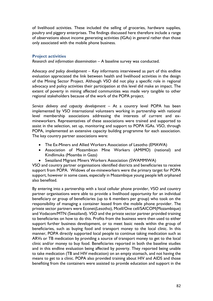of livelihood activities. These included the selling of groceries, hardware supplies, poultry and piggery enterprises. The findings discussed here therefore include a range of observations about income generating activities (IGAs) in general rather than those only associated with the mobile phone business.

### **Project activities**

*Research and information dissemination –* A baseline survey was conducted.

*Advocacy and policy development –* Key informants interviewed as part of this endline evaluation appreciated the link between health and livelihood activities in the design of the Mining Sector Project. Although VSO did not play a specific role in regional advocacy and policy activities their participation at this level did make an impact. The extent of poverty in mining affected communities was made very tangible to other regional stakeholders because of the work of the POPA project.

*Service delivery and capacity development –* At a country level POPA has been implemented by VSO international volunteers working in partnership with national level membership associations addressing the interests of current and exmineworkers. Representatives of these associations were trained and supported to assist in the selection, set up, monitoring and support to POPA IGAs. VSO, through POPA, implemented an extensive capacity building programme for each association. The key country partner associations were:

- The Ex-Miners and Allied Workers Association of Lesotho (EMAWA)
- Association of Mozambican Mine Workers (AMIMO) (national) and Kindlimuka (Moamba in Gaza)
- Swaziland Migrant Miners Workers Association (SWAMMIWA)

VSO and country partner organisations identified districts and beneficiaries to receive support from POPA. Widows of ex-mineworkers were the primary target for POPA support, however in some cases, especially in Mozambique young people left orphaned also benefited.

By entering into a partnership with a local cellular phone provider, VSO and country partner organisations were able to provide a livelihood opportunity for an individual beneficiary or group of beneficiaries (up to 6 members per group) who took on the responsibility of managing a container leased from the mobile phone provider. The private sector partners were Econet(Lesotho), Mcell/One cell/SAICOM(Mozambique) and Vodacom/MTN (Swaziland). VSO and the private sector partner provided training to beneficiaries on how to do this. Profits from the business were then used to either support further business development, or to meet basic needs within the group of beneficiaries, such as buying food and transport money to the local clinic. In this manner, POPA directly supported local people to continue taking medication such as ARVs or TB medication by providing a source of transport money to get to the local clinic and/or money to buy food. Beneficiaries reported in both the baseline studies and in this endline evaluation being affected by poverty. They reported being unable to take medication (TB and HIV medication) on an empty stomach, and not having the means to get to a clinic. POPA also provided training about HIV and AIDS and those benefiting from the containers were assisted to provide education and support in the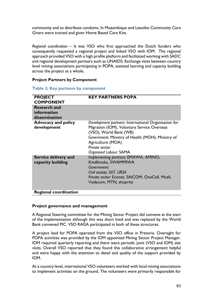community and to distribute condoms. In Mozambique and Lesotho Community Care Givers were trained and given Home Based Care Kits.

*Regional coordination –* It was VSO who first approached the Dutch funders who consequently requested a regional project and linked VSO with IOM. The regional approach provided VSO with a high profile platform and facilitated working with SADC and regional development partners such as UNAIDS. Exchange visits between country level mining associations participating in POPA, assisted learning and capacity building across the project as a whole.

#### **Project Partners by Component**

|  |  |  | <b>Table 2: Key partners by component</b> |
|--|--|--|-------------------------------------------|
|--|--|--|-------------------------------------------|

| <b>PROJECT</b>                            | <b>KEY PARTNERS POPA</b>                                                                                                                                                             |
|-------------------------------------------|--------------------------------------------------------------------------------------------------------------------------------------------------------------------------------------|
| <b>COMPONENT</b>                          |                                                                                                                                                                                      |
| <b>Research and</b>                       |                                                                                                                                                                                      |
| information                               |                                                                                                                                                                                      |
| dissemination                             |                                                                                                                                                                                      |
| <b>Advocacy and policy</b><br>development | Development partners: International Organisation for<br>Migration (IOM), Voluntary Service Overseas<br>(VSO), World Bank (WB)                                                        |
|                                           | Government: Ministry of Health (MOH), Ministry of<br>Agriculture (MOA)<br>Private sector:<br>Organised Labour: SAMA                                                                  |
| Service delivery and<br>capacity building | Implementing partners: EMAWA, AMINO,<br>Kindlimuka, SWAMMIWA<br>Government:<br>Civil society: SAT, URSA<br>Private sector: Econet, SAICOM, OneCell, Mcell,<br>Vodacom, MTN, shoprite |
| <b>Regional coordination</b>              |                                                                                                                                                                                      |

#### **Project governance and management**

A Regional Steering committee for the Mining Sector Project did convene at the start of the implementation although this was short lived and was replaced by the World Bank convened PIC. VSO RAISA participated in both of these structures.

A project lead for POPA operated from the VSO office in Pretoria. Oversight for POPA activities was provided by the IOM appointed Mining Sector Project Manager. IOM required quarterly reporting and there were periodic joint (VSO and IOM) site visits. Overall VSO reported that they found this collaborative arrangement helpful and were happy with the attention to detail and quality of the support provided by IOM.

At a country level, international VSO volunteers worked with local mining associations to implement activities on the ground. The volunteers were primarily responsible for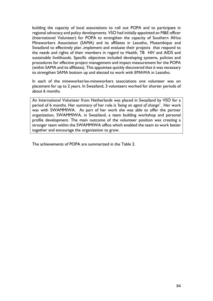building the capacity of local associations to roll out POPA and to participate in regional advocacy and policy developments. VSO had initially appointed an M&E officer (International Volunteer) for POPA to strengthen the capacity of Southern Africa Mineworkers Association (SAMA) and its affiliates in Lesotho, Mozambique and Swaziland to effectively plan ,implement and evaluate their projects that respond to the needs and rights of their members in regard to Health, TB HIV and AIDS and sustainable livelihoods. Specific objectives included developing systems, policies and procedures for effective project management and impact measurement for the POPA (within SAMA and its affiliates). This appointee quickly discovered that it was necessary to strengthen SAMA bottom up and elected to work with EMAWA in Lesotho.

In each of the mineworker/ex-mineworkers associations one volunteer was on placement for up to 2 years. In Swaziland, 3 volunteers worked for shorter periods of about 6 months.

An International Volunteer from Netherlands was placed in Swaziland by VSO for a period of 6 months. Her summary of her role is *'being an agent of change'* . Her work was with SWAMMIWA. As part of her work she was able to offer the partner organization, SWAMMIWA, in Swaziland, a team building workshop and personal profile development. The main outcome of the volunteer position was creating a stronger team within the SWAMMIWA office which enabled the team to work better together and encourage the organization to grow.

The achievements of POPA are summarized in the Table 2.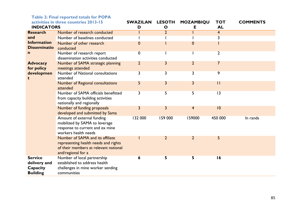|                                                               | $\frac{1}{2}$ able 2. I final reported totals for TVI A<br>activities in three countries 2013-15                                        | <b>SWAZILAN</b> | <b>LESOTH</b>  | <b>MOZAMBIQU</b> | <b>TOT</b>      | <b>COMMENTS</b> |
|---------------------------------------------------------------|-----------------------------------------------------------------------------------------------------------------------------------------|-----------------|----------------|------------------|-----------------|-----------------|
| <b>INDICATORS</b>                                             |                                                                                                                                         | D               | $\mathbf{o}$   | Е                | <b>AL</b>       |                 |
| <b>Research</b>                                               | Number of research conducted                                                                                                            |                 | $\overline{2}$ |                  | $\overline{4}$  |                 |
| and                                                           | Number of baselines conducted                                                                                                           |                 |                |                  | 3               |                 |
| <b>Information</b><br><b>Disseminatio</b>                     | Number of other research<br>conducted                                                                                                   | 0               |                | 0                |                 |                 |
| n                                                             | Number of research report<br>dissemination activities conducted                                                                         | $\mathbf 0$     |                |                  | $\overline{2}$  |                 |
| <b>Advocacy</b><br>for policy                                 | Number of SAMA strategic planning<br>meetings attended                                                                                  | $\overline{2}$  | 3              | $\overline{2}$   | $\overline{7}$  |                 |
| developmen<br>t                                               | Number of National consultations<br>attended                                                                                            | 3               | 3              | 3                | 9               |                 |
|                                                               | Number of Regional consultations<br>attended                                                                                            | 5               | 3              | 3                | $\overline{11}$ |                 |
|                                                               | Number of SAMA officials benefitted<br>from capacity building activities<br>nationally and regionally                                   | 3               | 5              | 5                | 3               |                 |
|                                                               | Number of funding proposals<br>developed and submitted by Sama                                                                          | 3               | 3              | $\overline{4}$   | 10              |                 |
|                                                               | Amount of external funding<br>mobilized by SAMA to leverage<br>response to current and ex mine<br>workers health needs                  | 132 000         | 159 000        | 159000           | 450 000         | In rands        |
|                                                               | Number of SAMA and its affiliate<br>representing health needs and rights<br>of their members at relevant national<br>and/regional for a |                 | $\overline{2}$ | $\overline{2}$   | 5               |                 |
| <b>Service</b><br>delivery and<br>Capacity<br><b>Building</b> | Number of local partnership<br>established to address health<br>challenges in mine worker sending<br>communities                        | 6               | 5.             | 5                | 16              |                 |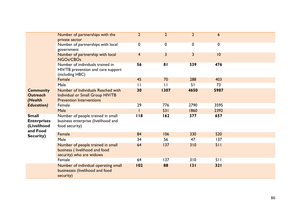|                                                               | Number of partnerships with the<br>private sector                                                         | $\overline{2}$ | $\overline{2}$ | $\overline{2}$ | 6           |  |
|---------------------------------------------------------------|-----------------------------------------------------------------------------------------------------------|----------------|----------------|----------------|-------------|--|
|                                                               | Number of partnerships with local<br>government                                                           | 0              | 0              | 0              | $\mathbf 0$ |  |
|                                                               | Number of partnership with local<br>NGOs/CBOs                                                             | $\overline{4}$ | 3              | 3              | 10          |  |
|                                                               | Number of individuals trained in<br>HIV/TB prevention and care support<br>(including HBC)                 | 56             | 81             | 339            | 476         |  |
|                                                               | Female                                                                                                    | 45             | 70             | 288            | 403         |  |
|                                                               | Male                                                                                                      | $\mathbf{H}$   | $\mathbf{H}$   | 51             | 73          |  |
| <b>Community</b><br><b>Outreach</b><br>(Health                | Number of Individuals Reached with<br>Individual or Small Group HIV/TB<br><b>Prevention Interventions</b> | 30             | 1307           | 4650           | 5987        |  |
| <b>Education</b> )                                            | Female                                                                                                    | 29             | 776            | 2790           | 3595        |  |
|                                                               | Male                                                                                                      |                | 531            | 1860           | 2392        |  |
| <b>Small</b><br><b>Enterprises</b><br>(Livelihood<br>and Food | Number of people trained in small<br>business enterprise (livelihood and<br>food security)                | 118            | 162            | 377            | 657         |  |
| Security)                                                     | Female                                                                                                    | 84             | 106            | 330            | 520         |  |
|                                                               | <b>Male</b>                                                                                               | 34             | 56             | 47             | 137         |  |
|                                                               | Number of people trained in small<br>business (livelihood and food<br>security) who are widows            | 64             | 137            | 310            | 511         |  |
|                                                               | Female                                                                                                    | 64             | 137            | 310            | 511         |  |
|                                                               | Number of individual operating small<br>businesses (livelihood and food<br>security)                      | 102            | 88             | 131            | 321         |  |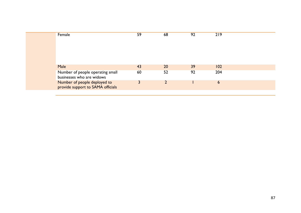| Male<br>43<br>20<br>39<br>102<br>92<br>204<br>52<br>60<br>Number of people operating small<br>businesses who are widows<br>Number of people deployed to<br>6 | Female                            | 59 | 68 | 92 | 219 |  |
|--------------------------------------------------------------------------------------------------------------------------------------------------------------|-----------------------------------|----|----|----|-----|--|
|                                                                                                                                                              |                                   |    |    |    |     |  |
|                                                                                                                                                              |                                   |    |    |    |     |  |
|                                                                                                                                                              | provide support to SAMA officials |    |    |    |     |  |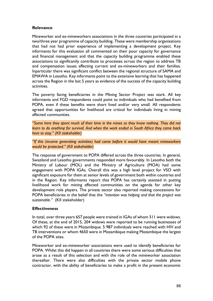# **Relevance**

Mineworker and ex-mineworkers associations in the three countries participated in a two/three year programme of capacity building. These were membership organisations that had not had prior experience of implementing a development project. Key informants for this evaluation all commented on their poor capacity for governance and financial management and that the capacity building programme enabled these associations to significantly contribute to processes across the region to address TB and compensation issues affecting current and ex-mineworkers and their families. Inparticular there was significant conflict between the regional structure of SAMA and EMAWA in Lesotho. Key informants point to the extensive learning that has happened across the Region in the last 5 years as evidence of the success of the capacity building activities.

The poverty facing beneficiaries in the Mining Sector Project was stark. All key informants and FGD respondents could point to individuals who had benefited from POPA, even if these benefits were short lived and/or very small. All respondents agreed that opportunities for livelihood are critical for individuals living in mining affected communities.

*"Some here they spent much of their time in the mines so they know nothing. They did not learn to do anything for survival. And when the work ended in South Africa they came back here to stay." (KII stakeholder)*

*"If this (income generating activities) had come before it would have meant mineworkers would be protected." (KII stakeholder)*

The response of government to POPA differed across the three countries. In general, Swaziland and Lesotho governments responded more favourably. In Lesotho both the Ministry of Labour (MOL) and the Ministry of Agriculture (MOA) had some engagement with POPA IGAs. Overall this was a high level project for VSO with significant exposure for them at senior levels of government both within countries and in the Region. Key informants report that POPA has certainly assisted in putting livelihood work for mining affected communities on the agenda for other key development role players. The private sector also reported making concessions for POPA beneficiaries in the belief that the *"intention was helping and that the project was sustainable."* (KII stakeholder)

# **Effectiveness**

In total, over three years 657 people were trained in IGAs of whom 511 were widows. Of these, at the end of 2015, 204 widows were reported to be running businesses of which 92 of these were in Mozambique. 5 987 individuals were reached with HIV and TB interventions or whom 4650 were in Mozambique making Mozambique the largest of the POPA sites.

Mineworker and ex-mineworker associations were used to identify beneficiaries for POPA. Whilst this did happen in all countries there were some serious difficulties that arose as a result of this selection and with the role of the mineworker association thereafter. There were also difficulties with the private sector mobile phone contractor, with the ability of beneficiaries to make a profit in the present economic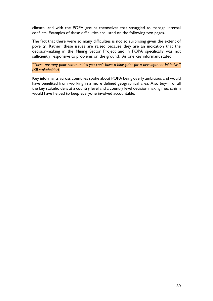climate, and with the POPA groups themselves that struggled to manage internal conflicts. Examples of these difficulties are listed on the following two pages.

The fact that there were so many difficulties is not so surprising given the extent of poverty. Rather, these issues are raised because they are an indication that the decision-making in the Mining Sector Project and in POPA specifically was not sufficiently responsive to problems on the ground. As one key informant stated,

*"These are very poor communities you can't have a blue print for a development initiative." (KII stakeholder).* 

Key informants across countries spoke about POPA being overly ambitious and would have benefited from working in a more defined geographical area. Also buy-in of all the key stakeholders at a country level and a country level decision making mechanism would have helped to keep everyone involved accountable.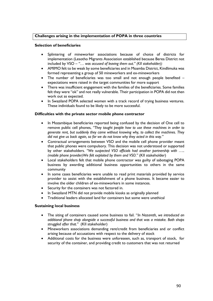#### **Challenges arising in the implementation of POPA in three countries**

#### **Selection of beneficiaries**

- Splintering of mineworker associations because of choice of districts for implementation (Lesotho Migrants Association established because Berea District not included by VSO – *"… was accused of leaving them out." (KII stakeholder))*
- AMIMO felt to be weak by some beneficiaries and in Moamba District, Kindlimuka was formed representing a group of 50 mineworkers and ex-mineworkers
- The number of beneficiaries was too small and not enough people benefited expectations were raised in the target communities for more support
- There was insufficient engagement with the families of the beneficiaries. Some families felt they were "ok" and not really vulnerable. Their participation in POPA did not then work out as expected.
- In Swaziland POPA selected women with a track record of trying business ventures. These individuals found to be likely to be more successful.

#### **Difficulties with the private sector mobile phone contractor**

- In Mozambique beneficiaries reported being confused by the decision of One cell to remove public cell phones, *"They taught people how to use these machines in order to generate rent, but suddenly they came without knowing why, to collect the machines. They did not give us back again, so far we do not know why they acted in this way."*
- Contractual arrangements between VSO and the mobile cell phone provider meant that public phones were compulsory. This decision was not understood or supported by other stakeholders. *"We suspected VSO officials had another partnership with ….. (mobile phone provider)We felt exploited by them and VSO."* (KII stakeholder)
- Local stakeholders felt that mobile phone contractor was guilty of sabotaging POPA business by awarding additional business opportunities to others in the same community
- In some cases beneficiaries were unable to read print materials provided by service provider to assist with the establishment of a phone business. It became easier to involve the older children of ex-mineworkers in some instances.
- Security for the containers was not factored in.
- In Swaziland MTN did not provide mobile kiosks as originally planned
- Traditional leaders allocated land for containers but some were unethical

#### **Sustaining local business**

- The siting of containers caused some business to fail. "*In Nazareth, we introduced an additional phone shop alongside a successful business and that was a mistake. Both shops struggled after that."* (KII stakeholder)
- Mineworkers associations demanding rent/credit from beneficiaries and or conflict arising because of accusations with respect to the delivery of stock
- Additional costs for the business were unforeseen, such as, transport of stock, for security of the container, and providing credit to customers that was not returned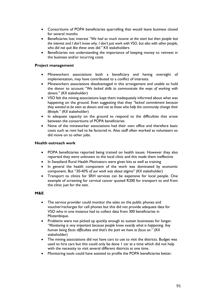- Consortiums of POPA beneficiaries quarrelling that would leave business closed for several months
- Beneficiaries lost interest *"We had so much income at the start but then people lost the interest and I don't know why. I don't just work with VSO, but also with other people, who did not quit like these ones did."* KII stakeholders
- Beneficiaries not understanding the importance of keeping money to reinvest in the business and/or incurring costs

#### **Project management**

- Mineworkers associations both a beneficiary and having oversight of implementation, may have contributed to a conflict of interests.
- Mineworkers associations disadvantaged in this arrangement and unable to hold the donor to account *"We lacked skills to communicate the ways of working with donors."* (KII stakeholder)
- VSO felt the mining associations kept them inadequately informed about what was happening on the ground. Even suggesting that they *"lacked commitment because they wanted to be seen as donors and not as those who help the community change their lifestyle."* (KII stakeholder)
- In adequate capacity on the ground to respond to the difficulties that arose between the consortiums of POPA beneficiaries
- None of the mineworker associations had their own office and therefore basic costs such as rent had to be factored in. Also staff often worked as volunteers so did move on to other jobs.

#### **Health outreach work**

- POPA beneficiaries reported being trained on health issues. However they also reported they were unknown to the local clinic and this made them ineffective
- In Swaziland Rural Health Motivators were given kits as well as training
- In general the health component of the work was dominated by economic component. But *"30-40% of our work was about stigma"* (KII stakeholder)
- Transport to clinics for SRH services can be expensive for local people. One example of screening for cervical cancer quoted R200 for transport to and from the clinic just for the test.

#### **M&E**

- The service provider could monitor the sales on the public phones and voucher/recharges for cell phones but this did not provide adequate data for VSO who in one instance had to collect data from 300 beneficiaries in Mozambique.
- Problems were not picked up quickly enough to sustain businesses for longer. *"Monitoring is very important because people know exactly what is happening. Any human being faces difficulties and that's the part we have to focus on."* (KII stakeholder)
- The mining associations did not have cars to use to visit the districts. Budget was used to hire cars but this could only be done 1 car at a time which did not help with the necessity to visit several different districts at one time.
- Monitoring tools could have assisted to profile the POPA beneficiaries better.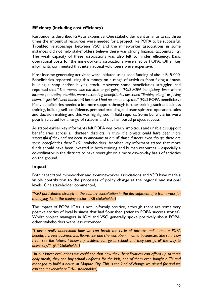# **Efficiency (including cost efficiency)**

Respondents described IGAs as expensive. One stakeholder went as far as to say three times the amount of resources were needed for a project like POPA to be successful. Troubled relationships between VSO and the mineworker associations in some instances did not help stakeholders believe there was strong financial accountability. The weak capacity of these associations was also felt to hinder efficiency. Basic operational costs for the mineworkers associations were met by POPA. Other key informants commented that international volunteers were expensive.

Most income generating activities were initiated using seed funding of about R15 000. Beneficiaries reported using this money on a range of activities from fixing a house, building a shop and/or buying stock. However some beneficiaries struggled and reported that "*The money was too little to get going" (FGD POPA beneficiary. Even where income generating activities were succeeding beneficiaries described "limping along" or falling*  down. "I just fell (went bankrupt) because I had no one to help me." (FGD POPA beneficiary) Many beneficiaries needed a lot more support through further training such as business training, building self- confidence, personal branding and team spirit/co-operation, sales and decision making and this was highlighted in field reports. Some beneficiaries were poorly selected for a range of reasons and this hampered project success.

As stated earlier key informants felt POPA was overly ambitious and unable to support beneficiaries across all thirteen districts. *"I think the project could have been more successful if they had not been so ambitious to run all those districts, even though there are some beneficiaries there."* (KII stakeholder). Another key informant stated that more funds should have been invested in both training and human resources – especially a co-ordinator in the districts to have oversight on a more day-to-day basis of activities on the ground.

# **Impact**

Both capacitated mineworker and ex-mineworker associations and VSO have made a visible contribution to the processes of policy change at the regional and national levels. One stakeholder commented,

"VSO participated strongly in the country consultation in the development of a framework for *managing TB in the mining sector" (KII stakeholder)*

The impact of POPA IGAs is not uniformly positive, although there are some very positive stories of local business that had flourished (refer to POPA success stories). Whilst project managers in IOM and VSO generally spoke positively about POPA, other stakeholders were less convinced.

*"I never really understood how we can break the cycle of poverty until I met a POPA beneficiary. Her business was flourishing and she was opening other businesses. She said 'now I can see the future. I know my children can go to school and they can go all the way to university.'" (KII Stakeholder)*

*"In our latest evaluations we could see that now they (beneficiaries) can afford up to three daily meals, they can buy school uniforms for the kids, one of them even bought a TV and managed to build a house at Maputo City. This is the kind of change we aimed for and we can see it everywhere." (KII stakeholder)*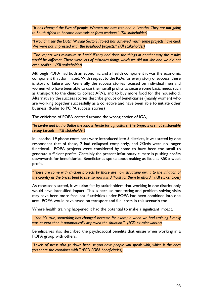*"It has changed the lives of people. Women are now retained in Lesotho. They are not going to South Africa to become domestic or farm workers." (KII stakeholder)*

*"I wouldn't say the Dutch[Mining Sector] Project has achieved much some projects have died. We were not impressed with the livelihood projects." (KII stakeholder)* 

*"The impact was minimum as I said if they had done the things in another way the results*  would be different. There were lots of mistakes things which we did not like and we did not *even realize." (KII stakeholder)*

Although POPA had both an economic and a health component it was the economic component that dominated. With respect to the IGAs for every story of success, there is story of failure too. Generally the success stories focused on individual men and women who have been able to use their small profits to secure some basic needs such as transport to the clinic to collect ARVs, and to buy more food for the household. Alternatively the success stories describe groups of beneficiaries (mainly women) who are working together successfully as a collective and have been able to initiate other business. (Refer to POPA success stories)

The criticisms of POPA centred around the wrong choice of IGA,

*"In Leribe and Butha Buthe the land is fertile for agriculture. The projects are not sustainable selling biscuits." (KII stakeholder)*

In Lesotho, 19 phone containers were introduced into 5 districts, it was stated by one respondent that of these, 2 had collapsed completely, and 2/3rds were no longer functional. POPA projects were considered by some to have been too small to generate sufficient profits. Certainly the present inflationary climate is pushing profits downwards for beneficiaries. Beneficiaries spoke about making as little as R50 a week profit.

*"There are some with chicken projects by those are now struggling owing to the inflation of the country as the prices tend to rise, so now it is difficult for them to afford." (KII stakeholder)*

As repeatedly stated, it was also felt by stakeholders that working in one district only would have intensified impact. This is because monitoring and problem solving visits may have been more frequent if activities under POPA had been combined into one area. POPA would have saved on transport and fuel costs in this scenario too.

Where health training happened it had the potential to make a significant impact.

*"Yah it's true, something has changed because for example when we had training I really was at zero then it automatically improved the situation." (FGD ex-mineworker)*

Beneficiaries also described the psychosocial benefits that ensue when working in a POPA group with others,

*"Levels of stress also go down because you have people you speak with, which is the ones you share the container with." (FGD POPA beneficiaries)*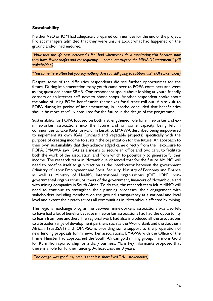# **Sustainability**

Neither VSO or IOM had adequately prepared communities for the end of the project. Project managers admitted that they were unsure about what had happened on the ground and/or had endured.

*"Now that the life cost increased I feel bad whenever I do a monitoring visit because now they have fewer profits and consequently ….some interrupted the HIV/AIDS treatment." (KII stakeholder )*

*"You come here often but you say nothing. Are you still going to support us?" (KII stakeholder)*

Despite some of the difficulties respondents did see further opportunities for the future. During implementation many youth came over to POPA containers and were asking questions about SRHR. One respondent spoke about looking at youth friendly corners or an internet café next to phone shops. Another respondent spoke about the value of using POPA beneficiaries themselves for further roll out. A site visit to POPA during its period of implementation, in Lesotho concluded that beneficiaries should be more carefully consulted for the future in the design of the programme.

Sustainability for POPA focused on both a strengthened role for mineworker and exmineworker associations into the future and on some capacity being left in communities to take IGAs forward. In Lesotho, EMAWA described being empowered to implement its own IGAs (orchard and vegetable projects) specifically with the purpose of creating income to sustain the organization for the future. An approach to their own sustainability that they acknowledged came directly from their exposure to POPA. EMAWA saw IGAs as a means to secure an office and two cars, to facilitate both the work of the association, and from which to potentially to generate further income. The research team in Mozambique observed that for the future AMIMO will need to redefine itself to gain traction as the interlocutor between the government (Ministry of Labor Employment and Social Security, Ministry of Economy and Finance as well as Ministry of Health), International organizations (OIT, IOM), nongovernmental organizations, partners of the government, financers of Mozambique and with mining companies in South Africa. To do this, the research team felt AMIMO will need to continue to strengthen their planning processes, their engagement with stakeholders including members on the ground, transparency at a national and local level and extent their reach across all communities in Mozambique affected by mining.

The regional exchange programme between mineworkers associations was also felt to have had a lot of benefits because mineworker associations had had the opportunity to learn from one another. The regional work had also introduced all the associations to a broader range of development partners such as the World Bank and the Southern African Trust(SAT) and IOM/VSO is providing some support to the preparation of new funding proposals for mineworker associations. EMAWA with the Office of the Prime Minister had approached the South African gold mining group, Harmony Gold for R5 million sponsorship for a diary business. Many key informants proposed that there is a role for further funding. At least another 3 years.

*"The design was good, my pain is that it is short lived." (KII stakeholder)*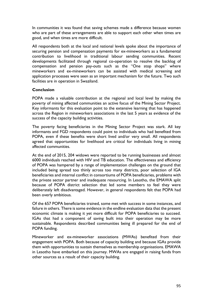In communities it was found that saving schemes made a difference because women who are part of these arrangements are able to support each other when times are good, and when times are more difficult.

All respondents both at the local and national levels spoke about the importance of securing pension and compensation payments for ex-mineworkers as a fundamental contribution to livelihood in traditional labour sending communities. Recent developments facilitated through regional co-operation to resolve the backlog of compensation and pension pay-outs such as the "One stop shops" where mineworkers and ex-mineworkers can be assisted with medical screening and application processes were seen as an important mechanism for the future. Two such facilities are in operation in Swaziland.

# **Conclusion**

POPA made a valuable contribution at the regional and local level by making the poverty of mining affected communities an active focus of the Mining Sector Project. Key informants for this evaluation point to the extensive learning that has happened across the Region in mineworkers associations in the last 5 years as evidence of the success of the capacity building activities.

The poverty facing beneficiaries in the Mining Sector Project was stark. All key informants and FGD respondents could point to individuals who had benefited from POPA, even if these benefits were short lived and/or very small. All respondents agreed that opportunities for livelihood are critical for individuals living in mining affected communities.

At the end of 2015, 204 widows were reported to be running businesses and almost 6000 individuals reached with HIV and TB education. The effectiveness and efficiency of POPA was hampered by a range of implementation challenges on the ground that included being spread too thinly across too many districts, poor selection of IGA beneficiaries and internal conflict in consortiums of POPA beneficiaries, problems with the private sector partner and inadequate resourcing. In Lesotho, the EMAWA split because of POPA district selection that led some members to feel they were deliberately left disadvantaged. However, in general respondents felt that POPA had been overly ambitious.

Of the 657 POPA beneficiaries trained, some met with success in some instances, and failure in others. There is some evidence in the endline evaluation data that the present economic climate is making it yet more difficult for POPA beneficiaries to succeed. IGAs that had a component of saving built into their operation may be more sustainable. Respondents described communities being ill prepared for the end of POPA funding.

Mineworker and ex-mineworker associations (MWAs) benefited from their engagement with POPA. Both because of capacity building and because IGAs provide them with opportunities to sustain themselves as membership organisations. EMAWA in Lesotho have embarked on this journey. MWAs are engaged in raising funds from other sources as a result of their capacity building.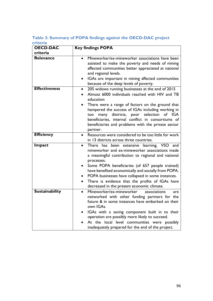# **Table 3: Summary of POPA findings against the OECD-DAC project criteria**

| <b>OECD-DAC</b>       | <b>Key findings POPA</b>                                                                                                                                                                                                                                                                                                                                                                                                                                                             |
|-----------------------|--------------------------------------------------------------------------------------------------------------------------------------------------------------------------------------------------------------------------------------------------------------------------------------------------------------------------------------------------------------------------------------------------------------------------------------------------------------------------------------|
| criteria              |                                                                                                                                                                                                                                                                                                                                                                                                                                                                                      |
| Relevance             | Mineworker/ex-mineworker associations have been<br>assisted to make the poverty and needs of mining<br>affected communities better appreciated at national<br>and regional levels.<br>IGAs are important in mining affected communities<br>$\bullet$<br>because of the deep levels of poverty.                                                                                                                                                                                       |
| <b>Effectiveness</b>  | 205 widows running businesses at the end of 2015<br>$\bullet$<br>Almost 6000 individuals reached with HIV and TB<br>$\bullet$<br>education<br>There were a range of factors on the ground that<br>hampered the success of IGAs including working in<br>many districts, poor selection<br>IGA<br>of<br>too<br>beneficiaries, internal conflict in consortiums of<br>beneficiaries and problems with the private sector<br>partner.                                                    |
| <b>Efficiency</b>     | Resources were considered to be too little for work<br>$\bullet$<br>in 13 districts across three countries.                                                                                                                                                                                                                                                                                                                                                                          |
| Impact                | There has been extensive learning, VSO and<br>$\bullet$<br>mineworker and ex-mineworker associations made<br>a meaningful contribution to regional and national<br>processes.<br>Some POPA beneficiaries (of 657 people trained)<br>$\bullet$<br>have benefited economically and socially from POPA.<br>POPA businesses have collapsed in some instances.<br>$\bullet$<br>There is evidence that the profits of IGAs have<br>$\bullet$<br>decreased in the present economic climate. |
| <b>Sustainability</b> | Mineworker/ex-mineworker<br>associations<br>are<br>networked with other funding partners for the<br>future & in some instances have embarked on their<br>own IGAs.<br>IGAs with a saving component built in to their<br>operation are possibly more likely to succeed.<br>At the local level communities were possibly<br>inadequately prepared for the end of the project.                                                                                                          |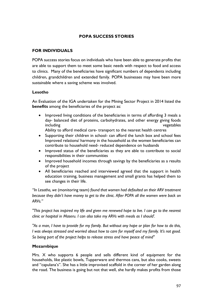# **POPA SUCCESS STORIES**

# **FOR INDIVIDUALS**

POPA success stories focus on individuals who have been able to generate profits that are able to support them to meet some basic needs with respect to food and access to clinics. Many of the beneficiaries have significant numbers of dependents including children, grandchildren and extended family. POPA businesses may have been more sustainable where a saving scheme was involved.

# **Lesotho**

An Evaluation of the IGA undertaken for the Mining Sector Project in 2014 listed the **benefits** among the beneficiaries of the project as:

 Improved living conditions of the beneficiaries in terms of affording 3 meals a day- balanced diet of proteins, carbohydrates, and other energy giving foods including vegetables

Ability to afford medical care- transport to the nearest health centres

- Supporting their children in school- can afford the lunch box and school fees Improved relations/ harmony in the household as the women beneficiaries can contribute to household need- reduced dependence on husbands
- Improved status of the beneficiaries as they are able to contribute to social responsibilities in their communities
- Improved household incomes through savings by the beneficiaries as a results of the project
- All beneficiaries reached and interviewed agreed that the support in health education training, business management and small grants has helped them to see changes in their life.

*"In Lesotho, we* (monitoring team) *found that women had defaulted on their ARV treatment because they didn't have money to get to the clinic. After POPA all the women were back on ARVs."*

*"This project has inspired my life and given me renewed hope to live. I can go to the nearest clinic or hospital in Maseru. I can also take my ARVs with meals as I should'.*

*"As a man, I have to provide for my family. But without any hope or plan for how to do this, I was always stressed and worried about how to care for myself and my family. It's not good. So being part of the project helps to release stress and have peace of mind"*

# **Mozambique**

Mrs. X who supports 6 people and sells different kind of equipment for the households, like plastic bowls, Tupperware and thermos cans, but also cooks, sweets and "capulana's". She has a little improvised scaffold in the corner of her garden along the road. The business is going but not that well, she hardly makes profits from those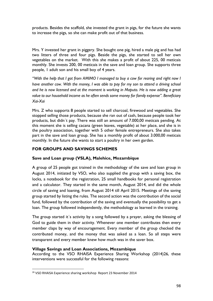products. Besides the scaffold, she invested the grant in pigs, for the future she wants to increase the pigs, so she can make profit out of that business.

Mrs. Y invested her grant in piggery. She bought one pig, hired a male pig and has had two litters of three and four pigs. Beside the pigs, she started to sell her own vegetables on the market. With this she makes a profit of about 225, 00 meticais monthly. She invests 200, 00 meticais in the save and loan group. She supports three people, 1 adult son and his small boy of 4 years.

*"With the help that I got from AMIMO I managed to buy a cow for rearing and right now I have another cow. With the money, I was able to pay for my son to attend a driving school and he is now licensed and at the moment is working in Maputo. He is now adding a great value to our household income as he often sends some money for family expense". Beneficiary Xai-Xai*

Mrs. Z who supports 8 people started to sell charcoal, firewood and vegetables. She stopped selling those products, because she ran out of cash, because people took her products, but didn´t pay. There was still an amount of 7.000,00 meticais pending. At this moment she is selling cacana (green leaves, vegetable) at her place, and she is in the poultry association, together with 5 other female entrepreneurs. She also takes part in the save and loan group. She has a monthly profit of about 3.000,00 meticais monthly. In the future she wants to start a poultry in her own garden.

# **FOR GROUPS AND SAVINGS SCHEMES**

# **Save and Loan group (VSLA), Malehice, Mozambique**

A group of 25 people got trained in the methodology of the save and loan group in August 2014, initiated by VSO, who also supplied the group with a saving box, the locks, a notebook for the registration, 25 small handbooks for personal registration and a calculator. They started in the same month, August 2014, and did the whole circle of saving and loaning, from August 2014 till April 2015. Meetings of the saving group started by listing the rules. The second action was the contribution of the social fund, followed by the contribution of the saving and eventually the possibility to get a loan. The group followed independently, the methodology as learned in the training.

The group started it´s activity by a song followed by a prayer, asking the blessing of God to guide them in their activity. Whenever one member contributes then every member claps by way of encouragement. Every member of the group checked the contributed money, and the money that was asked as a loan. So all steps were transparent and every member knew how much was in the saver box.

# **Village Savings and Loan Associations, Mozambique**

According to the VSO RHAISA Experience Sharing Workshop (2014)26, these interventions were successful for the following reasons:

 $\overline{\phantom{a}}$ 

<sup>26</sup> VSO RHAISA Experience sharing workshop Report 23 November 2014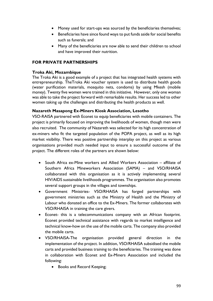- Money used for start-ups was sourced by the beneficiaries themselves;
- Beneficiaries have since found ways to put funds aside for social benefits such as funerals; and
- Many of the beneficiaries are now able to send their children to school and have improved their nutrition.

# **FOR PRIVATE PARTNERSHIPS**

### **Troka Aki, Mozambique**

The Troka Aki is a good example of a project that has integrated health systems with entrepreneurship. TheTroka Aki voucher system is used to distribute health goods (water purification materials, mosquito nets, condoms) by using Mkesh (mobile money). Twenty five women were trained in this initiative. However, only one woman was able to take the project forward with remarkable results. Her success led to other women taking up the challenges and distributing the health products as well.

# **Nazareth Masapong Ex-Miners Kiosk Association, Lesotho**

VSO-RAISA partnered with Econet to equip beneficiaries with mobile containers. The project is primarily focused on improving the livelihoods of women, though men were also recruited. The community of Nazareth was selected for its high concentration of ex-miners who fit the targeted population of the POPA project, as well as its high market visibility. There was positive partnership interplay on this project as various organisations provided much needed input to ensure a successful outcome of the project. The different roles of the partners are shown below:

- South Africa ex-Mine workers and Allied Workers Association affiliate of Southern Africa Mineworkers Association (SAMA) – and VSO/RHAISA collaborated with this organisation as it is actively implementing several HIV/AIDS sustainable livelihoods programmes. The organisation also promotes several support groups in the villages and townships.
- Government Ministries- VSO/RHAISA has forged partnerships with government ministries such as the Ministry of Health and the Ministry of Labour who donated an office to the Ex-Miners. The former collaborates with VSO/RHAISA in training the care givers.
- Econet- this is a telecommunications company with an African footprint. Econet provided technical assistance with regards to market intelligence and technical know-how on the use of the mobile carts. The company also provided the mobile carts.
- VSO/RHAISA-The organisation provided general direction in the implementation of the project. In addition, VSO/RHAISA subsidised the mobile carts and provided business training to the beneficiaries. The training was done in collaboration with Econet and Ex-Miners Association and included the following:
	- Books and Record Keeping;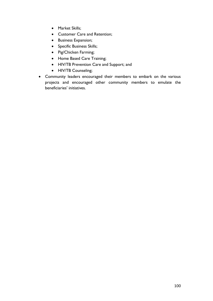- Market Skills;
- Customer Care and Retention;
- **•** Business Expansion;
- Specific Business Skills;
- Pig/Chicken Farming;
- Home Based Care Training;
- HIV/TB Prevention Care and Support; and
- HIV/TB Counseling;
- Community leaders encouraged their members to embark on the various projects and encouraged other community members to emulate the beneficiaries' initiatives.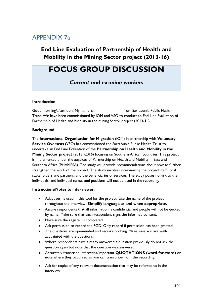# APPENDIX 7a

# **End Line Evaluation of Partnership of Health and Mobility in the Mining Sector project (2013-16)**

# **FOCUS GROUP DISCUSSION**

*Current and ex-mine workers*

#### **Introduction**

Good morning/afternoon! My name is: \_\_\_\_\_\_\_\_\_\_\_\_\_\_\_\_ from Sarraounia Public Health Trust. We have been commissioned by IOM and VSO to conduct an End Line Evaluation of Partnership of Health and Mobility in the Mining Sector project (2013-16).

#### **Background**

The **International Organisation for Migration** (IOM) in partnership with **Voluntary Service Overseas** (VSO) has commissioned the Sarraounia Public Health Trust to undertake an End Line Evaluation of the **Partnership on Health and Mobility in the Mining Sector project** (2013 -2016) focusing on Southern African countries. This project is implemented under the auspices of Partnership on Health and Mobility in East and Southern Africa (PHAMESA). The study will provide recommendations about how to further strengthen the work of the project. The study involves interviewing the project staff, local stakeholders and partners, and the beneficiaries of services. The study poses no risk to the individuals, and individual names and positions will not be used in the reporting.

#### **Instructions/Notes to interviewer:**

- Adapt terms used in this tool for the project. Use the name of the project throughout the interview. **Simplify language as and when appropriate.**
- Assure respondents that all information is confidential and people will not be quoted by name. Make sure that each respondent signs the informed consent.
- Make sure the register is completed.
- Ask permission to record the FGD. Only record if permission has been granted.
- The questions are open-ended and require probing. Make sure you are wellacquainted with the questions.
- Where respondents have already answered a question previously do not ask the question again but note that the question was answered.
- Accurately transcribe interesting/important **QUOTATIONS (word-for-word)** or note where they occurred so you can transcribe from the recording.
- Ask for copies of any relevant documentation that may be referred to in the interview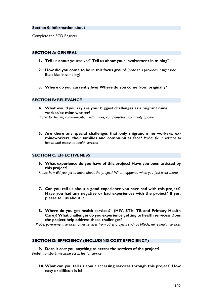#### **Section 0: Information about**

Complete the FGD Register

#### **SECTION A: GENERAL**

- **1. Tell us about yourselves? Tell us about your involvement in mining?**
- **2. How did you come to be in this focus group?** (note this provides insight into likely bias in sampling)
- **3. Where do you currently live? Where do you come from originally?**

#### **SECTION B: RELEVANCE**

**4. What would you say are your biggest challenges as a migrant mine worker/ex mine worker?** 

*Probe: for health, communication with mines, compensation, continuity of care*

**5. Are there any special challenges that only migrant mine workers, exmineworkers, their families and communities face?** *Probe: for in relation to health and access to health services*

#### **SECTION C: EFFECTIVENESS**

**6. What experience do you have of this project? Have you been assisted by this project?**

*Probe: how did you get to know about the project? What happened when you first went there?*

- **7. Can you tell us about a good experience you have had with this project? Have you had any negative or bad experiences with the project? If yes, please tell us about it.**
- **8. Where do you get health services? (HIV, STIs, TB and Primary Health Care)? What challenges do you experience getting to health services? Does the project help address these challenges?**

*Probe: government services, other services from other projects such as NGOs, mine health services*

#### **SECTION D: EFFICIENCY (INCLUDING COST EFFICIENCY)**

**9. Does it cost you anything to access the services of the project?**  *Probe: transport, medicine costs, fee for service*

**10. What can you tell us about accessing services through this project? How easy or difficult is it?**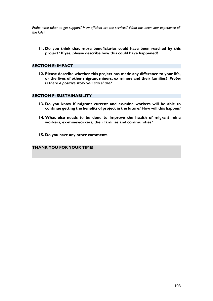*Probe: time taken to get support? How efficient are the services? What has been your experience of the CAs?*

**11. Do you think that more beneficiaries could have been reached by this project? If yes, please describe how this could have happened?**

#### **SECTION E: IMPACT**

**12. Please describe whether this project has made any difference to your life, or the lives of other migrant miners, ex miners and their families?** *Probe: Is there a positive story you can share?*

#### **SECTION F: SUSTAINABILITY**

- **13. Do you know if migrant current and ex-mine workers will be able to continue getting the benefits of project in the future? How will this happen?**
- **14. What else needs to be done to improve the health of migrant mine workers, ex-mineworkers, their families and communities?**
- **15. Do you have any other comments.**

# **THANK YOU FOR YOUR TIME!**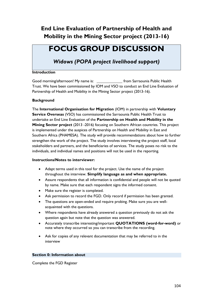# **End Line Evaluation of Partnership of Health and Mobility in the Mining Sector project (2013-16)**

# **FOCUS GROUP DISCUSSION**

*Widows (POPA project livelihood support)*

#### **Introduction**

Good morning/afternoon! My name is: from Sarraounia Public Health Trust. We have been commissioned by IOM and VSO to conduct an End Line Evaluation of Partnership of Health and Mobility in the Mining Sector project (2013-16).

#### **Background**

The **International Organisation for Migration** (IOM) in partnership with **Voluntary Service Overseas** (VSO) has commissioned the Sarraounia Public Health Trust to undertake an End Line Evaluation of the **Partnership on Health and Mobility in the Mining Sector project** (2013 -2016) focusing on Southern African countries. This project is implemented under the auspices of Partnership on Health and Mobility in East and Southern Africa (PHAMESA). The study will provide recommendations about how to further strengthen the work of the project. The study involves interviewing the project staff, local stakeholders and partners, and the beneficiaries of services. The study poses no risk to the individuals, and individual names and positions will not be used in the reporting.

#### **Instructions/Notes to interviewer:**

- Adapt terms used in this tool for the project. Use the name of the project throughout the interview. **Simplify language as and when appropriate.**
- Assure respondents that all information is confidential and people will not be quoted by name. Make sure that each respondent signs the informed consent.
- Make sure the register is completed.
- Ask permission to record the FGD. Only record if permission has been granted.
- The questions are open-ended and require probing. Make sure you are wellacquainted with the questions.
- Where respondents have already answered a question previously do not ask the question again but note that the question was answered.
- Accurately transcribe interesting/important **QUOTATIONS (word-for-word)** or note where they occurred so you can transcribe from the recording.
- Ask for copies of any relevant documentation that may be referred to in the interview

#### **Section 0: Information about**

Complete the FGD Register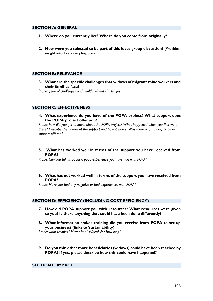#### **SECTION A: GENERAL**

- **1. Where do you currently live? Where do you come from originally?**
- **2. How were you selected to be part of this focus group discussion?** (Provides insight into likely sampling bias)

#### **SECTION B: RELEVANCE**

**3. What are the specific challenges that widows of migrant mine workers and their families face?**

*Probe: general challenges and health related challenges*

#### **SECTION C: EFFECTIVENESS**

**4. What experience do you have of the POPA project? What support does the POPA project offer you?**

*Probe: how did you get to know about the POPA project? What happened when you first went there? Describe the nature of the support and how it works. Was there any training or other support offered?*

**5. What has worked well in terms of the support you have received from POPA?** 

*Probe: Can you tell us about a good experience you have had with POPA?* 

**6. What has not worked well in terms of the support you have received from POPA?**

*Probe: Have you had any negative or bad experiences with POPA?*

#### **SECTION D: EFFICIENCY (INCLUDING COST EFFICIENCY)**

- **7. How did POPA support you with resources? What resources were given to you? Is there anything that could have been done differently?**
- **8. What information and/or training did you receive from POPA to set up your business? (links to Sustainability)**

*Probe: what training? How often? When? For how long?*

**9. Do you think that more beneficiaries (widows) could have been reached by POPA? If yes, please describe how this could have happened?**

### **SECTION E: IMPACT**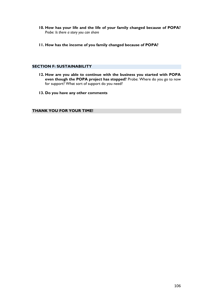- **10. How has your life and the life of your family changed because of POPA?**  *Probe: Is there a story you can share*
- **11. How has the income of you family changed because of POPA?**

#### **SECTION F: SUSTAINABILITY**

- **12. How are you able to continue with the business you started with POPA even though the POPA project has stopped?** Probe: Where do you go to now for support? What sort of support do you need?
- **13. Do you have any other comments**

**THANK YOU FOR YOUR TIME!**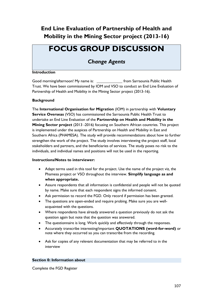# **End Line Evaluation of Partnership of Health and Mobility in the Mining Sector project (2013-16)**

# **FOCUS GROUP DISCUSSION**

*Change Agents*

#### **Introduction**

Good morning/afternoon! My name is: from Sarraounia Public Health Trust. We have been commissioned by IOM and VSO to conduct an End Line Evaluation of Partnership of Health and Mobility in the Mining Sector project (2013-16).

#### **Background**

The **International Organisation for Migration** (IOM) in partnership with **Voluntary Service Overseas** (VSO) has commissioned the Sarraounia Public Health Trust to undertake an End Line Evaluation of the **Partnership on Health and Mobility in the Mining Sector project** (2013 -2016) focusing on Southern African countries. This project is implemented under the auspices of Partnership on Health and Mobility in East and Southern Africa (PHAMESA). The study will provide recommendations about how to further strengthen the work of the project. The study involves interviewing the project staff, local stakeholders and partners, and the beneficiaries of services. The study poses no risk to the individuals, and individual names and positions will not be used in the reporting.

#### **Instructions/Notes to interviewer:**

- Adapt terms used in this tool for the project. Use the name of the project viz, the Phamesa project or VSO throughout the interview. **Simplify language as and when appropriate.**
- Assure respondents that all information is confidential and people will not be quoted by name. Make sure that each respondent signs the informed consent.
- Ask permission to record the FGD. Only record if permission has been granted.
- The questions are open-ended and require probing. Make sure you are wellacquainted with the questions.
- Where respondents have already answered a question previously do not ask the question again but note that the question was answered.
- The questionnaire is long. Work quickly and effectively through the responses.
- Accurately transcribe interesting/important **QUOTATIONS (word-for-word)** or note where they occurred so you can transcribe from the recording.
- Ask for copies of any relevant documentation that may be referred to in the interview

#### **Section 0: Information about**

Complete the FGD Register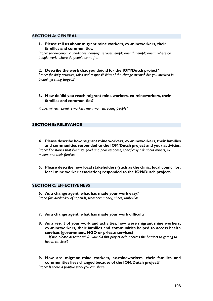#### **SECTION A: GENERAL**

**1. Please tell us about migrant mine workers, ex-mineworkers, their families and communities.** 

*Probe: socio-economic conditions, housing, services, employment/unemployment, where do people work, where do people come from* 

#### **2. Describe the work that you do/did for the IOM/Dutch project?**

*Probe: for daily activities, roles and responsibilities of the change agents? Are you involved in planning/setting targets?*

**3. How do/did you reach migrant mine workers, ex-mineworkers, their families and communities?** 

*Probe: miners, ex-mine workers men, women, young people?* 

#### **SECTION B: RELEVANCE**

- **4. Please describe how migrant mine workers, ex-mineworkers, their families and communities responded to the IOM/Dutch project and your activities.**  *Probe: For stories that illustrate good and poor response, specifically ask about miners, ex miners and their families*
- **5. Please describe how local stakeholders (such as the clinic, local councillor, local mine worker association) responded to the IOM/Dutch project.**

#### **SECTION C: EFFECTIVENESS**

**6. As a change agent, what has made your work easy?** *Probe for: availability of stipends, transport money, shoes, umbrellas*

- **7. As a change agent, what has made your work difficult?**
- **8. As a result of your work and activities, how were migrant mine workers, ex-mineworkers, their families and communities helped to access health services (government, NGO or private services)**

*If not, please describe why? How did this project help address the barriers to getting to health services***?**

**9. How are migrant mine workers, ex-mineworkers, their families and communities lives changed because of the IOM/Dutch project?**

*Probe: Is there a positive story you can share*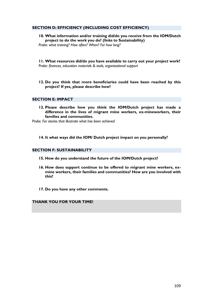#### **SECTION D: EFFICIENCY (INCLUDING COST EFFICIENCY)**

**10. What information and/or training did/do you receive from the IOM/Dutch project to do the work you do? (links to Sustainability)**

*Probe: what training? How often? When? For how long?*

**11. What resources did/do you have available to carry out your project work?** *Probe: finances, education materials & tools, organisational support*

#### **12. Do you think that more beneficiaries could have been reached by this project? If yes, please describe how?**

#### **SECTION E: IMPACT**

**13. Please describe how you think the IOM/Dutch project has made a difference in the lives of migrant mine workers, ex-mineworkers, their families and communities.**

*Probe: For stories that illustrate what has been achieved*

**14. It what ways did the IOM/ Dutch project impact on you personally?**

#### **SECTION F: SUSTAINABILITY**

- **15. How do you understand the future of the IOM/Dutch project?**
- **16. How does support continue to be offered to migrant mine workers, exmine workers, their families and communities? How are you involved with this?**
- **17. Do you have any other comments.**

**THANK YOU FOR YOUR TIME!**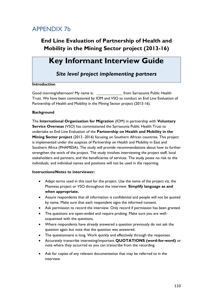## APPENDIX 7b

## **End Line Evaluation of Partnership of Health and Mobility in the Mining Sector project (2013-16)**

# **Key Informant Interview Guide**

*Site level project implementing partners*

#### **Introduction**

Good morning/afternoon! My name is: from Sarraounia Public Health Trust. We have been commissioned by IOM and VSO to conduct an End Line Evaluation of Partnership of Health and Mobility in the Mining Sector project (2013-16).

#### **Background**

The **International Organisation for Migration** (IOM) in partnership with **Voluntary Service Overseas** (VSO) has commissioned the Sarraounia Public Health Trust to undertake an End Line Evaluation of the **Partnership on Health and Mobility in the Mining Sector project** (2013 -2016) focusing on Southern African countries. This project is implemented under the auspices of Partnership on Health and Mobility in East and Southern Africa (PHAMESA). The study will provide recommendations about how to further strengthen the work of the project. The study involves interviewing the project staff, local stakeholders and partners, and the beneficiaries of services. The study poses no risk to the individuals, and individual names and positions will not be used in the reporting.

#### **Instructions/Notes to interviewer:**

- Adapt terms used in this tool for the project. Use the name of the project viz, the Phamesa project or VSO throughout the interview. **Simplify language as and when appropriate.**
- Assure respondents that all information is confidential and people will not be quoted by name. Make sure that each respondent signs the informed consent.
- Ask permission to record the interview. Only record if permission has been granted.
- The questions are open-ended and require probing. Make sure you are wellacquainted with the questions.
- Where respondents have already answered a question previously do not ask the question again but note that the question was answered.
- The questionnaire is long. Work quickly and effectively through the responses.
- Accurately transcribe interesting/important **QUOTATIONS (word-for-word)** or note where they occurred so you can transcribe from the recording.
- Ask for copies of any relevant documentation that may be referred to in the interview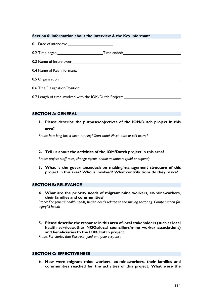#### **Section 0: Information about the Interview & the Key Informant**

0.1 Date of interview:

0.2 Time began: Time ended: Time ended:

- 0.3 Name of Interviewer:
- 0.4 Name of Key Informant:
- 0.5 Organisation:
- 0.6 Title/Designation/Position:

0.7 Length of time involved with the IOM/Dutch Project:

#### **SECTION A: GENERAL**

**1. Please describe the purpose/objectives of the IOM/Dutch project in this area?**

*Probe: how long has it been running? Start date? Finish date or still active?*

#### **2. Tell us about the activities of the IOM/Dutch project in this area?**

*Probe: project staff roles, change agents and/or volunteers (paid or stipend)*

**3. What is the governance/decision making/management structure of this project in this area? Who is involved? What contributions do they make?**

#### **SECTION B: RELEVANCE**

**4. What are the priority needs of migrant mine workers, ex-mineworkers, their families and communities?**

*Probe: For general health needs, health needs related to the mining sector eg. Compensation for injury/ill health*

**5. Please describe the response in this area of local stakeholders (such as local health services/other NGOs/local councillors/mine worker associations) and beneficiaries to the IOM/Dutch project.**

*Probe: For stories that illustrate good and poor response*

#### **SECTION C: EFFECTIVENESS**

*6.* **How were migrant mine workers, ex-mineworkers, their families and communities reached for the activities of this project. What were the**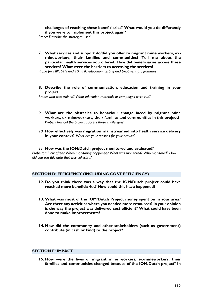**challenges of reaching these beneficiaries? What would you do differently if you were to implement this project again?**

*Probe*: *Describe the strategies used.*

**7. What services and support do/did you offer to migrant mine workers, exmineworkers, their families and communities? Tell me about the particular health services you offered. How did beneficiaries access these services? What were the barriers to accessing the services?** 

*Probe for HIV, STIs and TB, PHC education, testing and treatment programmes*

**8. Describe the role of communication, education and training in your project.**

*Probe: who was trained? What education materials or campaigns were run?*

- *9.* **What are the obstacles to behaviour change faced by migrant mine workers, ex-mineworkers, their families and communities in this project?**  *Probe: How did the project address these challenges?*
- *10.* **How effectively was migration mainstreamed into health service delivery in your context?** *What are your reasons for your answer?*
- *11.* **How was the IOM/Dutch project monitored and evaluated?**

*Probe for: How often? When monitoring happened? What was monitored? Who monitored? How did you use this data that was collected?*

#### **SECTION D: EFFICIENCY (INCLUDING COST EFFICIENCY)**

- **12. Do you think there was a way that the IOM/Dutch project could have reached more beneficiaries? How could this have happened?**
- **13. What was most of the IOM/Dutch Project money spent on in your area? Are there any activities where you needed more resources? In your opinion is the way the project was delivered cost efficient? What could have been done to make improvements?**
- **14. How did the community and other stakeholders (such as government) contribute (in cash or kind) to the project?**

#### **SECTION E: IMPACT**

**15. How were the lives of migrant mine workers, ex-mineworkers, their families and communities changed because of the IOM/Dutch project? In**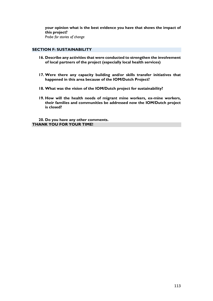**your opinion what is the best evidence you have that shows the impact of this project?**  *Probe for stories of change* 

#### **SECTION F: SUSTAINABILITY**

- **16. Describe any activities that were conducted to strengthen the involvement of local partners of the project (especially local health services)**
- **17. Were there any capacity building and/or skills transfer initiatives that happened in this area because of the IOM/Dutch Project?**
- **18. What was the vision of the IOM/Dutch project for sustainability?**
- **19. How will the health needs of migrant mine workers, ex-mine workers, their families and communities be addressed now the IOM/Dutch project is closed?**

**20. Do you have any other comments. THANK YOU FOR YOUR TIME!**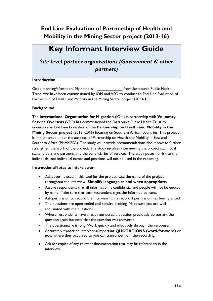# **Key Informant Interview Guide**

### *Site level partner organisations (Government & other partners)*

#### **Introduction**

Good morning/afternoon! My name is: from Sarraounia Public Health Trust. We have been commissioned by IOM and VSO to conduct an End Line Evaluation of Partnership of Health and Mobility in the Mining Sector project (2013-16).

#### **Background**

The **International Organisation for Migration** (IOM) in partnership with **Voluntary Service Overseas** (VSO) has commissioned the Sarraounia Public Health Trust to undertake an End Line Evaluation of the **Partnership on Health and Mobility in the Mining Sector project** (2013 -2016) focusing on Southern African countries. This project is implemented under the auspices of Partnership on Health and Mobility in East and Southern Africa (PHAMESA). The study will provide recommendations about how to further strengthen the work of the project. The study involves interviewing the project staff, local stakeholders and partners, and the beneficiaries of services. The study poses no risk to the individuals, and individual names and positions will not be used in the reporting.

#### **Instructions/Notes to interviewer:**

- Adapt terms used in this tool for the project. Use the name of the project throughout the interview. **Simplify language as and when appropriate.**
- Assure respondents that all information is confidential and people will not be quoted by name. Make sure that each respondent signs the informed consent.
- Ask permission to record the interview. Only record if permission has been granted.
- The questions are open-ended and require probing. Make sure you are wellacquainted with the questions.
- Where respondents have already answered a question previously do not ask the question again but note that the question was answered.
- The questionnaire is long. Work quickly and effectively through the responses.
- Accurately transcribe interesting/important **QUOTATIONS (word-for-word)** or note where they occurred so you can transcribe from the recording.
- Ask for copies of any relevant documentation that may be referred to in the interview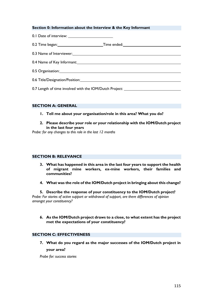#### **Section 0: Information about the Interview & the Key Informant**

- 0.1 Date of interview:
- 0.2 Time began: Time ended:
- 0.3 Name of Interviewer:
- 0.4 Name of Key Informant: 0.4 Name of Key Informant:
- 0.5 Organisation:
- 0.6 Title/Designation/Position:

0.7 Length of time involved with the IOM/Dutch Project: \_\_\_\_\_\_\_\_\_\_\_\_\_\_\_\_\_\_\_\_\_\_\_\_

#### **SECTION A: GENERAL**

- **1. Tell me about your organisation/role in this area? What you do?**
- **2. Please describe your role or your relationship with the IOM/Dutch project in the last four years**

*Probe: for any changes to this role in the last 12 months*

#### **SECTION B: RELEVANCE**

- **3. What has happened in this area in the last four years to support the health of migrant mine workers, ex-mine workers, their families and communities?**
- **4. What was the role of the IOM/Dutch project in bringing about this change?**

**5. Describe the response of your constituency to the IOM/Dutch project?** *Probe: For stories of active support or withdrawal of support, are there differences of opinion amongst your constituency?*

**6. As the IOM/Dutch project draws to a close, to what extent has the project met the expectations of your constituency?**

#### **SECTION C: EFFECTIVENESS**

**7. What do you regard as the major successes of the IOM/Dutch project in your area?**

*Probe for: success stories*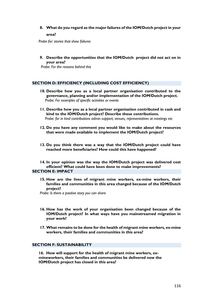#### **8. What do you regard as the major failures of the IOM/Dutch project in your area?**

*Probe for: stories that show failures*

**9. Describe the opportunities that the IOM/Dutch project did not act on in your area?**

*Probe: For the reasons behind this*

#### **SECTION D: EFFICIENCY (INCLUDING COST EFFICIENCY)**

- **10. Describe how you as a local partner organisation contributed to the governance, planning and/or implementation of the IOM/Dutch project.**  *Probe: For examples of specific activities or events*
- **11. Describe how you as a local partner organisation contributed in cash and kind to the IOM/Dutch project? Describe these contributions.**  *Probe: for in kind contributions admin support, venues, representatives at meetings etc*
- **12. Do you have any comment you would like to make about the resources that were made available to implement the IOM/Dutch project?**
- **13. Do you think there was a way that the IOM/Dutch project could have reached more beneficiaries? How could this have happened?**

**14. In your opinion was the way the IOM/Dutch project was delivered cost efficient? What could have been done to make improvements? SECTION E: IMPACT**

**15. How are the lives of migrant mine workers, ex-mine workers, their families and communities in this area changed because of the IOM/Dutch project?**

 *Probe: Is there a positive story you can share*

- **16. How has the work of your organisation been changed because of the IOM/Dutch project? In what ways have you mainstreamed migration in your work?**
- **17. What remains to be done for the health of migrant mine workers, ex-mine workers, their families and communities in this area?**

#### **SECTION F: SUSTAINABILITY**

**16. How will support for the health of migrant mine workers, exmineworkers, their families and communities be delivered now the IOM/Dutch project has closed in this area?**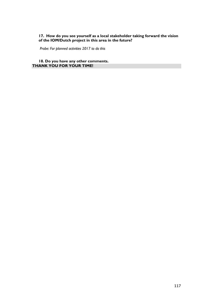#### **17. How do you see yourself as a local stakeholder taking forward the vision of the IOM/Dutch project in this area in the future?**

*Probe: For planned activities 2017 to do this*

**18. Do you have any other comments. THANK YOU FOR YOUR TIME!**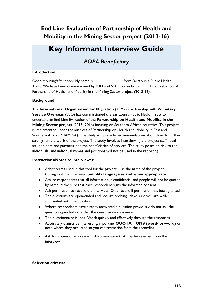# **Key Informant Interview Guide**

### *POPA Beneficiary*

#### **Introduction**

Good morning/afternoon! My name is: from Sarraounia Public Health Trust. We have been commissioned by IOM and VSO to conduct an End Line Evaluation of Partnership of Health and Mobility in the Mining Sector project (2013-16).

#### **Background**

The **International Organisation for Migration** (IOM) in partnership with **Voluntary Service Overseas** (VSO) has commissioned the Sarraounia Public Health Trust to undertake an End Line Evaluation of the **Partnership on Health and Mobility in the Mining Sector project** (2013 -2016) focusing on Southern African countries. This project is implemented under the auspices of Partnership on Health and Mobility in East and Southern Africa (PHAMESA). The study will provide recommendations about how to further strengthen the work of the project. The study involves interviewing the project staff, local stakeholders and partners, and the beneficiaries of services. The study poses no risk to the individuals, and individual names and positions will not be used in the reporting.

#### **Instructions/Notes to interviewer:**

- Adapt terms used in this tool for the project. Use the name of the project throughout the interview. **Simplify language as and when appropriate.**
- Assure respondents that all information is confidential and people will not be quoted by name. Make sure that each respondent signs the informed consent.
- Ask permission to record the interview. Only record if permission has been granted.
- The questions are open-ended and require probing. Make sure you are wellacquainted with the questions.
- Where respondents have already answered a question previously do not ask the question again but note that the question was answered.
- The questionnaire is long. Work quickly and effectively through the responses.
- Accurately transcribe interesting/important **QUOTATIONS (word-for-word)** or note where they occurred so you can transcribe from the recording.
- Ask for copies of any relevant documentation that may be referred to in the interview

#### **Selection criteria:**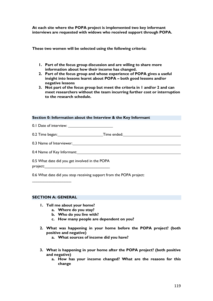**At each site where the POPA project is implemented two key informant interviews are requested with widows who received support through POPA.**

**These two women will be selected using the following criteria:**

- **1. Part of the focus group discussion and are willing to share more information about how their income has changed.**
- **2. Part of the focus group and whose experience of POPA gives a useful insight into lessons learnt about POPA – both good lessons and/or negative lessons**
- **3. Not part of the focus group but meet the criteria in 1 and/or 2 and can meet researchers without the team incurring further cost or interruption to the research schedule.**

#### **Section 0: Information about the Interview & the Key Informant**

- 0.1 Date of interview:
- 0.2 Time began: Time ended:
- 0.3 Name of Interviewer:
- 0.4 Name of Key Informant:

0.5 What date did you get involved in the POPA project:

0.6 What date did you stop receiving support from the POPA project:

#### **SECTION A: GENERAL**

 $\overline{\phantom{a}}$  ,  $\overline{\phantom{a}}$  ,  $\overline{\phantom{a}}$  ,  $\overline{\phantom{a}}$  ,  $\overline{\phantom{a}}$  ,  $\overline{\phantom{a}}$  ,  $\overline{\phantom{a}}$  ,  $\overline{\phantom{a}}$  ,  $\overline{\phantom{a}}$  ,  $\overline{\phantom{a}}$  ,  $\overline{\phantom{a}}$  ,  $\overline{\phantom{a}}$  ,  $\overline{\phantom{a}}$  ,  $\overline{\phantom{a}}$  ,  $\overline{\phantom{a}}$  ,  $\overline{\phantom{a}}$ 

- **1. Tell me about your home?** 
	- **a. Where do you stay?**
	- **b. Who do you live with?**
	- **c. How many people are dependent on you?**
- **2. What was happening in your home before the POPA project? (both positive and negative)**
	- **a. What sources of income did you have?**
- **3. What is happening in your home after the POPA project? (both positive and negative)**
	- **a. How has your income changed? What are the reasons for this change**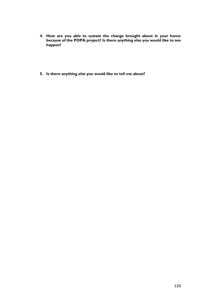- **4. How are you able to sustain the change brought about in your home because of the POPA project? Is there anything else you would like to see happen?**
- **5. Is there anything else you would like to tell me about?**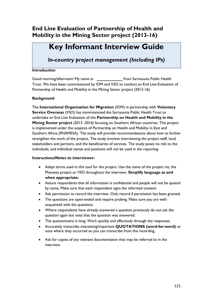# **Key Informant Interview Guide**

*In-country project management (Including IPs)*

#### **Introduction**

Good morning/afternoon! My name is: \_\_\_\_\_\_\_\_\_\_\_\_\_\_\_\_\_\_\_ from Sarraounia Public Health Trust. We have been commissioned by IOM and VSO to conduct an End Line Evaluation of Partnership of Health and Mobility in the Mining Sector project (2013-16).

#### **Background**

The **International Organisation for Migration** (IOM) in partnership with **Voluntary Service Overseas** (VSO) has commissioned the Sarraounia Public Health Trust to undertake an End Line Evaluation of the **Partnership on Health and Mobility in the Mining Sector project** (2013 -2016) focusing on Southern African countries. This project is implemented under the auspices of Partnership on Health and Mobility in East and Southern Africa (PHAMESA). The study will provide recommendations about how to further strengthen the work of the project. The study involves interviewing the project staff, local stakeholders and partners, and the beneficiaries of services. The study poses no risk to the individuals, and individual names and positions will not be used in the reporting.

#### **Instructions/Notes to interviewer:**

- Adapt terms used in this tool for the project. Use the name of the project viz, the Phamesa project or VSO throughout the interview. **Simplify language as and when appropriate.**
- Assure respondents that all information is confidential and people will not be quoted by name. Make sure that each respondent signs the informed consent.
- Ask permission to record the interview. Only record if permission has been granted.
- The questions are open-ended and require probing. Make sure you are wellacquainted with the questions.
- Where respondents have already answered a question previously do not ask the question again but note that the question was answered.
- The questionnaire is long. Work quickly and effectively through the responses.
- Accurately transcribe interesting/important **QUOTATIONS (word-for-word)** or note where they occurred so you can transcribe from the recording.
- Ask for copies of any relevant documentation that may be referred to in the interview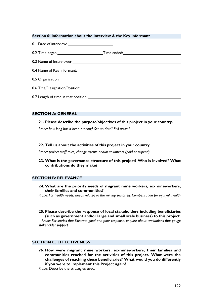#### **Section 0: Information about the Interview & the Key Informant**

| 0.3 Name of Interviewer: 0.3 Name of Interviewer: |  |
|---------------------------------------------------|--|
|                                                   |  |
|                                                   |  |
|                                                   |  |
|                                                   |  |

#### **SECTION A: GENERAL**

#### **21. Please describe the purpose/objectives of this project in your country.**

*Probe: how long has it been running? Set up date? Still active?*

#### **22. Tell us about the activities of this project in your country.**

*Probe: project staff roles, change agents and/or volunteers (paid or stipend)*

**23. What is the governance structure of this project? Who is involved? What contributions do they make?**

#### **SECTION B: RELEVANCE**

**24. What are the priority needs of migrant mine workers, ex-mineworkers, their families and communities?**

*Probe: For health needs, needs related to the mining sector eg. Compensation for injury/ill health*

**25. Please describe the response of local stakeholders including beneficiaries (such as government and/or large and small scale business) to this project.**

*Probe: For stories that illustrate good and poor response, enquire about evaluations that gauge stakeholder support*

#### **SECTION C: EFFECTIVENESS**

*26.* **How were migrant mine workers, ex-mineworkers, their families and communities reached for the activities of this project. What were the challenges of reaching these beneficiaries? What would you do differently if you were to implement this Project again?**

*Probe:* Describe the strategies used.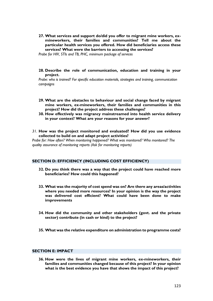**27. What services and support do/did you offer to migrant mine workers, exmineworkers, their families and communities? Tell me about the particular health services you offered. How did beneficiaries access these services? What were the barriers to accessing the services?** 

*Probe for HIV, STIs and TB, PHC, minimum package of services*

**28. Describe the role of communication, education and training in your project.**

*Probe: who is trained? For specific education materials, strategies and training, communication campaigns*

- **29. What are the obstacles to behaviour and social change faced by migrant mine workers, ex-mineworkers, their families and communities in this project? How did the project address these challenges?**
- **30. How effectively was migrancy mainstreamed into health service delivery in your context? What are your reasons for your answer?**
- *31.* **How was the project monitored and evaluated? How did you use evidence collected to build on and adapt project activities?**

*Probe for: How often? When monitoring happened? What was monitored? Who monitored? The quality assurance of monitoring reports (Ask for monitoring reports)*

#### **SECTION D: EFFICIENCY (INCLUDING COST EFFICIENCY)**

- **32. Do you think there was a way that the project could have reached more beneficiaries? How could this happened?**
- **33. What was the majority of cost spend was on? Are there any areas/activities where you needed more resources? In your opinion is the way the project was delivered cost efficient? What could have been done to make improvements**
- **34. How did the community and other stakeholders (govt. and the private sector) contribute (in cash or kind) to the project?**
- **35. What was the relative expenditure on administration to programme costs?**

#### **SECTION E: IMPACT**

**36. How were the lives of migrant mine workers, ex-mineworkers, their families and communities changed because of this project? In your opinion what is the best evidence you have that shows the impact of this project?**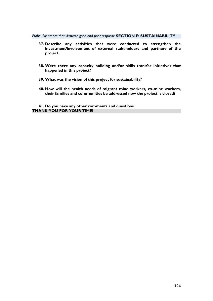*Probe: For stories that illustrate good and poor response* **SECTION F: SUSTAINABILITY**

- **37. Describe any activities that were conducted to strengthen the investment/involvement of external stakeholders and partners of the project.**
- **38. Were there any capacity building and/or skills transfer initiatives that happened in this project?**
- **39. What was the vision of this project for sustainability?**
- **40. How will the health needs of migrant mine workers, ex-mine workers, their families and communities be addressed now the project is closed?**

**41. Do you have any other comments and questions. THANK YOU FOR YOUR TIME!**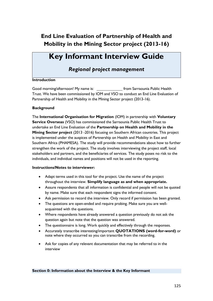# **Key Informant Interview Guide**

### *Regional project management*

#### **Introduction**

Good morning/afternoon! My name is: from Sarraounia Public Health Trust. We have been commissioned by IOM and VSO to conduct an End Line Evaluation of Partnership of Health and Mobility in the Mining Sector project (2013-16).

#### **Background**

The **International Organisation for Migration** (IOM) in partnership with **Voluntary Service Overseas** (VSO) has commissioned the Sarraounia Public Health Trust to undertake an End Line Evaluation of the **Partnership on Health and Mobility in the Mining Sector project** (2013 -2016) focusing on Southern African countries. This project is implemented under the auspices of Partnership on Health and Mobility in East and Southern Africa (PHAMESA). The study will provide recommendations about how to further strengthen the work of the project. The study involves interviewing the project staff, local stakeholders and partners, and the beneficiaries of services. The study poses no risk to the individuals, and individual names and positions will not be used in the reporting.

#### **Instructions/Notes to interviewer:**

- Adapt terms used in this tool for the project. Use the name of the project throughout the interview. **Simplify language as and when appropriate.**
- Assure respondents that all information is confidential and people will not be quoted by name. Make sure that each respondent signs the informed consent.
- Ask permission to record the interview. Only record if permission has been granted.
- The questions are open-ended and require probing. Make sure you are wellacquainted with the questions.
- Where respondents have already answered a question previously do not ask the question again but note that the question was answered.
- The questionnaire is long. Work quickly and effectively through the responses.
- Accurately transcribe interesting/important **QUOTATIONS (word-for-word)** or note where they occurred so you can transcribe from the recording.
- Ask for copies of any relevant documentation that may be referred to in the interview

#### **Section 0: Information about the Interview & the Key Informant**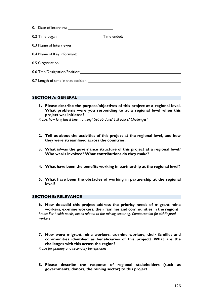| 0.3 Name of Interviewer: 0.3 Name of Interviewer: 0.3 Name of Interviewer:                                    |  |
|---------------------------------------------------------------------------------------------------------------|--|
| 0.4 Name of Key Informant: 2008 2010 2020 2021 2021 2022 2021 2022 2022 2023 2024 2022 2022 2023 2024 2022 20 |  |
|                                                                                                               |  |
|                                                                                                               |  |
|                                                                                                               |  |

#### **SECTION A: GENERAL**

**1. Please describe the purpose/objectives of this project at a regional level. What problems were you responding to at a regional level when this project was initiated?**

*Probe: how long has it been running? Set up date? Still active? Challenges?*

- **2. Tell us about the activities of this project at the regional level, and how they were streamlined across the countries.**
- **3. What is/was the governance structure of this project at a regional level? Who was/is involved? What contributions do they make?**
- **4. What have been the benefits working in partnership at the regional level?**
- **5. What have been the obstacles of working in partnership at the regional level?**

#### **SECTION B: RELEVANCE**

- **6. How does/did this project address the priority needs of migrant mine workers, ex-mine workers, their families and communities in the region?** *Probe: For health needs, needs related to the mining sector eg. Compensation for sick/injured workers*
- **7. How were migrant mine workers, ex-mine workers, their families and communities identified as beneficiaries of this project? What are the challenges with this across the region?**

*Probe for primary and secondary beneficiaries*

**8. Please describe the response of regional stakeholders (such as governments, donors, the mining sector) to this project.**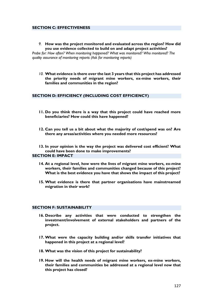#### **SECTION C: EFFECTIVENESS**

*9.* **How was the project monitored and evaluated across the region? How did you use evidence collected to build on and adapt project activities?** 

*Probe for: How often? When monitoring happened? What was monitored? Who monitored? The quality assurance of monitoring reports (Ask for monitoring reports)*

*10.* **What evidence is there over the last 3 years that this project has addressed the priority needs of migrant mine workers, ex-mine workers, their families and communities in the region?**

#### **SECTION D: EFFICIENCY (INCLUDING COST EFFICIENCY)**

- **11. Do you think there is a way that this project could have reached more beneficiaries? How could this have happened?**
- **12. Can you tell us a bit about what the majority of cost/spend was on? Are there any areas/activities where you needed more resources?**

**13. In your opinion is the way the project was delivered cost efficient? What could have been done to make improvements? SECTION E: IMPACT**

- **14. At a regional level, how were the lives of migrant mine workers, ex-mine workers, their families and communities changed because of this project? What is the best evidence you have that shows the impact of this project?**
- **15. What evidence is there that partner organisations have mainstreamed migration in their work?**

#### **SECTION F: SUSTAINABILITY**

- **16. Describe any activities that were conducted to strengthen the investment/involvement of external stakeholders and partners of the project.**
- **17. What were the capacity building and/or skills transfer initiatives that happened in this project at a regional level?**
- **18. What was the vision of this project for sustainability?**
- **19. How will the health needs of migrant mine workers, ex-mine workers, their families and communities be addressed at a regional level now that this project has closed?**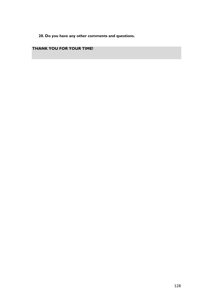**20. Do you have any other comments and questions.**

### **THANK YOU FOR YOUR TIME!**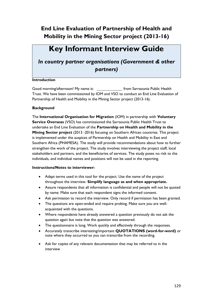# **Key Informant Interview Guide**

### *In country partner organisations (Government & other partners)*

#### **Introduction**

Good morning/afternoon! My name is: from Sarraounia Public Health Trust. We have been commissioned by IOM and VSO to conduct an End Line Evaluation of Partnership of Health and Mobility in the Mining Sector project (2013-16).

#### **Background**

The **International Organisation for Migration** (IOM) in partnership with **Voluntary Service Overseas** (VSO) has commissioned the Sarraounia Public Health Trust to undertake an End Line Evaluation of the **Partnership on Health and Mobility in the Mining Sector project** (2013 -2016) focusing on Southern African countries. This project is implemented under the auspices of Partnership on Health and Mobility in East and Southern Africa (PHAMESA). The study will provide recommendations about how to further strengthen the work of the project. The study involves interviewing the project staff, local stakeholders and partners, and the beneficiaries of services. The study poses no risk to the individuals, and individual names and positions will not be used in the reporting.

#### **Instructions/Notes to interviewer:**

- Adapt terms used in this tool for the project. Use the name of the project throughout the interview. **Simplify language as and when appropriate.**
- Assure respondents that all information is confidential and people will not be quoted by name. Make sure that each respondent signs the informed consent.
- Ask permission to record the interview. Only record if permission has been granted.
- The questions are open-ended and require probing. Make sure you are wellacquainted with the questions.
- Where respondents have already answered a question previously do not ask the question again but note that the question was answered.
- The questionnaire is long. Work quickly and effectively through the responses.
- Accurately transcribe interesting/important **QUOTATIONS (word-for-word)** or note where they occurred so you can transcribe from the recording.
- Ask for copies of any relevant documentation that may be referred to in the interview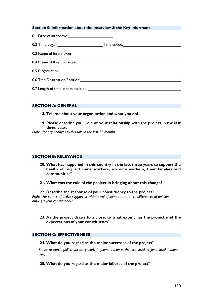#### **Section 0: Information about the Interview & the Key Informant**

0.1 Date of interview:

| 0.2 Time began: | Time ended: |
|-----------------|-------------|
|                 |             |

0.3 Name of Interviewer:

0.4 Name of Key Informant: 0.4 Name of Key Informant:

0.5 Organisation:

0.6 Title/Designation/Position:

0.7 Length of time in that position:

#### **SECTION A: GENERAL**

#### **18. Tell me about your organisation and what you do?**

**19. Please describe your role or your relationship with the project in the last three years**

*Probe: for any changes to this role in the last 12 months*

#### **SECTION B: RELEVANCE**

- **20. What has happened in this country in the last three years to support the health of migrant mine workers, ex-mine workers, their families and communities?**
- **21. What was the role of the project in bringing about this change?**

#### **22. Describe the response of your constituency to the project?**

*Probe: For stories of active support or withdrawal of support, are there differences of opinion amongst your constituency?*

#### **23. As the project draws to a close, to what extent has the project met the expectations of your constituency?**

#### **SECTION C: EFFECTIVENESS**

#### **24. What do you regard as the major successes of the project?**

*Probe: research, policy, advocacy work, implementation at the local level, regional level; national level*

#### **25. What do you regard as the major failures of the project?**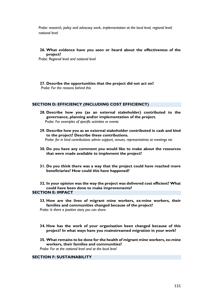*Probe: research, policy and advocacy work, implementation at the local level, regional level; national level*

**26. What evidence have you seen or heard about the effectiveness of the project?**

*Probe: Regional level and national level*

**27. Describe the opportunities that the project did not act on?** *Probe: For the reasons behind this*

#### **SECTION D: EFFICIENCY (INCLUDING COST EFFICIENCY)**

- **28. Describe how you (as an external stakeholder) contributed to the governance, planning and/or implementation of the project.**  *Probe: For examples of specific activities or events*
- **29. Describe how you as an external stakeholder contributed in cash and kind to the project? Describe these contributions.**  *Probe: for in kind contributions admin support, venues, representatives at meetings etc*
- **30. Do you have any comment you would like to make about the resources that were made available to implement the project?**
- **31. Do you think there was a way that the project could have reached more beneficiaries? How could this have happened?**

**32. In your opinion was the way the project was delivered cost efficient? What could have been done to make improvements?**

#### **SECTION E: IMPACT**

- **33. How are the lives of migrant mine workers, ex-mine workers, their families and communities changed because of the project?**  *Probe: Is there a positive story you can share*
- **34. How has the work of your organisation been changed because of this project? In what ways have you mainstreamed migration in your work?**
- **35. What remains to be done for the health of migrant mine workers, ex-mine workers, their families and communities?** *Probe: For at the national level and at the local level*

#### **SECTION F: SUSTAINABILITY**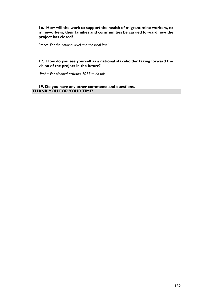#### **16. How will the work to support the health of migrant mine workers, exmineworkers, their families and communities be carried forward now the project has closed?**

*Probe: For the national level and the local level*

#### **17. How do you see yourself as a national stakeholder taking forward the vision of the project in the future?**

*Probe: For planned activities 2017 to do this*

#### **19. Do you have any other comments and questions. THANK YOU FOR YOUR TIME!**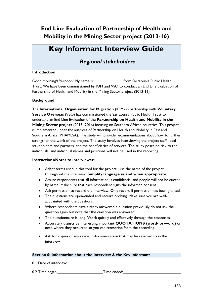# **Key Informant Interview Guide**

### *Regional stakeholders*

#### **Introduction**

Good morning/afternoon! My name is: from Sarraounia Public Health Trust. We have been commissioned by IOM and VSO to conduct an End Line Evaluation of Partnership of Health and Mobility in the Mining Sector project (2013-16).

#### **Background**

The **International Organisation for Migration** (IOM) in partnership with **Voluntary Service Overseas** (VSO) has commissioned the Sarraounia Public Health Trust to undertake an End Line Evaluation of the **Partnership on Health and Mobility in the Mining Sector project** (2013 -2016) focusing on Southern African countries. This project is implemented under the auspices of Partnership on Health and Mobility in East and Southern Africa (PHAMESA). The study will provide recommendations about how to further strengthen the work of the project. The study involves interviewing the project staff, local stakeholders and partners, and the beneficiaries of services. The study poses no risk to the individuals, and individual names and positions will not be used in the reporting.

#### **Instructions/Notes to interviewer:**

- Adapt terms used in this tool for the project. Use the name of the project throughout the interview. **Simplify language as and when appropriate.**
- Assure respondents that all information is confidential and people will not be quoted by name. Make sure that each respondent signs the informed consent.
- Ask permission to record the interview. Only record if permission has been granted.
- The questions are open-ended and require probing. Make sure you are wellacquainted with the questions.
- Where respondents have already answered a question previously do not ask the question again but note that the question was answered.
- The questionnaire is long. Work quickly and effectively through the responses.
- Accurately transcribe interesting/important **QUOTATIONS (word-for-word)** or note where they occurred so you can transcribe from the recording.
- Ask for copies of any relevant documentation that may be referred to in the interview

#### **Section 0: Information about the Interview & the Key Informant**

0.1 Date of interview:

0.2 Time began: Time ended: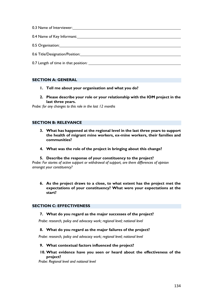- 0.3 Name of Interviewer: 0.4 Name of Key Informant: 0.5 Organisation:
- 0.6 Title/Designation/Position:
- 0.7 Length of time in that position:

#### **SECTION A: GENERAL**

- **1. Tell me about your organisation and what you do?**
- **2. Please describe your role or your relationship with the IOM project in the last three years.**

*Probe: for any changes to this role in the last 12 months*

#### **SECTION B: RELEVANCE**

- **3. What has happened at the regional level in the last three years to support the health of migrant mine workers, ex-mine workers, their families and communities?**
- **4. What was the role of the project in bringing about this change?**
- **5. Describe the response of your constituency to the project?**

*Probe: For stories of active support or withdrawal of support, are there differences of opinion amongst your constituency?*

**6. As the project draws to a close, to what extent has the project met the expectations of your constituency? What were your expectations at the start?**

#### **SECTION C: EFFECTIVENESS**

#### **7. What do you regard as the major successes of the project?**

*Probe: research, policy and advocacy work; regional level; national level*

#### **8. What do you regard as the major failures of the project?**

*Probe: research, policy and advocacy work; regional level; national level*

#### **9. What contextual factors influenced the project?**

**10. What evidence have you seen or heard about the effectiveness of the project?**

*Probe: Regional level and national level*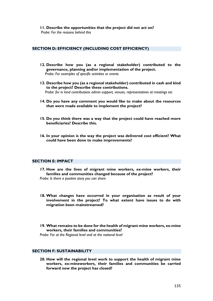#### **SECTION D: EFFICIENCY (INCLUDING COST EFFICIENCY)**

- **12. Describe how you (as a regional stakeholder) contributed to the governance, planning and/or implementation of the project.**  *Probe: For examples of specific activities or events*
- **13. Describe how you (as a regional stakeholder) contributed in cash and kind to the project? Describe these contributions.**  *Probe: for in kind contributions admin support, venues, representatives at meetings etc*
- **14. Do you have any comment you would like to make about the resources that were made available to implement the project?**
- **15. Do you think there was a way that the project could have reached more beneficiaries? Describe this.**
- **16. In your opinion is the way the project was delivered cost efficient? What could have been done to make improvements?**

#### **SECTION E: IMPACT**

- **17. How are the lives of migrant mine workers, ex-mine workers, their families and communities changed because of the project?** *Probe: Is there a positive story you can share*
- **18. What changes have occurred in your organisation as result of your involvement in the project? To what extent have issues to do with migration been mainstreamed?**
- **19. What remains to be done for the health of migrant mine workers, ex-mine workers, their families and communities?**

*Probe: For at the Regional level and at the national level*

#### **SECTION F: SUSTAINABILITY**

**20. How will the regional level work to support the health of migrant mine workers, ex-mineworkers, their families and communities be carried forward now the project has closed?**